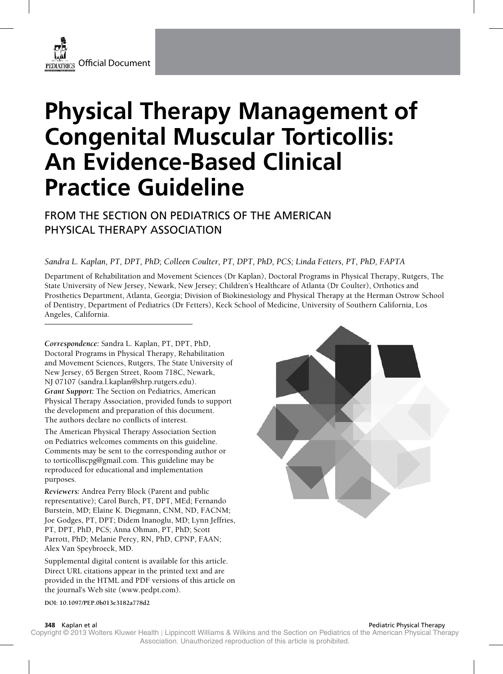

# **Physical Therapy Management of Congenital Muscular Torticollis: An Evidence-Based Clinical Practice Guideline**

# FROM THE SECTION ON PEDIATRICS OF THE AMERICAN PHYSICAL THERAPY ASSOCIATION

## *Sandra L. Kaplan, PT, DPT, PhD; Colleen Coulter, PT, DPT, PhD, PCS; Linda Fetters, PT, PhD, FAPTA*

Department of Rehabilitation and Movement Sciences (Dr Kaplan), Doctoral Programs in Physical Therapy, Rutgers, The State University of New Jersey, Newark, New Jersey; Children's Healthcare of Atlanta (Dr Coulter), Orthotics and Prosthetics Department, Atlanta, Georgia; Division of Biokinesiology and Physical Therapy at the Herman Ostrow School of Dentistry, Department of Pediatrics (Dr Fetters), Keck School of Medicine, University of Southern California, Los Angeles, California.

*Correspondence:* Sandra L. Kaplan, PT, DPT, PhD, Doctoral Programs in Physical Therapy, Rehabilitation and Movement Sciences, Rutgers, The State University of New Jersey, 65 Bergen Street, Room 718C, Newark, NJ 07107 [\(sandra.l.kaplan@shrp.rutgers.edu\)](mailto:sandra.l.kaplan@shrp.rutgers.edu). *Grant Support:* The Section on Pediatrics, American Physical Therapy Association, provided funds to support the development and preparation of this document. The authors declare no conflicts of interest.

The American Physical Therapy Association Section on Pediatrics welcomes comments on this guideline. Comments may be sent to the corresponding author or to torticolliscpg@gmail.com. This guideline may be reproduced for educational and implementation purposes.

*Reviewers:* Andrea Perry Block (Parent and public representative); Carol Burch, PT, DPT, MEd; Fernando Burstein, MD; Elaine K. Diegmann, CNM, ND, FACNM; Joe Godges, PT, DPT; Didem Inanoglu, MD; Lynn Jeffries, PT, DPT, PhD, PCS; Anna Ohman, PT, PhD; Scott Parrott, PhD; Melanie Percy, RN, PhD, CPNP, FAAN; Alex Van Speybroeck, MD.

Supplemental digital content is available for this article. Direct URL citations appear in the printed text and are provided in the HTML and PDF versions of this article on the journal's Web site (www.pedpt.com).

**DOI: 10.1097/PEP.0b013e3182a778d2**

#### **348** Kaplan et al Pediatric Physical Therapy and Pediatric Physical Therapy and Pediatric Physical Therapy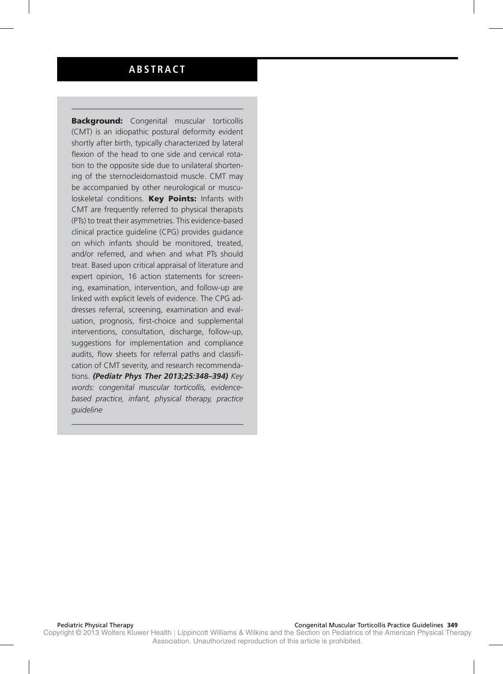# **ABSTRACT**

**Background:** Congenital muscular torticollis (CMT) is an idiopathic postural deformity evident shortly after birth, typically characterized by lateral flexion of the head to one side and cervical rotation to the opposite side due to unilateral shortening of the sternocleidomastoid muscle. CMT may be accompanied by other neurological or musculoskeletal conditions. **Key Points:** Infants with CMT are frequently referred to physical therapists (PTs) to treat their asymmetries. This evidence-based clinical practice guideline (CPG) provides guidance on which infants should be monitored, treated, and/or referred, and when and what PTs should treat. Based upon critical appraisal of literature and expert opinion, 16 action statements for screening, examination, intervention, and follow-up are linked with explicit levels of evidence. The CPG addresses referral, screening, examination and evaluation, prognosis, first-choice and supplemental interventions, consultation, discharge, follow-up, suggestions for implementation and compliance audits, flow sheets for referral paths and classification of CMT severity, and research recommendations. *(Pediatr Phys Ther 2013;25:348–394) Key words: congenital muscular torticollis, evidencebased practice, infant, physical therapy, practice guideline*

#### Pediatric Physical Therapy Congenital Muscular Torticollis Practice Guidelines **349**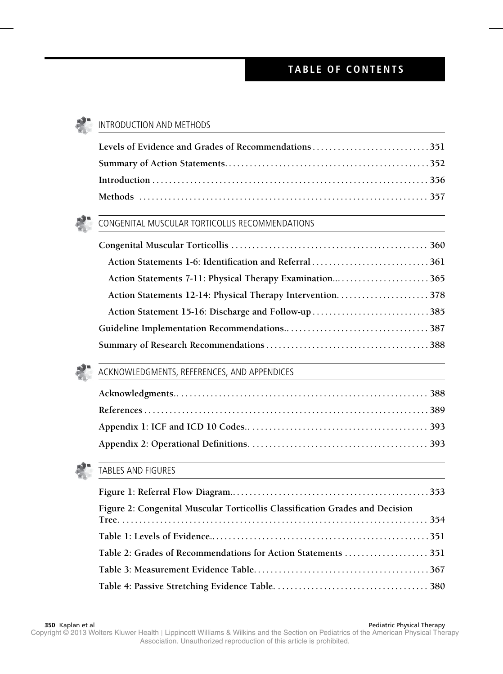

# INTRODUCTION AND METHODS

| Levels of Evidence and Grades of Recommendations351 |  |
|-----------------------------------------------------|--|
|                                                     |  |
|                                                     |  |
|                                                     |  |



# CONGENITAL MUSCULAR TORTICOLLIS RECOMMENDATIONS

| Action Statements 1-6: Identification and Referral 361  |  |
|---------------------------------------------------------|--|
| Action Statements 7-11: Physical Therapy Examination365 |  |
|                                                         |  |
| Action Statement 15-16: Discharge and Follow-up385      |  |
|                                                         |  |
|                                                         |  |



# ACKNOWLEDGMENTS, REFERENCES, AND APPENDICES



# TABLES AND FIGURES

| Figure 2: Congenital Muscular Torticollis Classification Grades and Decision |  |
|------------------------------------------------------------------------------|--|
|                                                                              |  |
| Table 2: Grades of Recommendations for Action Statements  351                |  |
|                                                                              |  |
|                                                                              |  |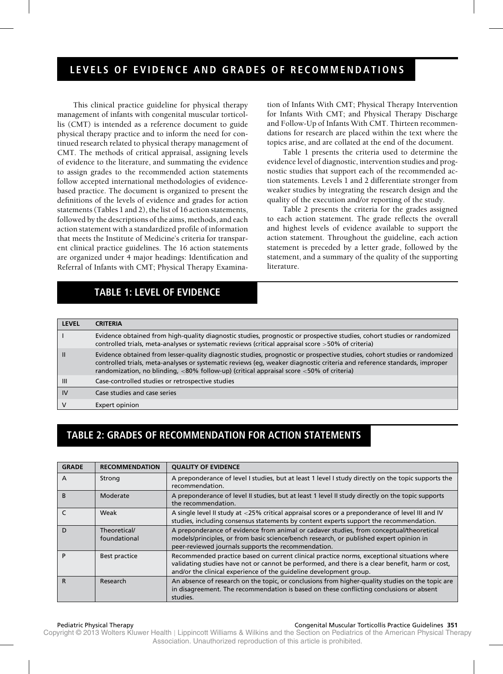# <span id="page-3-0"></span>**LEVELS OF EVIDENCE AND GRADES OF RECOMMENDATIONS**

This clinical practice guideline for physical therapy management of infants with congenital muscular torticollis (CMT) is intended as a reference document to guide physical therapy practice and to inform the need for continued research related to physical therapy management of CMT. The methods of critical appraisal, assigning levels of evidence to the literature, and summating the evidence to assign grades to the recommended action statements follow accepted international methodologies of evidencebased practice. The document is organized to present the definitions of the levels of evidence and grades for action statements (Tables 1 and 2), the list of 16 action statements, followed by the descriptions of the aims, methods, and each action statement with a standardized profile of information that meets the Institute of Medicine's criteria for transparent clinical practice guidelines. The 16 action statements are organized under 4 major headings: Identification and Referral of Infants with CMT; Physical Therapy Examina-

tion of Infants With CMT; Physical Therapy Intervention for Infants With CMT; and Physical Therapy Discharge and Follow-Up of Infants With CMT. Thirteen recommendations for research are placed within the text where the topics arise, and are collated at the end of the document.

Table 1 presents the criteria used to determine the evidence level of diagnostic, intervention studies and prognostic studies that support each of the recommended action statements. Levels 1 and 2 differentiate stronger from weaker studies by integrating the research design and the quality of the execution and/or reporting of the study.

Table 2 presents the criteria for the grades assigned to each action statement. The grade reflects the overall and highest levels of evidence available to support the action statement. Throughout the guideline, each action statement is preceded by a letter grade, followed by the statement, and a summary of the quality of the supporting literature.

# **TABLE 1: LEVEL OF EVIDENCE**

| <b>LEVEL</b>   | <b>CRITERIA</b>                                                                                                                                                                                                                                                                                                                                  |
|----------------|--------------------------------------------------------------------------------------------------------------------------------------------------------------------------------------------------------------------------------------------------------------------------------------------------------------------------------------------------|
|                | Evidence obtained from high-quality diagnostic studies, prognostic or prospective studies, cohort studies or randomized<br>controlled trials, meta-analyses or systematic reviews (critical appraisal score > 50% of criteria)                                                                                                                   |
| $\mathbf{H}$   | Evidence obtained from lesser-quality diagnostic studies, prognostic or prospective studies, cohort studies or randomized<br>controlled trials, meta-analyses or systematic reviews (eq. weaker diagnostic criteria and reference standards, improper<br>randomization, no blinding, <80% follow-up) (critical appraisal score <50% of criteria) |
| $\mathbf{III}$ | Case-controlled studies or retrospective studies                                                                                                                                                                                                                                                                                                 |
| <b>IV</b>      | Case studies and case series                                                                                                                                                                                                                                                                                                                     |
| $\vee$         | Expert opinion                                                                                                                                                                                                                                                                                                                                   |

# **TABLE 2: GRADES OF RECOMMENDATION FOR ACTION STATEMENTS**

| <b>GRADE</b>   | <b>RECOMMENDATION</b>        | <b>QUALITY OF EVIDENCE</b>                                                                                                                                                                                                                                           |
|----------------|------------------------------|----------------------------------------------------------------------------------------------------------------------------------------------------------------------------------------------------------------------------------------------------------------------|
| $\overline{A}$ | Strong                       | A preponderance of level I studies, but at least 1 level I study directly on the topic supports the<br>recommendation.                                                                                                                                               |
| <sub>B</sub>   | Moderate                     | A preponderance of level II studies, but at least 1 level II study directly on the topic supports<br>the recommendation.                                                                                                                                             |
|                | Weak                         | A single level II study at <25% critical appraisal scores or a preponderance of level III and IV<br>studies, including consensus statements by content experts support the recommendation.                                                                           |
| $\mathsf{D}$   | Theoretical/<br>foundational | A preponderance of evidence from animal or cadaver studies, from conceptual/theoretical<br>models/principles, or from basic science/bench research, or published expert opinion in<br>peer-reviewed journals supports the recommendation.                            |
| P              | Best practice                | Recommended practice based on current clinical practice norms, exceptional situations where<br>validating studies have not or cannot be performed, and there is a clear benefit, harm or cost,<br>and/or the clinical experience of the quideline development group. |
| $\mathsf{R}$   | Research                     | An absence of research on the topic, or conclusions from higher-quality studies on the topic are<br>in disagreement. The recommendation is based on these conflicting conclusions or absent<br>studies.                                                              |

#### Pediatric Physical Therapy Congenital Muscular Torticollis Practice Guidelines **351**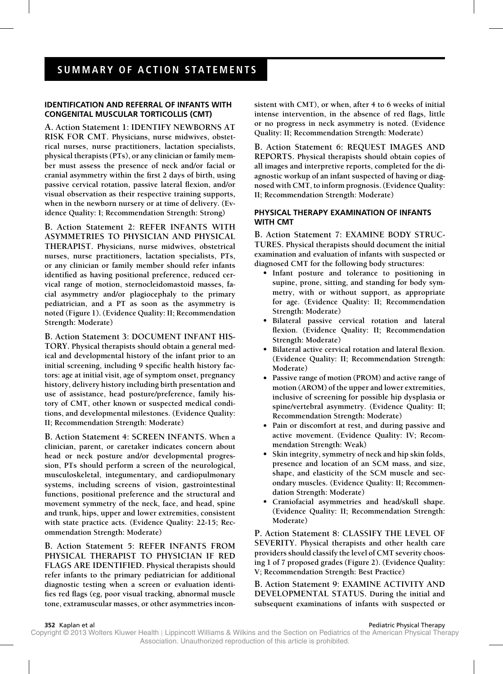### <span id="page-4-0"></span>**IDENTIFICATION AND REFERRAL OF INFANTS WITH CONGENITAL MUSCULAR TORTICOLLIS (CMT)**

**A. Action Statement 1: IDENTIFY NEWBORNS AT RISK FOR CMT. Physicians, nurse midwives, obstetrical nurses, nurse practitioners, lactation specialists, physical therapists (PTs), or any clinician or family member must assess the presence of neck and/or facial or cranial asymmetry within the first 2 days of birth, using passive cervical rotation, passive lateral flexion, and/or visual observation as their respective training supports, when in the newborn nursery or at time of delivery. (Evidence Quality: I; Recommendation Strength: Strong)**

**B. Action Statement 2: REFER INFANTS WITH ASYMMETRIES TO PHYSICIAN AND PHYSICAL THERAPIST. Physicians, nurse midwives, obstetrical nurses, nurse practitioners, lactation specialists, PTs, or any clinician or family member should refer infants identified as having positional preference, reduced cervical range of motion, sternocleidomastoid masses, facial asymmetry and/or plagiocephaly to the primary pediatrician, and a PT as soon as the asymmetry is noted (Figure 1). (Evidence Quality: II; Recommendation Strength: Moderate)**

**B. Action Statement 3: DOCUMENT INFANT HIS-TORY. Physical therapists should obtain a general medical and developmental history of the infant prior to an initial screening, including 9 specific health history factors: age at initial visit, age of symptom onset, pregnancy history, delivery history including birth presentation and use of assistance, head posture/preference, family history of CMT, other known or suspected medical conditions, and developmental milestones. (Evidence Quality: II; Recommendation Strength: Moderate)**

**B. Action Statement 4: SCREEN INFANTS. When a clinician, parent, or caretaker indicates concern about head or neck posture and/or developmental progression, PTs should perform a screen of the neurological, musculoskeletal, integumentary, and cardiopulmonary systems, including screens of vision, gastrointestinal functions, positional preference and the structural and movement symmetry of the neck, face, and head, spine and trunk, hips, upper and lower extremities, consistent with state practice acts. (Evidence Quality: 22-15; Recommendation Strength: Moderate)**

**B. Action Statement 5: REFER INFANTS FROM PHYSICAL THERAPIST TO PHYSICIAN IF RED FLAGS ARE IDENTIFIED. Physical therapists should refer infants to the primary pediatrician for additional diagnostic testing when a screen or evaluation identifies red flags (eg, poor visual tracking, abnormal muscle tone, extramuscular masses, or other asymmetries incon-** **sistent with CMT), or when, after 4 to 6 weeks of initial intense intervention, in the absence of red flags, little or no progress in neck asymmetry is noted. (Evidence Quality: II; Recommendation Strength: Moderate)**

**B. Action Statement 6: REQUEST IMAGES AND REPORTS. Physical therapists should obtain copies of all images and interpretive reports, completed for the diagnostic workup of an infant suspected of having or diagnosed with CMT, to inform prognosis. (Evidence Quality: II; Recommendation Strength: Moderate)**

### **PHYSICAL THERAPY EXAMINATION OF INFANTS WITH CMT**

**B. Action Statement 7: EXAMINE BODY STRUC-TURES. Physical therapists should document the initial examination and evaluation of infants with suspected or diagnosed CMT for the following body structures:**

- **Infant posture and tolerance to positioning in supine, prone, sitting, and standing for body symmetry, with or without support, as appropriate for age. (Evidence Quality: II; Recommendation Strength: Moderate)**
- **Bilateral passive cervical rotation and lateral flexion. (Evidence Quality: II; Recommendation Strength: Moderate)**
- **Bilateral active cervical rotation and lateral flexion. (Evidence Quality: II; Recommendation Strength: Moderate)**
- **Passive range of motion (PROM) and active range of motion (AROM) of the upper and lower extremities, inclusive of screening for possible hip dysplasia or spine/vertebral asymmetry. (Evidence Quality: II; Recommendation Strength: Moderate)**
- **Pain or discomfort at rest, and during passive and active movement. (Evidence Quality: IV; Recommendation Strength: Weak)**
- - **Skin integrity, symmetry of neck and hip skin folds, presence and location of an SCM mass, and size, shape, and elasticity of the SCM muscle and secondary muscles. (Evidence Quality: II; Recommendation Strength: Moderate)**
- **Craniofacial asymmetries and head/skull shape. (Evidence Quality: II; Recommendation Strength: Moderate)**

**P. Action Statement 8: CLASSIFY THE LEVEL OF SEVERITY. Physical therapists and other health care providers should classify the level of CMT severity choosing 1 of 7 proposed grades (Figure 2). (Evidence Quality: V; Recommendation Strength: Best Practice)**

**B. Action Statement 9: EXAMINE ACTIVITY AND DEVELOPMENTAL STATUS. During the initial and subsequent examinations of infants with suspected or**

Copyright © 2013 Wolters Kluwer Health | Lippincott Williams & Wilkins and the Section on Pediatrics of the American Physical Therapy Association. Unauthorized reproduction of this article is prohibited.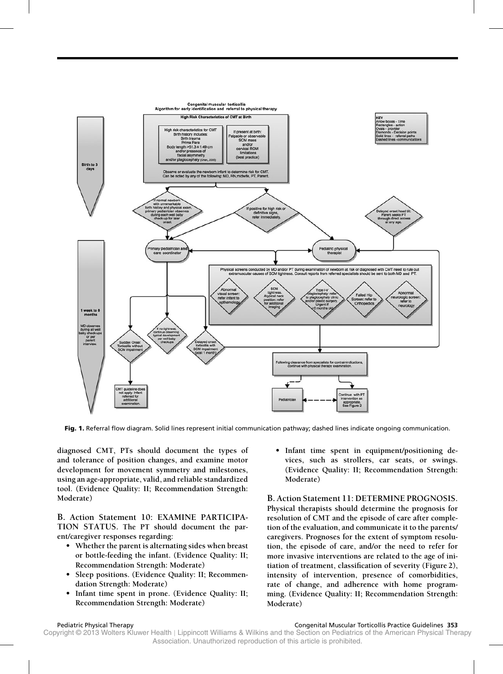<span id="page-5-0"></span>

**Fig. 1.** Referral flow diagram. Solid lines represent initial communication pathway; dashed lines indicate ongoing communication.

**diagnosed CMT, PTs should document the types of and tolerance of position changes, and examine motor development for movement symmetry and milestones, using an age-appropriate, valid, and reliable standardized tool. (Evidence Quality: II; Recommendation Strength: Moderate)**

**B. Action Statement 10: EXAMINE PARTICIPA-TION STATUS. The PT should document the parent/caregiver responses regarding:**

- **Whether the parent is alternating sides when breast or bottle-feeding the infant. (Evidence Quality: II; Recommendation Strength: Moderate)**
- **Sleep positions. (Evidence Quality: II; Recommendation Strength: Moderate)**
- - **Infant time spent in prone. (Evidence Quality: II; Recommendation Strength: Moderate)**

- **Infant time spent in equipment/positioning devices, such as strollers, car seats, or swings. (Evidence Quality: II; Recommendation Strength: Moderate)**

**B.Action Statement 11: DETERMINE PROGNOSIS. Physical therapists should determine the prognosis for resolution of CMT and the episode of care after completion of the evaluation, and communicate it to the parents/ caregivers. Prognoses for the extent of symptom resolution, the episode of care, and/or the need to refer for more invasive interventions are related to the age of initiation of treatment, classification of severity (Figure 2), intensity of intervention, presence of comorbidities, rate of change, and adherence with home programming. (Evidence Quality: II; Recommendation Strength: Moderate)**

Pediatric Physical Therapy Congenital Muscular Torticollis Practice Guidelines **353**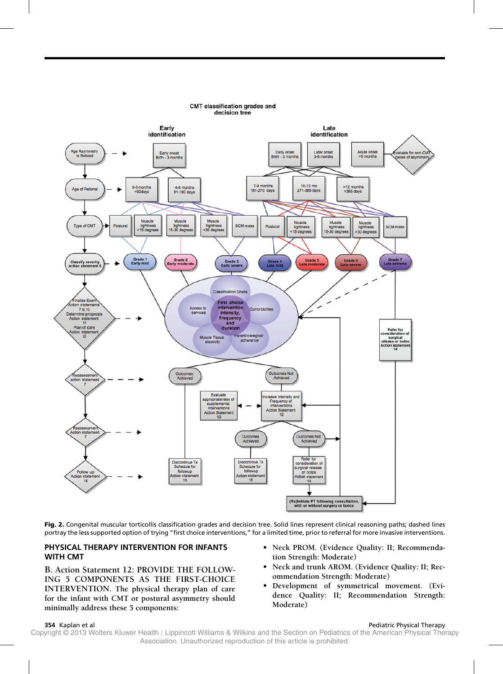<span id="page-6-0"></span>

**CMT** classification grades and decision tree

**Fig. 2.** Congenital muscular torticollis classification grades and decision tree. Solid lines represent clinical reasoning paths; dashed lines portray the less supported option of trying "first choice interventions," for a limited time, prior to referral for more invasive interventions.

### **PHYSICAL THERAPY INTERVENTION FOR INFANTS WITH CMT**

**B. Action Statement 12: PROVIDE THE FOLLOW-ING 5 COMPONENTS AS THE FIRST-CHOICE INTERVENTION. The physical therapy plan of care for the infant with CMT or postural asymmetry should minimally address these 5 components:**

- **Neck PROM. (Evidence Quality: II; Recommendation Strength: Moderate)**
- **Neck and trunk AROM. (Evidence Quality: II; Recommendation Strength: Moderate)**
- - **Development of symmetrical movement. (Evidence Quality: II; Recommendation Strength: Moderate)**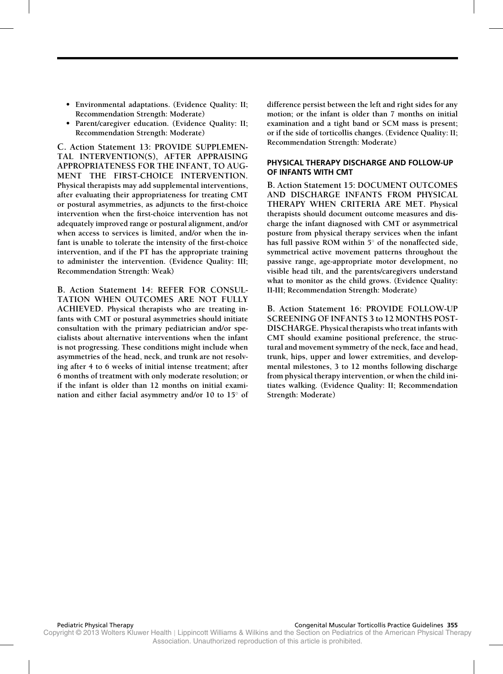- **Environmental adaptations. (Evidence Quality: II; Recommendation Strength: Moderate)**
- **Parent/caregiver education. (Evidence Quality: II; Recommendation Strength: Moderate)**

**C. Action Statement 13: PROVIDE SUPPLEMEN-TAL INTERVENTION(S), AFTER APPRAISING APPROPRIATENESS FOR THE INFANT, TO AUG-MENT THE FIRST-CHOICE INTERVENTION. Physical therapists may add supplemental interventions, after evaluating their appropriateness for treating CMT or postural asymmetries, as adjuncts to the first-choice intervention when the first-choice intervention has not adequately improved range or postural alignment, and/or when access to services is limited, and/or when the infant is unable to tolerate the intensity of the first-choice intervention, and if the PT has the appropriate training to administer the intervention. (Evidence Quality: III; Recommendation Strength: Weak)**

**B. Action Statement 14: REFER FOR CONSUL-TATION WHEN OUTCOMES ARE NOT FULLY ACHIEVED. Physical therapists who are treating infants with CMT or postural asymmetries should initiate consultation with the primary pediatrician and/or specialists about alternative interventions when the infant is not progressing. These conditions might include when asymmetries of the head, neck, and trunk are not resolving after 4 to 6 weeks of initial intense treatment; after 6 months of treatment with only moderate resolution; or if the infant is older than 12 months on initial examination and either facial asymmetry and/or 10 to 15**◦ **of**

**difference persist between the left and right sides for any motion; or the infant is older than 7 months on initial examination and a tight band or SCM mass is present; or if the side of torticollis changes. (Evidence Quality: II; Recommendation Strength: Moderate)**

#### **PHYSICAL THERAPY DISCHARGE AND FOLLOW-UP OF INFANTS WITH CMT**

**B. Action Statement 15: DOCUMENT OUTCOMES AND DISCHARGE INFANTS FROM PHYSICAL THERAPY WHEN CRITERIA ARE MET. Physical therapists should document outcome measures and discharge the infant diagnosed with CMT or asymmetrical posture from physical therapy services when the infant has full passive ROM within 5**◦ **of the nonaffected side, symmetrical active movement patterns throughout the passive range, age-appropriate motor development, no visible head tilt, and the parents/caregivers understand what to monitor as the child grows. (Evidence Quality: II-III; Recommendation Strength: Moderate)**

**B. Action Statement 16: PROVIDE FOLLOW-UP SCREENING OF INFANTS 3 to 12 MONTHS POST-DISCHARGE. Physical therapists who treat infants with CMT should examine positional preference, the structural and movement symmetry of the neck, face and head, trunk, hips, upper and lower extremities, and developmental milestones, 3 to 12 months following discharge from physical therapy intervention, or when the child initiates walking. (Evidence Quality: II; Recommendation Strength: Moderate)**

Pediatric Physical Therapy Congenital Muscular Torticollis Practice Guidelines **355**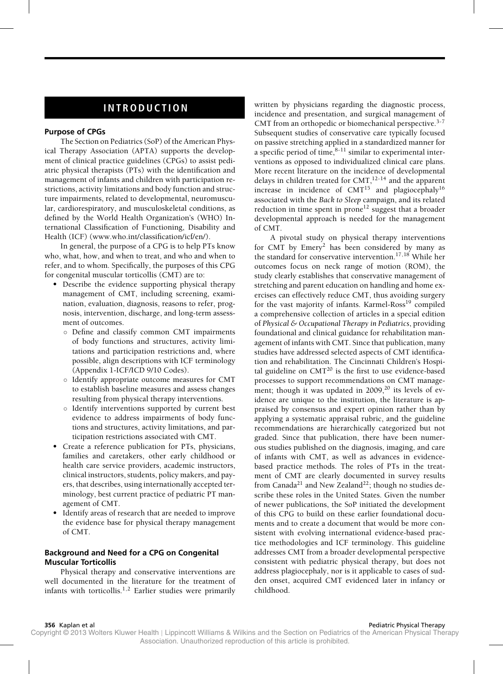# **INTRODUCTION**

#### <span id="page-8-0"></span>**Purpose of CPGs**

The Section on Pediatrics (SoP) of the American Physical Therapy Association (APTA) supports the development of clinical practice guidelines (CPGs) to assist pediatric physical therapists (PTs) with the identification and management of infants and children with participation restrictions, activity limitations and body function and structure impairments, related to developmental, neuromuscular, cardiorespiratory, and musculoskeletal conditions, as defined by the World Health Organization's (WHO) International Classification of Functioning, Disability and Health (ICF) [\(www.who.int/classification/icf/en/\)](http://www.who.int/classification/icf/en/).

In general, the purpose of a CPG is to help PTs know who, what, how, and when to treat, and who and when to refer, and to whom. Specifically, the purposes of this CPG for congenital muscular torticollis (CMT) are to:

- Describe the evidence supporting physical therapy management of CMT, including screening, examination, evaluation, diagnosis, reasons to refer, prognosis, intervention, discharge, and long-term assessment of outcomes.
	- Define and classify common CMT impairments of body functions and structures, activity limitations and participation restrictions and, where possible, align descriptions with ICF terminology (Appendix 1-ICF/ICD 9/10 Codes).
	- Identify appropriate outcome measures for CMT to establish baseline measures and assess changes resulting from physical therapy interventions.
	- Identify interventions supported by current best evidence to address impairments of body functions and structures, activity limitations, and participation restrictions associated with CMT.
- Create a reference publication for PTs, physicians, families and caretakers, other early childhood or health care service providers, academic instructors, clinical instructors, students, policy makers, and payers, that describes, using internationally accepted terminology, best current practice of pediatric PT management of CMT.
- - Identify areas of research that are needed to improve the evidence base for physical therapy management of CMT.

#### **Background and Need for a CPG on Congenital Muscular Torticollis**

Physical therapy and conservative interventions are well documented in the literature for the treatment of infants with torticollis.1,2 Earlier studies were primarily written by physicians regarding the diagnostic process, incidence and presentation, and surgical management of CMT from an orthopedic or biomechanical perspective.<sup>3-7</sup> Subsequent studies of conservative care typically focused on passive stretching applied in a standardized manner for a specific period of time, $8-11$  similar to experimental interventions as opposed to individualized clinical care plans. More recent literature on the incidence of developmental delays in children treated for CMT,<sup>12-14</sup> and the apparent increase in incidence of CMT<sup>15</sup> and plagiocephaly<sup>16</sup> associated with the *Back to Sleep* campaign, and its related reduction in time spent in prone<sup>12</sup> suggest that a broader developmental approach is needed for the management of CMT.

A pivotal study on physical therapy interventions for CMT by  $Emery^2$  has been considered by many as the standard for conservative intervention.<sup>17,18</sup> While her outcomes focus on neck range of motion (ROM), the study clearly establishes that conservative management of stretching and parent education on handling and home exercises can effectively reduce CMT, thus avoiding surgery for the vast majority of infants. Karmel- $Ross<sup>19</sup>$  compiled a comprehensive collection of articles in a special edition of *Physical & Occupational Therapy in Pediatrics*, providing foundational and clinical guidance for rehabilitation management of infants with CMT. Since that publication, many studies have addressed selected aspects of CMT identification and rehabilitation. The Cincinnati Children's Hospital guideline on  $CMT^{20}$  is the first to use evidence-based processes to support recommendations on CMT management; though it was updated in  $2009$ ,<sup>20</sup> its levels of evidence are unique to the institution, the literature is appraised by consensus and expert opinion rather than by applying a systematic appraisal rubric, and the guideline recommendations are hierarchically categorized but not graded. Since that publication, there have been numerous studies published on the diagnosis, imaging, and care of infants with CMT, as well as advances in evidencebased practice methods. The roles of PTs in the treatment of CMT are clearly documented in survey results from Canada<sup>21</sup> and New Zealand<sup>22</sup>; though no studies describe these roles in the United States. Given the number of newer publications, the SoP initiated the development of this CPG to build on these earlier foundational documents and to create a document that would be more consistent with evolving international evidence-based practice methodologies and ICF terminology. This guideline addresses CMT from a broader developmental perspective consistent with pediatric physical therapy, but does not address plagiocephaly, nor is it applicable to cases of sudden onset, acquired CMT evidenced later in infancy or childhood.

#### **356** Kaplan et al Pediatric Physical Therapy **Apple 2018 Pediatric Physical Therapy Pediatric Physical Therapy**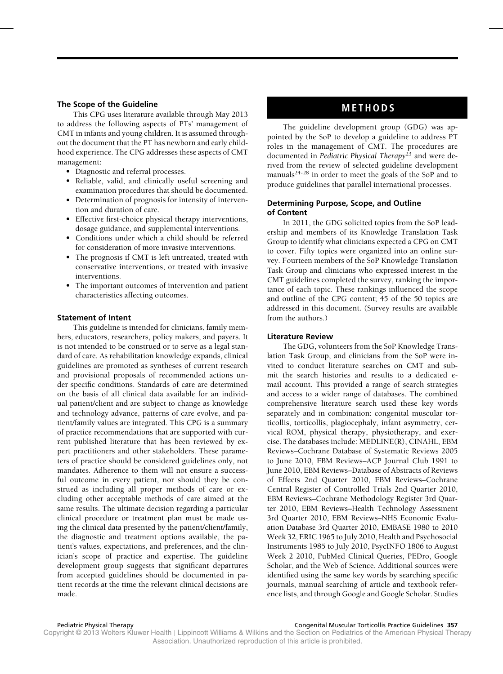#### <span id="page-9-0"></span>**The Scope of the Guideline**

This CPG uses literature available through May 2013 to address the following aspects of PTs' management of CMT in infants and young children. It is assumed throughout the document that the PT has newborn and early childhood experience. The CPG addresses these aspects of CMT management:

- Diagnostic and referral processes.
- Reliable, valid, and clinically useful screening and examination procedures that should be documented.
- - Determination of prognosis for intensity of intervention and duration of care.
- Effective first-choice physical therapy interventions, dosage guidance, and supplemental interventions.
- Conditions under which a child should be referred for consideration of more invasive interventions.
- - The prognosis if CMT is left untreated, treated with conservative interventions, or treated with invasive interventions.
- - The important outcomes of intervention and patient characteristics affecting outcomes.

#### **Statement of Intent**

This guideline is intended for clinicians, family members, educators, researchers, policy makers, and payers. It is not intended to be construed or to serve as a legal standard of care. As rehabilitation knowledge expands, clinical guidelines are promoted as syntheses of current research and provisional proposals of recommended actions under specific conditions. Standards of care are determined on the basis of all clinical data available for an individual patient/client and are subject to change as knowledge and technology advance, patterns of care evolve, and patient/family values are integrated. This CPG is a summary of practice recommendations that are supported with current published literature that has been reviewed by expert practitioners and other stakeholders. These parameters of practice should be considered guidelines only, not mandates. Adherence to them will not ensure a successful outcome in every patient, nor should they be construed as including all proper methods of care or excluding other acceptable methods of care aimed at the same results. The ultimate decision regarding a particular clinical procedure or treatment plan must be made using the clinical data presented by the patient/client/family, the diagnostic and treatment options available, the patient's values, expectations, and preferences, and the clinician's scope of practice and expertise. The guideline development group suggests that significant departures from accepted guidelines should be documented in patient records at the time the relevant clinical decisions are made.

# **METHODS**

The guideline development group (GDG) was appointed by the SoP to develop a guideline to address PT roles in the management of CMT. The procedures are documented in *Pediatric Physical Therapy*<sup>23</sup> and were derived from the review of selected guideline development manuals<sup>24-28</sup> in order to meet the goals of the SoP and to produce guidelines that parallel international processes.

#### **Determining Purpose, Scope, and Outline of Content**

In 2011, the GDG solicited topics from the SoP leadership and members of its Knowledge Translation Task Group to identify what clinicians expected a CPG on CMT to cover. Fifty topics were organized into an online survey. Fourteen members of the SoP Knowledge Translation Task Group and clinicians who expressed interest in the CMT guidelines completed the survey, ranking the importance of each topic. These rankings influenced the scope and outline of the CPG content; 45 of the 50 topics are addressed in this document. (Survey results are available from the authors.)

#### **Literature Review**

The GDG, volunteers from the SoP Knowledge Translation Task Group, and clinicians from the SoP were invited to conduct literature searches on CMT and submit the search histories and results to a dedicated email account. This provided a range of search strategies and access to a wider range of databases. The combined comprehensive literature search used these key words separately and in combination: congenital muscular torticollis, torticollis, plagiocephaly, infant asymmetry, cervical ROM, physical therapy, physiotherapy, and exercise. The databases include: MEDLINE(R), CINAHL, EBM Reviews–Cochrane Database of Systematic Reviews 2005 to June 2010, EBM Reviews–ACP Journal Club 1991 to June 2010, EBM Reviews–Database of Abstracts of Reviews of Effects 2nd Quarter 2010, EBM Reviews–Cochrane Central Register of Controlled Trials 2nd Quarter 2010, EBM Reviews–Cochrane Methodology Register 3rd Quarter 2010, EBM Reviews–Health Technology Assessment 3rd Quarter 2010, EBM Reviews–NHS Economic Evaluation Database 3rd Quarter 2010, EMBASE 1980 to 2010 Week 32, ERIC 1965 to July 2010, Health and Psychosocial Instruments 1985 to July 2010, PsycINFO 1806 to August Week 2 2010, PubMed Clinical Queries, PEDro, Google Scholar, and the Web of Science. Additional sources were identified using the same key words by searching specific journals, manual searching of article and textbook reference lists, and through Google and Google Scholar. Studies

#### Pediatric Physical Therapy Congenital Muscular Torticollis Practice Guidelines **357**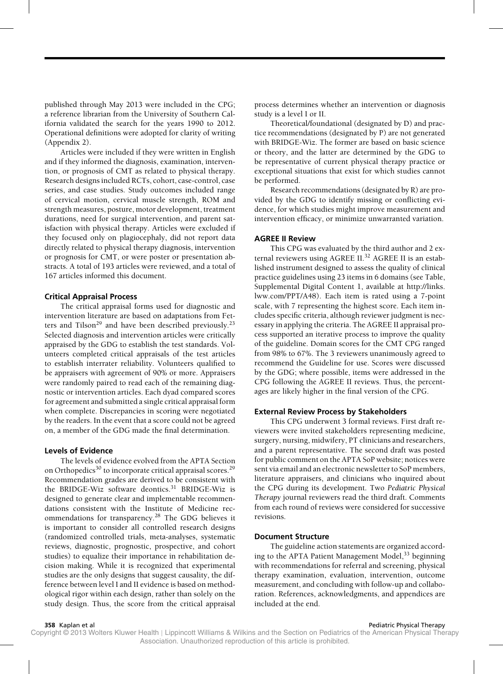published through May 2013 were included in the CPG; a reference librarian from the University of Southern California validated the search for the years 1990 to 2012. Operational definitions were adopted for clarity of writing (Appendix 2).

Articles were included if they were written in English and if they informed the diagnosis, examination, intervention, or prognosis of CMT as related to physical therapy. Research designs included RCTs, cohort, case-control, case series, and case studies. Study outcomes included range of cervical motion, cervical muscle strength, ROM and strength measures, posture, motor development, treatment durations, need for surgical intervention, and parent satisfaction with physical therapy. Articles were excluded if they focused only on plagiocephaly, did not report data directly related to physical therapy diagnosis, intervention or prognosis for CMT, or were poster or presentation abstracts. A total of 193 articles were reviewed, and a total of 167 articles informed this document.

#### **Critical Appraisal Process**

The critical appraisal forms used for diagnostic and intervention literature are based on adaptations from Fetters and Tilson<sup>29</sup> and have been described previously.<sup>23</sup> Selected diagnosis and intervention articles were critically appraised by the GDG to establish the test standards. Volunteers completed critical appraisals of the test articles to establish interrater reliability. Volunteers qualified to be appraisers with agreement of 90% or more. Appraisers were randomly paired to read each of the remaining diagnostic or intervention articles. Each dyad compared scores for agreement and submitted a single critical appraisal form when complete. Discrepancies in scoring were negotiated by the readers. In the event that a score could not be agreed on, a member of the GDG made the final determination.

#### **Levels of Evidence**

The levels of evidence evolved from the APTA Section on Orthopedics<sup>30</sup> to incorporate critical appraisal scores.<sup>29</sup> Recommendation grades are derived to be consistent with the BRIDGE-Wiz software deontics.<sup>31</sup> BRIDGE-Wiz is designed to generate clear and implementable recommendations consistent with the Institute of Medicine recommendations for transparency.<sup>28</sup> The GDG believes it is important to consider all controlled research designs (randomized controlled trials, meta-analyses, systematic reviews, diagnostic, prognostic, prospective, and cohort studies) to equalize their importance in rehabilitation decision making. While it is recognized that experimental studies are the only designs that suggest causality, the difference between level I and II evidence is based on methodological rigor within each design, rather than solely on the study design. Thus, the score from the critical appraisal process determines whether an intervention or diagnosis study is a level I or II.

Theoretical/foundational (designated by D) and practice recommendations (designated by P) are not generated with BRIDGE-Wiz. The former are based on basic science or theory, and the latter are determined by the GDG to be representative of current physical therapy practice or exceptional situations that exist for which studies cannot be performed.

Research recommendations (designated by R) are provided by the GDG to identify missing or conflicting evidence, for which studies might improve measurement and intervention efficacy, or minimize unwarranted variation.

### **AGREE II Review**

This CPG was evaluated by the third author and 2 external reviewers using AGREE II.<sup>32</sup> AGREE II is an established instrument designed to assess the quality of clinical practice guidelines using 23 items in 6 domains (see Table, Supplemental Digital Content 1, available at [http://links.](http://links.lww.com/PPT/A48) [lww.com/PPT/A48\)](http://links.lww.com/PPT/A48). Each item is rated using a 7-point scale, with 7 representing the highest score. Each item includes specific criteria, although reviewer judgment is necessary in applying the criteria. The AGREE II appraisal process supported an iterative process to improve the quality of the guideline. Domain scores for the CMT CPG ranged from 98% to 67%. The 3 reviewers unanimously agreed to recommend the Guideline for use. Scores were discussed by the GDG; where possible, items were addressed in the CPG following the AGREE II reviews. Thus, the percentages are likely higher in the final version of the CPG.

#### **External Review Process by Stakeholders**

This CPG underwent 3 formal reviews. First draft reviewers were invited stakeholders representing medicine, surgery, nursing, midwifery, PT clinicians and researchers, and a parent representative. The second draft was posted for public comment on the APTA SoP website; notices were sent via email and an electronic newsletter to SoP members, literature appraisers, and clinicians who inquired about the CPG during its development. Two *Pediatric Physical Therapy* journal reviewers read the third draft. Comments from each round of reviews were considered for successive revisions.

#### **Document Structure**

The guideline action statements are organized according to the APTA Patient Management Model,<sup>33</sup> beginning with recommendations for referral and screening, physical therapy examination, evaluation, intervention, outcome measurement, and concluding with follow-up and collaboration. References, acknowledgments, and appendices are included at the end.

**358** Kaplan et al Pediatric Physical Therapy **Apple 2018 Pediatric Physical Therapy Pediatric Physical Therapy** 

Copyright © 2013 Wolters Kluwer Health | Lippincott Williams & Wilkins and the Section on Pediatrics of the American Physical Therapy Association. Unauthorized reproduction of this article is prohibited.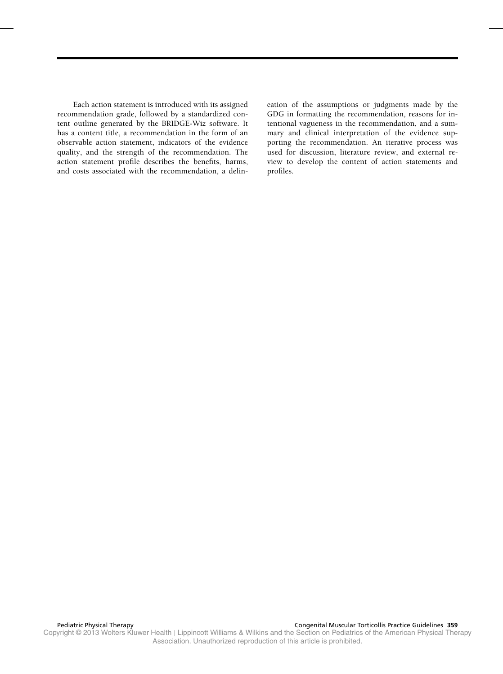Each action statement is introduced with its assigned recommendation grade, followed by a standardized content outline generated by the BRIDGE-Wiz software. It has a content title, a recommendation in the form of an observable action statement, indicators of the evidence quality, and the strength of the recommendation. The action statement profile describes the benefits, harms, and costs associated with the recommendation, a delin-

eation of the assumptions or judgments made by the GDG in formatting the recommendation, reasons for intentional vagueness in the recommendation, and a summary and clinical interpretation of the evidence supporting the recommendation. An iterative process was used for discussion, literature review, and external review to develop the content of action statements and profiles.

#### Pediatric Physical Therapy Congenital Muscular Torticollis Practice Guidelines **359**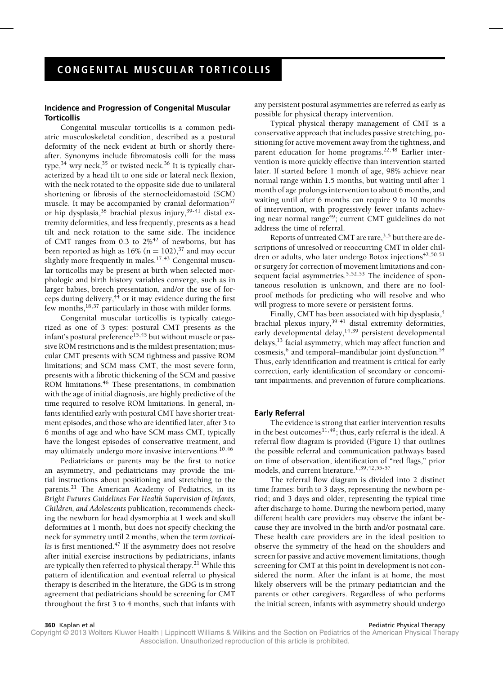#### <span id="page-12-0"></span>**Incidence and Progression of Congenital Muscular Torticollis**

Congenital muscular torticollis is a common pediatric musculoskeletal condition, described as a postural deformity of the neck evident at birth or shortly thereafter. Synonyms include fibromatosis colli for the mass type,  $34$  wry neck,  $35$  or twisted neck.  $36$  It is typically characterized by a head tilt to one side or lateral neck flexion, with the neck rotated to the opposite side due to unilateral shortening or fibrosis of the sternocleidomastoid (SCM) muscle. It may be accompanied by cranial deformation<sup>37</sup> or hip dysplasia,<sup>38</sup> brachial plexus injury,<sup>39-41</sup> distal extremity deformities, and less frequently, presents as a head tilt and neck rotation to the same side. The incidence of CMT ranges from 0.3 to  $2\%^{42}$  of newborns, but has been reported as high as  $16\%$  (n = 102),<sup>37</sup> and may occur slightly more frequently in males.<sup>17,43</sup> Congenital muscular torticollis may be present at birth when selected morphologic and birth history variables converge, such as in larger babies, breech presentation, and/or the use of forceps during delivery, $44$  or it may evidence during the first few months, $18,37$  particularly in those with milder forms.

Congenital muscular torticollis is typically categorized as one of 3 types: postural CMT presents as the infant's postural preference $^{15,45}$  but without muscle or passive ROM restrictions and is the mildest presentation; muscular CMT presents with SCM tightness and passive ROM limitations; and SCM mass CMT, the most severe form, presents with a fibrotic thickening of the SCM and passive ROM limitations.<sup>46</sup> These presentations, in combination with the age of initial diagnosis, are highly predictive of the time required to resolve ROM limitations. In general, infants identified early with postural CMT have shorter treatment episodes, and those who are identified later, after 3 to 6 months of age and who have SCM mass CMT, typically have the longest episodes of conservative treatment, and may ultimately undergo more invasive interventions.<sup>10,46</sup>

Pediatricians or parents may be the first to notice an asymmetry, and pediatricians may provide the initial instructions about positioning and stretching to the parents.<sup>21</sup> The American Academy of Pediatrics, in its *Bright Futures Guidelines For Health Supervision of Infants, Children, and Adolescents* publication, recommends checking the newborn for head dysmorphia at 1 week and skull deformities at 1 month, but does not specify checking the neck for symmetry until 2 months, when the term *torticollis* is first mentioned.<sup>47</sup> If the asymmetry does not resolve after initial exercise instructions by pediatricians, infants are typically then referred to physical therapy.<sup>21</sup> While this pattern of identification and eventual referral to physical therapy is described in the literature, the GDG is in strong agreement that pediatricians should be screening for CMT throughout the first 3 to 4 months, such that infants with

any persistent postural asymmetries are referred as early as possible for physical therapy intervention.

Typical physical therapy management of CMT is a conservative approach that includes passive stretching, positioning for active movement away from the tightness, and parent education for home programs.<sup>22,48</sup> Earlier intervention is more quickly effective than intervention started later. If started before 1 month of age, 98% achieve near normal range within 1.5 months, but waiting until after 1 month of age prolongs intervention to about 6 months, and waiting until after 6 months can require 9 to 10 months of intervention, with progressively fewer infants achieving near normal range<sup>49</sup>; current CMT guidelines do not address the time of referral.

Reports of untreated CMT are rare,  $3,5$  but there are descriptions of unresolved or reoccurring CMT in older children or adults, who later undergo Botox injections<sup>42,50,51</sup> or surgery for correction of movement limitations and consequent facial asymmetries.<sup>5,52,53</sup> The incidence of spontaneous resolution is unknown, and there are no foolproof methods for predicting who will resolve and who will progress to more severe or persistent forms.

Finally, CMT has been associated with hip dysplasia, $4$ brachial plexus injury,  $39-41$  distal extremity deformities, early developmental delay,<sup>14,39</sup> persistent developmental delays,<sup>13</sup> facial asymmetry, which may affect function and  $cosmesis<sub>1</sub><sup>6</sup>$  and temporal–mandibular joint dysfunction.<sup>54</sup> Thus, early identification and treatment is critical for early correction, early identification of secondary or concomitant impairments, and prevention of future complications.

#### **Early Referral**

The evidence is strong that earlier intervention results in the best outcomes<sup>11,49</sup>; thus, early referral is the ideal. A referral flow diagram is provided (Figure 1) that outlines the possible referral and communication pathways based on time of observation, identification of "red flags," prior models, and current literature.<sup>1,39,42,55-57</sup>

The referral flow diagram is divided into 2 distinct time frames: birth to 3 days, representing the newborn period; and 3 days and older, representing the typical time after discharge to home. During the newborn period, many different health care providers may observe the infant because they are involved in the birth and/or postnatal care. These health care providers are in the ideal position to observe the symmetry of the head on the shoulders and screen for passive and active movement limitations, though screening for CMT at this point in development is not considered the norm. After the infant is at home, the most likely observers will be the primary pediatrician and the parents or other caregivers. Regardless of who performs the initial screen, infants with asymmetry should undergo

**360** Kaplan et al Pediatric Physical Therapy and Pediatric Physical Therapy and Pediatric Physical Therapy

Copyright © 2013 Wolters Kluwer Health | Lippincott Williams & Wilkins and the Section on Pediatrics of the American Physical Therapy Association. Unauthorized reproduction of this article is prohibited.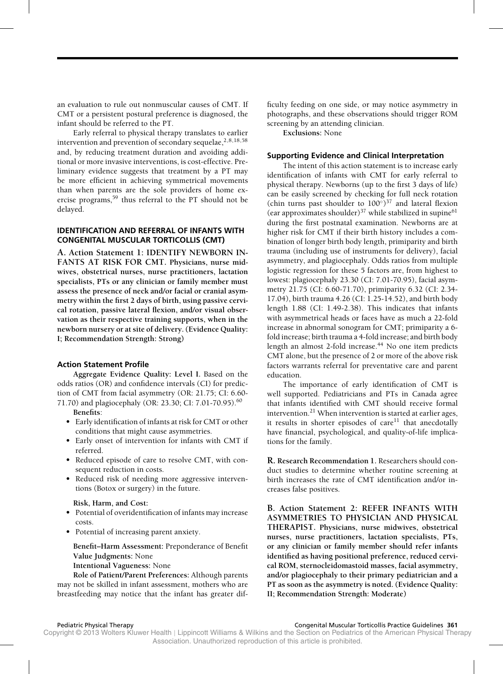<span id="page-13-0"></span>an evaluation to rule out nonmuscular causes of CMT. If CMT or a persistent postural preference is diagnosed, the infant should be referred to the PT.

Early referral to physical therapy translates to earlier intervention and prevention of secondary sequelae,  $2,8,18,58$ and, by reducing treatment duration and avoiding additional or more invasive interventions, is cost-effective. Preliminary evidence suggests that treatment by a PT may be more efficient in achieving symmetrical movements than when parents are the sole providers of home exercise programs,  $59$  thus referral to the PT should not be delayed.

#### **IDENTIFICATION AND REFERRAL OF INFANTS WITH CONGENITAL MUSCULAR TORTICOLLIS (CMT)**

**A. Action Statement 1: IDENTIFY NEWBORN IN-FANTS AT RISK FOR CMT. Physicians, nurse midwives, obstetrical nurses, nurse practitioners, lactation specialists, PTs or any clinician or family member must assess the presence of neck and/or facial or cranial asymmetry within the first 2 days of birth, using passive cervical rotation, passive lateral flexion, and/or visual observation as their respective training supports, when in the newborn nursery or at site of delivery. (Evidence Quality: I; Recommendation Strength: Strong)**

#### **Action Statement Profile**

**Aggregate Evidence Quality: Level I.** Based on the odds ratios (OR) and confidence intervals (CI) for prediction of CMT from facial asymmetry (OR: 21.75; CI: 6.60- 71.70) and plagiocephaly (OR: 23.30; CI: 7.01-70.95).<sup>60</sup>

**Benefits**:

- Early identification of infants at risk for CMT or other conditions that might cause asymmetries.
- Early onset of intervention for infants with CMT if referred.
- Reduced episode of care to resolve CMT, with consequent reduction in costs.
- - Reduced risk of needing more aggressive interventions (Botox or surgery) in the future.

#### **Risk, Harm, and Cost:**

- Potential of overidentification of infants may increase costs.
- Potential of increasing parent anxiety.

**Benefit–Harm Assessment:** Preponderance of Benefit **Value Judgments:** None

**Intentional Vagueness:** None

**Role of Patient/Parent Preferences:** Although parents may not be skilled in infant assessment, mothers who are breastfeeding may notice that the infant has greater dif-

ficulty feeding on one side, or may notice asymmetry in photographs, and these observations should trigger ROM screening by an attending clinician.

**Exclusions:** None

#### **Supporting Evidence and Clinical Interpretation**

The intent of this action statement is to increase early identification of infants with CMT for early referral to physical therapy. Newborns (up to the first 3 days of life) can be easily screened by checking for full neck rotation (chin turns past shoulder to  $100°$ )<sup>37</sup> and lateral flexion (ear approximates shoulder) $37$  while stabilized in supine<sup>61</sup> during the first postnatal examination. Newborns are at higher risk for CMT if their birth history includes a combination of longer birth body length, primiparity and birth trauma (including use of instruments for delivery), facial asymmetry, and plagiocephaly. Odds ratios from multiple logistic regression for these 5 factors are, from highest to lowest: plagiocephaly 23.30 (CI: 7.01-70.95), facial asymmetry 21.75 (CI: 6.60-71.70), primiparity 6.32 (CI: 2.34- 17.04), birth trauma 4.26 (CI: 1.25-14.52), and birth body length 1.88 (CI: 1.49-2.38). This indicates that infants with asymmetrical heads or faces have as much a 22-fold increase in abnormal sonogram for CMT; primiparity a 6 fold increase; birth trauma a 4-fold increase; and birth body length an almost 2-fold increase.<sup>44</sup> No one item predicts CMT alone, but the presence of 2 or more of the above risk factors warrants referral for preventative care and parent education.

The importance of early identification of CMT is well supported. Pediatricians and PTs in Canada agree that infants identified with CMT should receive formal intervention.<sup>21</sup> When intervention is started at earlier ages, it results in shorter episodes of care<sup>11</sup> that anecdotally have financial, psychological, and quality-of-life implications for the family.

**R. Research Recommendation 1.** Researchers should conduct studies to determine whether routine screening at birth increases the rate of CMT identification and/or increases false positives.

**B. Action Statement 2: REFER INFANTS WITH ASYMMETRIES TO PHYSICIAN AND PHYSICAL THERAPIST. Physicians, nurse midwives, obstetrical nurses, nurse practitioners, lactation specialists, PTs, or any clinician or family member should refer infants identified as having positional preference, reduced cervical ROM, sternocleidomastoid masses, facial asymmetry, and/or plagiocephaly to their primary pediatrician and a PT as soon as the asymmetry is noted. (Evidence Quality: II; Recommendation Strength: Moderate)**

#### Pediatric Physical Therapy Congenital Muscular Torticollis Practice Guidelines **361**

Copyright © 2013 Wolters Kluwer Health | Lippincott Williams & Wilkins and the Section on Pediatrics of the American Physical Therapy Association. Unauthorized reproduction of this article is prohibited.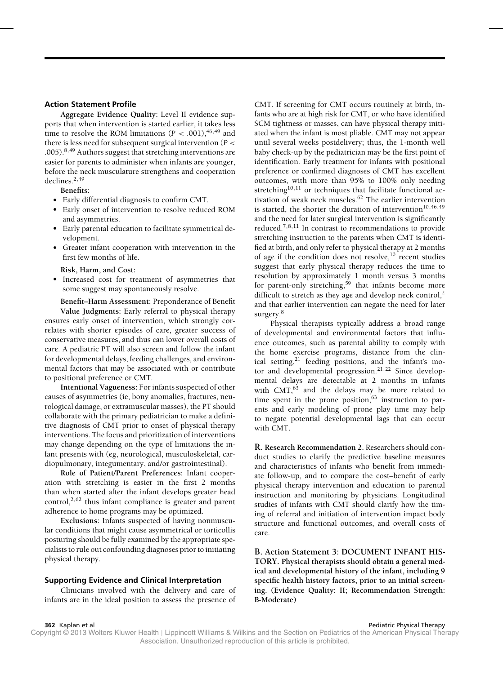#### **Action Statement Profile**

**Aggregate Evidence Quality:** Level II evidence supports that when intervention is started earlier, it takes less time to resolve the ROM limitations ( $P < .001$ ),<sup>46,49</sup> and there is less need for subsequent surgical intervention (*P* < .005).<sup>8,49</sup> Authors suggest that stretching interventions are easier for parents to administer when infants are younger, before the neck musculature strengthens and cooperation declines.<sup>2,49</sup>

**Benefits**:

- Early differential diagnosis to confirm CMT.
- - Early onset of intervention to resolve reduced ROM and asymmetries.
- Early parental education to facilitate symmetrical development.
- Greater infant cooperation with intervention in the first few months of life.

#### **Risk, Harm, and Cost:**

- Increased cost for treatment of asymmetries that some suggest may spontaneously resolve.

**Benefit–Harm Assessment:** Preponderance of Benefit **Value Judgments:** Early referral to physical therapy ensures early onset of intervention, which strongly correlates with shorter episodes of care, greater success of conservative measures, and thus can lower overall costs of care. A pediatric PT will also screen and follow the infant for developmental delays, feeding challenges, and environmental factors that may be associated with or contribute to positional preference or CMT.

**Intentional Vagueness:** For infants suspected of other causes of asymmetries (ie, bony anomalies, fractures, neurological damage, or extramuscular masses), the PT should collaborate with the primary pediatrician to make a definitive diagnosis of CMT prior to onset of physical therapy interventions. The focus and prioritization of interventions may change depending on the type of limitations the infant presents with (eg, neurological, musculoskeletal, cardiopulmonary, integumentary, and/or gastrointestinal).

**Role of Patient/Parent Preferences:** Infant cooperation with stretching is easier in the first 2 months than when started after the infant develops greater head control,<sup>2,62</sup> thus infant compliance is greater and parent adherence to home programs may be optimized.

**Exclusions:** Infants suspected of having nonmuscular conditions that might cause asymmetrical or torticollis posturing should be fully examined by the appropriate specialists to rule out confounding diagnoses prior to initiating physical therapy.

#### **Supporting Evidence and Clinical Interpretation**

Clinicians involved with the delivery and care of infants are in the ideal position to assess the presence of CMT. If screening for CMT occurs routinely at birth, infants who are at high risk for CMT, or who have identified SCM tightness or masses, can have physical therapy initiated when the infant is most pliable. CMT may not appear until several weeks postdelivery; thus, the 1-month well baby check-up by the pediatrician may be the first point of identification. Early treatment for infants with positional preference or confirmed diagnoses of CMT has excellent outcomes, with more than 95% to 100% only needing stretching<sup>10,11</sup> or techniques that facilitate functional activation of weak neck muscles.<sup>62</sup> The earlier intervention is started, the shorter the duration of intervention<sup>10,46,49</sup> and the need for later surgical intervention is significantly reduced.7,8,11 In contrast to recommendations to provide stretching instruction to the parents when CMT is identified at birth, and only refer to physical therapy at 2 months of age if the condition does not resolve,<sup>10</sup> recent studies suggest that early physical therapy reduces the time to resolution by approximately 1 month versus 3 months for parent-only stretching,  $59$  that infants become more difficult to stretch as they age and develop neck control, $2$ and that earlier intervention can negate the need for later surgery.<sup>8</sup>

Physical therapists typically address a broad range of developmental and environmental factors that influence outcomes, such as parental ability to comply with the home exercise programs, distance from the clinical setting, $21$  feeding positions, and the infant's motor and developmental progression. $21,22$  Since developmental delays are detectable at 2 months in infants with  $CMT$ ,<sup>63</sup> and the delays may be more related to time spent in the prone position, $63$  instruction to parents and early modeling of prone play time may help to negate potential developmental lags that can occur with CMT.

**R. Research Recommendation 2.** Researchers should conduct studies to clarify the predictive baseline measures and characteristics of infants who benefit from immediate follow-up, and to compare the cost–benefit of early physical therapy intervention and education to parental instruction and monitoring by physicians. Longitudinal studies of infants with CMT should clarify how the timing of referral and initiation of intervention impact body structure and functional outcomes, and overall costs of care.

**B. Action Statement 3: DOCUMENT INFANT HIS-TORY. Physical therapists should obtain a general medical and developmental history of the infant, including 9 specific health history factors, prior to an initial screening. (Evidence Quality: II; Recommendation Strength: B-Moderate)**

Copyright © 2013 Wolters Kluwer Health | Lippincott Williams & Wilkins and the Section on Pediatrics of the American Physical Therapy Association. Unauthorized reproduction of this article is prohibited.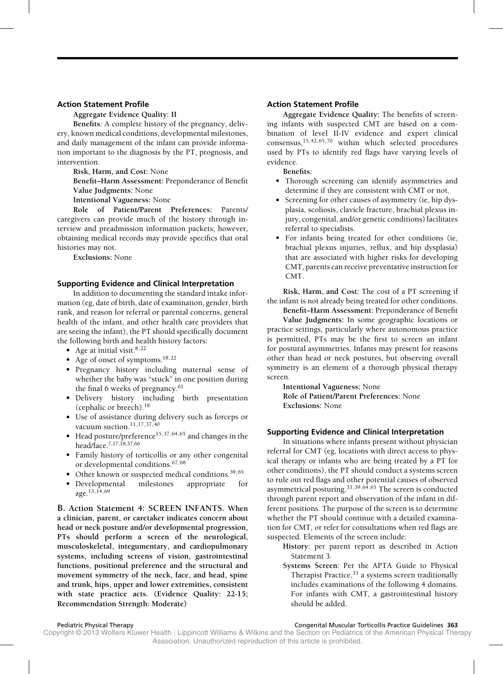#### **Action Statement Profile**

#### **Aggregate Evidence Quality: II**

**Benefits**: A complete history of the pregnancy, delivery, known medical conditions, developmental milestones, and daily management of the infant can provide information important to the diagnosis by the PT, prognosis, and intervention.

**Risk, Harm, and Cost:** None

**Benefit–Harm Assessment:** Preponderance of Benefit **Value Judgments:** None

**Intentional Vagueness:** None

**Role of Patient/Parent Preferences:** Parents/ caregivers can provide much of the history through interview and preadmission information packets; however, obtaining medical records may provide specifics that oral histories may not.

**Exclusions:** None

#### **Supporting Evidence and Clinical Interpretation**

In addition to documenting the standard intake information (eg, date of birth, date of examination, gender, birth rank, and reason for referral or parental concerns, general health of the infant, and other health care providers that are seeing the infant), the PT should specifically document the following birth and health history factors:

- Age at initial visit.<sup>8,22</sup>
- Age of onset of symptoms.<sup>18,22</sup>
- Pregnancy history including maternal sense of whether the baby was "stuck" in one position during the final 6 weeks of pregnancy.<sup>61</sup>
- Delivery history including birth presentation (cephalic or breech).18
- Use of assistance during delivery such as forceps or vacuum suction.<sup>11,17,37,40</sup>
- Head posture/preference $^{15,37,64,65}$  and changes in the head/face.7,17,18,37,66
- Family history of torticollis or any other congenital or developmental conditions.67,68
- Other known or suspected medical conditions.<sup>39,65</sup>
- Developmental milestones appropriate for age.  $^{13,14,69}$

**B. Action Statement 4: SCREEN INFANTS. When a clinician, parent, or caretaker indicates concern about head or neck posture and/or developmental progression, PTs should perform a screen of the neurological, musculoskeletal, integumentary, and cardiopulmonary systems, including screens of vision, gastrointestinal functions, positional preference and the structural and movement symmetry of the neck, face, and head, spine and trunk, hips, upper and lower extremities, consistent with state practice acts. (Evidence Quality: 22-15; Recommendation Strength: Moderate)**

#### **Action Statement Profile**

**Aggregate Evidence Quality:** The benefits of screening infants with suspected CMT are based on a combination of level II-IV evidence and expert clinical consensus,15,42,65,70 within which selected procedures used by PTs to identify red flags have varying levels of evidence.

**Benefits**:

- Thorough screening can identify asymmetries and determine if they are consistent with CMT or not.
- Screening for other causes of asymmetry (ie, hip dysplasia, scoliosis, clavicle fracture, brachial plexus injury, congenital, and/or genetic conditions) facilitates referral to specialists.
- For infants being treated for other conditions (ie, brachial plexus injuries, reflux, and hip dysplasia) that are associated with higher risks for developing CMT, parents can receive preventative instruction for CMT.

**Risk, Harm, and Cost:** The cost of a PT screening if the infant is not already being treated for other conditions.

**Benefit–Harm Assessment:** Preponderance of Benefit

**Value Judgments:** In some geographic locations or practice settings, particularly where autonomous practice is permitted, PTs may be the first to screen an infant for postural asymmetries. Infants may present for reasons other than head or neck postures, but observing overall symmetry is an element of a thorough physical therapy screen.

**Intentional Vagueness:** None **Role of Patient/Parent Preferences:** None **Exclusions:** None

#### **Supporting Evidence and Clinical Interpretation**

In situations where infants present without physician referral for CMT (eg, locations with direct access to physical therapy or infants who are being treated by a PT for other conditions), the PT should conduct a systems screen to rule out red flags and other potential causes of observed asymmetrical posturing.33,39,64,65 The screen is conducted through parent report and observation of the infant in different positions. The purpose of the screen is to determine whether the PT should continue with a detailed examination for CMT, or refer for consultations when red flags are suspected. Elements of the screen include:

- **History**: per parent report as described in Action Statement 3.
- **Systems Screen**: Per the APTA Guide to Physical Therapist Practice,<sup>33</sup> a systems screen traditionally includes examinations of the following 4 domains. For infants with CMT, a gastrointestinal history should be added.

### Pediatric Physical Therapy Congenital Muscular Torticollis Practice Guidelines **363**

Copyright © 2013 Wolters Kluwer Health | Lippincott Williams & Wilkins and the Section on Pediatrics of the American Physical Therapy Association. Unauthorized reproduction of this article is prohibited.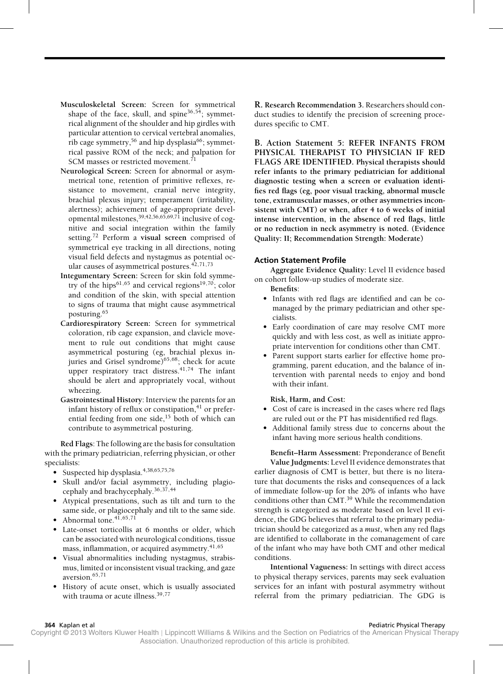- **Musculoskeletal Screen:** Screen for symmetrical shape of the face, skull, and spine $36,54$ ; symmetrical alignment of the shoulder and hip girdles with particular attention to cervical vertebral anomalies, rib cage symmetry,  $56$  and hip dysplasia<sup>66</sup>; symmetrical passive ROM of the neck; and palpation for SCM masses or restricted movement.<sup>71</sup>
- **Neurological Screen:** Screen for abnormal or asymmetrical tone, retention of primitive reflexes, resistance to movement, cranial nerve integrity, brachial plexus injury; temperament (irritability, alertness); achievement of age-appropriate developmental milestones,  $39,42,56,65,69,71$  inclusive of cognitive and social integration within the family setting.<sup>72</sup> Perform a **visual screen** comprised of symmetrical eye tracking in all directions, noting visual field defects and nystagmus as potential ocular causes of asymmetrical postures.<sup>42,71,73</sup>
- **Integumentary Screen:** Screen for skin fold symmetry of the hips<sup>61,65</sup> and cervical regions<sup>19,70</sup>; color and condition of the skin, with special attention to signs of trauma that might cause asymmetrical posturing.<sup>65</sup>
- **Cardiorespiratory Screen:** Screen for symmetrical coloration, rib cage expansion, and clavicle movement to rule out conditions that might cause asymmetrical posturing (eg, brachial plexus injuries and Grisel syndrome)<sup>65,68</sup>; check for acute upper respiratory tract distress. $41,74$  The infant should be alert and appropriately vocal, without wheezing.
- **Gastrointestinal History**: Interview the parents for an infant history of reflux or constipation, $41$  or preferential feeding from one side, $15$  both of which can contribute to asymmetrical posturing.

**Red Flags**: The following are the basis for consultation with the primary pediatrician, referring physician, or other specialists:

- Suspected hip dysplasia.<sup>4,38,65,75,76</sup>
- Skull and/or facial asymmetry, including plagiocephaly and brachycephaly.36,37,44
- Atypical presentations, such as tilt and turn to the same side, or plagiocephaly and tilt to the same side.
- $\blacktriangleright$  Abnormal tone.<sup>41,65,71</sup>
- Late-onset torticollis at 6 months or older, which can be associated with neurological conditions, tissue mass, inflammation, or acquired asymmetry. $41,65$
- Visual abnormalities including nystagmus, strabismus, limited or inconsistent visual tracking, and gaze aversion.65,71
- History of acute onset, which is usually associated with trauma or acute illness.<sup>39,77</sup>

**R. Research Recommendation 3.** Researchers should conduct studies to identify the precision of screening procedures specific to CMT.

**B. Action Statement 5: REFER INFANTS FROM PHYSICAL THERAPIST TO PHYSICIAN IF RED FLAGS ARE IDENTIFIED. Physical therapists should refer infants to the primary pediatrician for additional diagnostic testing when a screen or evaluation identifies red flags (eg, poor visual tracking, abnormal muscle tone, extramuscular masses, or other asymmetries inconsistent with CMT) or when, after 4 to 6 weeks of initial intense intervention, in the absence of red flags, little or no reduction in neck asymmetry is noted. (Evidence Quality: II; Recommendation Strength: Moderate)**

### **Action Statement Profile**

**Aggregate Evidence Quality:** Level II evidence based on cohort follow-up studies of moderate size.

- **Benefits**:
- Infants with red flags are identified and can be comanaged by the primary pediatrician and other specialists.
- Early coordination of care may resolve CMT more quickly and with less cost, as well as initiate appropriate intervention for conditions other than CMT.
- Parent support starts earlier for effective home programming, parent education, and the balance of intervention with parental needs to enjoy and bond with their infant.

**Risk, Harm, and Cost:**

- Cost of care is increased in the cases where red flags are ruled out or the PT has misidentified red flags.
- Additional family stress due to concerns about the infant having more serious health conditions.

**Benefit–Harm Assessment:** Preponderance of Benefit **Value Judgments:** Level II evidence demonstrates that

earlier diagnosis of CMT is better, but there is no literature that documents the risks and consequences of a lack of immediate follow-up for the 20% of infants who have conditions other than CMT.<sup>39</sup> While the recommendation strength is categorized as moderate based on level II evidence, the GDG believes that referral to the primary pediatrician should be categorized as a *must*, when any red flags are identified to collaborate in the comanagement of care of the infant who may have both CMT and other medical conditions.

**Intentional Vagueness:** In settings with direct access to physical therapy services, parents may seek evaluation services for an infant with postural asymmetry without referral from the primary pediatrician. The GDG is

#### **364** Kaplan et al Pediatric Physical Therapy **Algebra 2012 Pediatric Physical Therapy Pediatric Physical Therapy**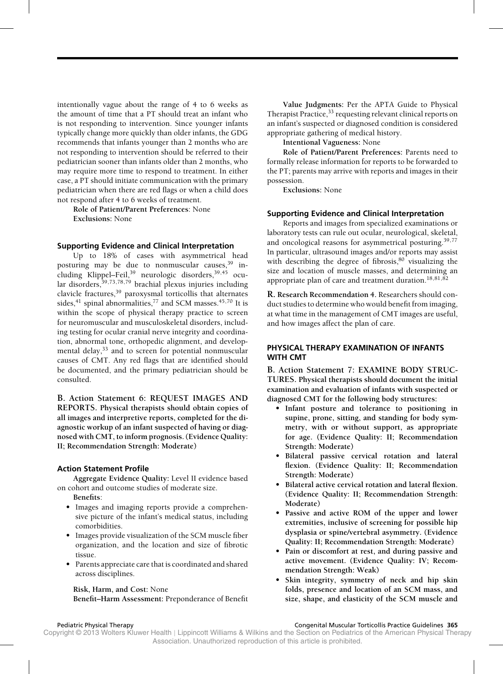<span id="page-17-0"></span>intentionally vague about the range of 4 to 6 weeks as the amount of time that a PT should treat an infant who is not responding to intervention. Since younger infants typically change more quickly than older infants, the GDG recommends that infants younger than 2 months who are not responding to intervention should be referred to their pediatrician sooner than infants older than 2 months, who may require more time to respond to treatment. In either case, a PT should initiate communication with the primary pediatrician when there are red flags or when a child does not respond after 4 to 6 weeks of treatment.

**Role of Patient/Parent Preferences**: None **Exclusions:** None

#### **Supporting Evidence and Clinical Interpretation**

Up to 18% of cases with asymmetrical head posturing may be due to nonmuscular causes,  $39$  including Klippel–Feil,<sup>39</sup> neurologic disorders,39,45 ocular disorders,  $39,73,78,79$  brachial plexus injuries including clavicle fractures,<sup>39</sup> paroxysmal torticollis that alternates sides,<sup>41</sup> spinal abnormalities,<sup>77</sup> and SCM masses.<sup>45,70</sup> It is within the scope of physical therapy practice to screen for neuromuscular and musculoskeletal disorders, including testing for ocular cranial nerve integrity and coordination, abnormal tone, orthopedic alignment, and developmental delay,<sup>33</sup> and to screen for potential nonmuscular causes of CMT. Any red flags that are identified should be documented, and the primary pediatrician should be consulted.

**B. Action Statement 6: REQUEST IMAGES AND REPORTS. Physical therapists should obtain copies of all images and interpretive reports, completed for the diagnostic workup of an infant suspected of having or diagnosed with CMT, to inform prognosis. (Evidence Quality: II; Recommendation Strength: Moderate)**

#### **Action Statement Profile**

**Aggregate Evidence Quality:** Level II evidence based on cohort and outcome studies of moderate size.

- **Benefits**:
- Images and imaging reports provide a comprehensive picture of the infant's medical status, including comorbidities.
- - Images provide visualization of the SCM muscle fiber organization, and the location and size of fibrotic tissue.
- Parents appreciate care that is coordinated and shared across disciplines.

**Risk, Harm, and Cost:** None **Benefit–Harm Assessment:** Preponderance of Benefit

**Value Judgments:** Per the APTA Guide to Physical Therapist Practice,<sup>33</sup> requesting relevant clinical reports on an infant's suspected or diagnosed condition is considered appropriate gathering of medical history.

**Intentional Vagueness:** None

**Role of Patient/Parent Preferences:** Parents need to formally release information for reports to be forwarded to the PT; parents may arrive with reports and images in their possession.

**Exclusions:** None

#### **Supporting Evidence and Clinical Interpretation**

Reports and images from specialized examinations or laboratory tests can rule out ocular, neurological, skeletal, and oncological reasons for asymmetrical posturing.<sup>39,77</sup> In particular, ultrasound images and/or reports may assist with describing the degree of fibrosis, $80$  visualizing the size and location of muscle masses, and determining an appropriate plan of care and treatment duration.<sup>18,81,82</sup>

**R. Research Recommendation 4.** Researchers should conduct studies to determine who would benefit from imaging, at what time in the management of CMT images are useful, and how images affect the plan of care.

### **PHYSICAL THERAPY EXAMINATION OF INFANTS WITH CMT**

**B. Action Statement 7: EXAMINE BODY STRUC-TURES. Physical therapists should document the initial examination and evaluation of infants with suspected or diagnosed CMT for the following body structures:**

- **Infant posture and tolerance to positioning in supine, prone, sitting, and standing for body symmetry, with or without support, as appropriate for age. (Evidence Quality: II; Recommendation Strength: Moderate)**
- **Bilateral passive cervical rotation and lateral flexion. (Evidence Quality: II; Recommendation Strength: Moderate)**
- **Bilateral active cervical rotation and lateral flexion. (Evidence Quality: II; Recommendation Strength: Moderate)**
- **Passive and active ROM of the upper and lower extremities, inclusive of screening for possible hip dysplasia or spine/vertebral asymmetry. (Evidence Quality: II; Recommendation Strength: Moderate)**
- **Pain or discomfort at rest, and during passive and active movement. (Evidence Quality: IV; Recommendation Strength: Weak)**
- **Skin integrity, symmetry of neck and hip skin folds, presence and location of an SCM mass, and size, shape, and elasticity of the SCM muscle and**

Pediatric Physical Therapy Congenital Muscular Torticollis Practice Guidelines **365**

Copyright © 2013 Wolters Kluwer Health | Lippincott Williams & Wilkins and the Section on Pediatrics of the American Physical Therapy Association. Unauthorized reproduction of this article is prohibited.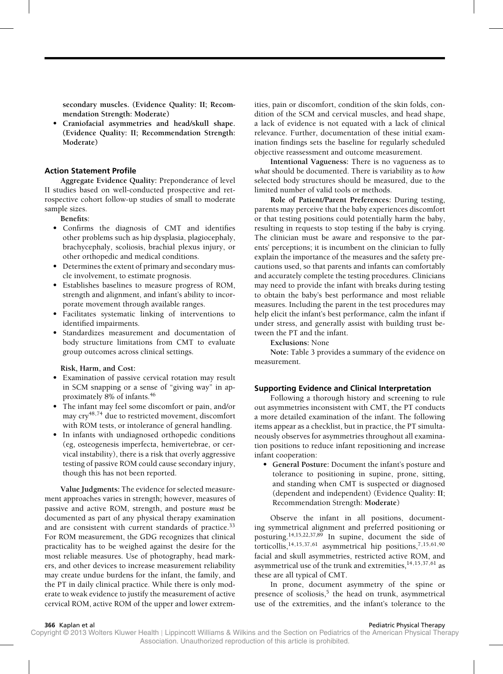**secondary muscles. (Evidence Quality: II; Recommendation Strength: Moderate)**

 $\bullet$  **Craniofacial asymmetries and head/skull shape. (Evidence Quality: II; Recommendation Strength: Moderate)**

#### **Action Statement Profile**

**Aggregate Evidence Quality:** Preponderance of level II studies based on well-conducted prospective and retrospective cohort follow-up studies of small to moderate sample sizes.

- **Benefits**:
- Confirms the diagnosis of CMT and identifies other problems such as hip dysplasia, plagiocephaly, brachycephaly, scoliosis, brachial plexus injury, or other orthopedic and medical conditions.
- Determines the extent of primary and secondary muscle involvement, to estimate prognosis.
- Establishes baselines to measure progress of ROM, strength and alignment, and infant's ability to incorporate movement through available ranges.
- Facilitates systematic linking of interventions to identified impairments.
- Standardizes measurement and documentation of body structure limitations from CMT to evaluate group outcomes across clinical settings.

#### **Risk, Harm, and Cost:**

- Examination of passive cervical rotation may result in SCM snapping or a sense of "giving way" in approximately 8% of infants.46
- The infant may feel some discomfort or pain, and/or may cry48,74 due to restricted movement, discomfort with ROM tests, or intolerance of general handling.
- In infants with undiagnosed orthopedic conditions (eg, osteogenesis imperfecta, hemivertebrae, or cervical instability), there is a risk that overly aggressive testing of passive ROM could cause secondary injury, though this has not been reported.

**Value Judgments:** The evidence for selected measurement approaches varies in strength; however, measures of passive and active ROM, strength, and posture *must* be documented as part of any physical therapy examination and are consistent with current standards of practice.<sup>33</sup> For ROM measurement, the GDG recognizes that clinical practicality has to be weighed against the desire for the most reliable measures. Use of photography, head markers, and other devices to increase measurement reliability may create undue burdens for the infant, the family, and the PT in daily clinical practice. While there is only moderate to weak evidence to justify the measurement of active cervical ROM, active ROM of the upper and lower extremities, pain or discomfort, condition of the skin folds, condition of the SCM and cervical muscles, and head shape, a lack of evidence is not equated with a lack of clinical relevance. Further, documentation of these initial examination findings sets the baseline for regularly scheduled objective reassessment and outcome measurement.

**Intentional Vagueness:** There is no vagueness as to *what* should be documented. There is variability as to *how* selected body structures should be measured, due to the limited number of valid tools or methods.

**Role of Patient/Parent Preferences:** During testing, parents may perceive that the baby experiences discomfort or that testing positions could potentially harm the baby, resulting in requests to stop testing if the baby is crying. The clinician must be aware and responsive to the parents' perceptions; it is incumbent on the clinician to fully explain the importance of the measures and the safety precautions used, so that parents and infants can comfortably and accurately complete the testing procedures. Clinicians may need to provide the infant with breaks during testing to obtain the baby's best performance and most reliable measures. Including the parent in the test procedures may help elicit the infant's best performance, calm the infant if under stress, and generally assist with building trust between the PT and the infant.

#### **Exclusions:** None

**Note:** Table 3 provides a summary of the evidence on measurement.

#### **Supporting Evidence and Clinical Interpretation**

Following a thorough history and screening to rule out asymmetries inconsistent with CMT, the PT conducts a more detailed examination of the infant. The following items appear as a checklist, but in practice, the PT simultaneously observes for asymmetries throughout all examination positions to reduce infant repositioning and increase infant cooperation:

- **General Posture:** Document the infant's posture and tolerance to positioning in supine, prone, sitting, and standing when CMT is suspected or diagnosed (dependent and independent) (Evidence Quality: **II**; Recommendation Strength: **Moderate**)

Observe the infant in all positions, documenting symmetrical alignment and preferred positioning or posturing.<sup>14,15,22,37,89</sup> In supine, document the side of torticollis,<sup>14,15,37,61</sup> asymmetrical hip positions,<sup>7,15,61,90</sup> facial and skull asymmetries, restricted active ROM, and asymmetrical use of the trunk and extremities,  $14,15,37,61$  as these are all typical of CMT.

In prone, document asymmetry of the spine or presence of scoliosis, $5$  the head on trunk, asymmetrical use of the extremities, and the infant's tolerance to the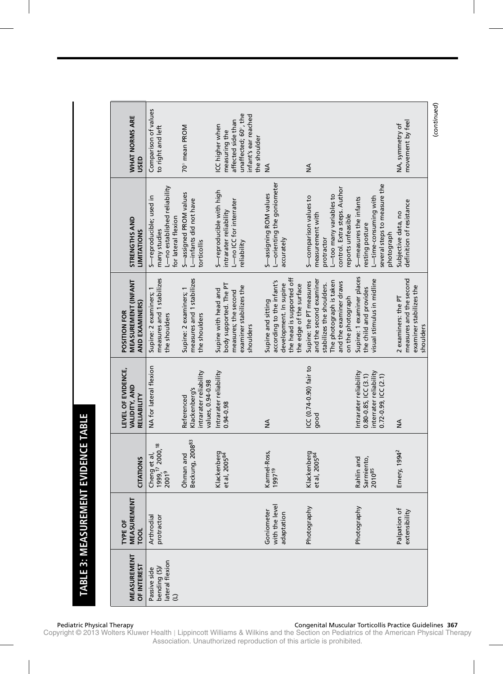<span id="page-19-0"></span>

| WHAT NORMS ARE<br>USED                                | Comparison of values<br>to right and left                                                      | 70° mean PROM                                                              | unaffected; 60°, the<br>infant's ear reached<br>affected side than<br>ICC higher when<br>measuring the<br>the shoulder | $\frac{4}{2}$                                                                                                                     | $\frac{4}{2}$                                                                                                                                             |                                                                                                                  | movement by feel<br>NA, symmetry of                                                    |
|-------------------------------------------------------|------------------------------------------------------------------------------------------------|----------------------------------------------------------------------------|------------------------------------------------------------------------------------------------------------------------|-----------------------------------------------------------------------------------------------------------------------------------|-----------------------------------------------------------------------------------------------------------------------------------------------------------|------------------------------------------------------------------------------------------------------------------|----------------------------------------------------------------------------------------|
| <b>STRENGTHS AND</b><br><b>LIMITATIONS</b>            | L—no established reliability<br>S-reproducible; used in<br>for lateral flexion<br>many studies | S-assigned PROM values<br>L-infants did not have<br>torticollis            | S-reproducible with high<br>L-no ICC for interrater<br>intrarater reliability<br>reliability                           | $_{\mathsf{L}-\mathsf{orienting}}$ the goniometer<br>S-assigning ROM values<br>accurately                                         | control. Extra steps. Author<br>L-too many variables to<br>S-comparison values to<br>measurement with<br>reports unfeasible<br>protractor                 | several steps to measure the<br>L—time-consuming with<br>S-measures the infants<br>resting posture<br>photograph | definition of resistance<br>Subjective data, no                                        |
| MEASUREMENT (INFANT<br>AND EXAMINERS)<br>POSITION FOR | measures and 1 stabilizes<br>Supine: 2 examiners; 1<br>the shoulders                           | measures and 1 stabilizes<br>Supine: 2 examiners; 1<br>the shoulders       | body supported. The PT<br>examiner stabilizes the<br>Supine with head and<br>measures; the second<br>shoulders         | the head is supported off<br>according to the infant's<br>development. In supine<br>the edge of the surface<br>Supine and sitting | and the second examiner<br>The photograph is taken<br>and the examiner draws<br>Supine: the PT measures<br>stabilizes the shoulders.<br>on the photograph | Supine: 1 examiner places<br>visual stimulus in midline<br>the child and provides                                | measures and the second<br>examiner stabilizes the<br>2 examiners: the PT<br>shoulders |
| LEVEL OF EVIDENCE,<br>VALIDITY, AND<br>RELIABILITY    | NA for lateral flexion                                                                         | intrarater reliability<br>values, 0.94-0.98<br>Klackenberg's<br>Referenced | Intrarater reliability<br>0.94-0.98                                                                                    | ≸                                                                                                                                 | ICC (0.74-0.90) fair to<br>good                                                                                                                           | interrater reliability<br>Intrarater reliability<br>$0.80 - 0.85$ , ICC $(3.1)$<br>$0.72 - 0.99$ , ICC $(2.1)$   | $\frac{4}{2}$                                                                          |
| CITATIONS                                             | Cheng et al,<br>1999, <sup>17</sup> 2000, <sup>18</sup><br>2001 <sup>9</sup>                   | Beckung, 200883<br>Öhman and                                               | Klackenberg<br>et al, 2005 <sup>84</sup>                                                                               | Karmel-Ross,<br>199719                                                                                                            | Klackenberg<br>et al, 2005 <sup>84</sup>                                                                                                                  | Rahlin and<br>Sarmiento<br>201085                                                                                | Emery, 1994 <sup>2</sup>                                                               |
| MEASUREMENT<br><b>TYPE OF</b><br><b>TOOL</b>          | Arthrodial<br>protractor                                                                       |                                                                            |                                                                                                                        | with the level<br>Goniometer<br>adaptation                                                                                        | Photography                                                                                                                                               | Photography                                                                                                      | Palpation of<br>extensibility                                                          |
| MEASUREMENT<br>OF INTEREST                            | lateral flexion<br>bending (S)<br>Passive side<br>$\ominus$                                    |                                                                            |                                                                                                                        |                                                                                                                                   |                                                                                                                                                           |                                                                                                                  |                                                                                        |

TABLE 3: MEASUREMENT EVIDENCE TABLE **TABLE 3: MEASUREMENT EVIDENCE TABLE**

### Pediatric Physical Therapy Congenital Muscular Torticollis Practice Guidelines **367**

(*continued*)

(continued)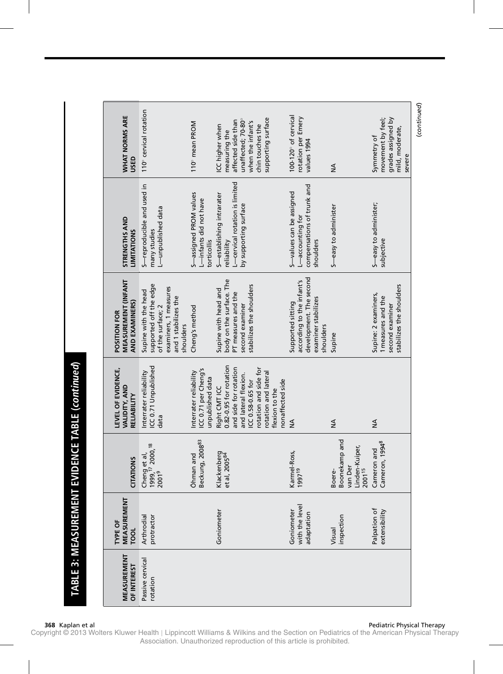| WHAT NORMS ARE<br>USED                                | 110° cervical rotation                                                                                                            | 110° mean PROM                                                     | supporting surface<br>unaffected; 70-80°<br>affected side than<br>when the infant's<br>ICC higher when<br>chin touches the<br>measuring the                                                            | 100-120° of cervical<br>rotation per Emery<br>values 1994                                                     | ≸                                                              | movement by feel;<br>grades assigned by<br>mild, moderate,<br>Symmetry of<br>severe       |
|-------------------------------------------------------|-----------------------------------------------------------------------------------------------------------------------------------|--------------------------------------------------------------------|--------------------------------------------------------------------------------------------------------------------------------------------------------------------------------------------------------|---------------------------------------------------------------------------------------------------------------|----------------------------------------------------------------|-------------------------------------------------------------------------------------------|
| <b>STRENGTHS AND</b><br><b>LIMITATIONS</b>            | S-reproducible and used in<br>- — unpublished data<br>many studies                                                                | S-assigned PROM values<br>L-infants did not have<br>torticollis    | L-cervical rotation is limited<br>S-establishing intrarater<br>by supporting surface<br>reliability                                                                                                    | compensations of trunk and<br>S-values can be assigned<br>L-accounting for<br>shoulders                       | S-easy to administer                                           | S-easy to administer;<br>subjective                                                       |
| MEASUREMENT (INFANT<br>AND EXAMINERS)<br>POSITION FOR | supported off the edge<br>examiners, 1 measures<br>Supine with the head<br>and 1 stabilizes the<br>of the surface; 2<br>shoulders | Cheng's method                                                     | body on the surface. The<br>stabilizes the shoulders<br>Supine with head and<br>PT measures and the<br>second examiner                                                                                 | development. The second<br>according to the infant's<br>examiner stabilizes<br>Supported sitting<br>shoulders | Supine                                                         | stabilizes the shoulders<br>Supine: 2 examiners,<br>1 measures and the<br>second examiner |
| LEVEL OF EVIDENCE,<br>VALIDITY, AND<br>RELIABILITY    | ICC 0.71 Unpublished<br>Interrater reliability<br>data                                                                            | ICC 0.71 per Cheng's<br>Interrater reliability<br>unpublished data | $0.82-0.95$ for rotation<br>and side for rotation<br>rotation and side for<br>rotation and lateral<br>and lateral flexion.<br>nonaffected side<br>ICC 0.58-0.65 for<br>Right CMT ICC<br>flexion to the | ≸                                                                                                             | $\lessgtr$                                                     | ≸                                                                                         |
| CITATIONS                                             | Cheng et al,<br>1999, <sup>17</sup> 2000, <sup>18</sup><br>2001 <sup>9</sup>                                                      | Beckung, 200883<br>Öhman and                                       | Klackenberg<br>et al, 2005 <sup>84</sup>                                                                                                                                                               | Karmel-Ross,<br>199719                                                                                        | Boonekamp and<br>Linden-Kuiper,<br>van Der<br>200115<br>Boere- | 19948<br>Cameron and<br>Cameron,                                                          |
| MEASUREMENT<br><b>TYPE OF</b><br><b>TOOL</b>          | Arthrodial<br>protractor                                                                                                          |                                                                    | Goniometer                                                                                                                                                                                             | with the level<br>Goniometer<br>adaptation                                                                    | inspection<br>Visual                                           | Palpation of<br>extensibility                                                             |
| MEASUREMENT<br>OF INTEREST                            | Passive cervical<br>rotation                                                                                                      |                                                                    |                                                                                                                                                                                                        |                                                                                                               |                                                                |                                                                                           |

TABLE 3: MEASUREMENT EVIDENCE TABLE (continued) **TABLE 3: MEASUREMENT EVIDENCE TABLE (continued)**

(*continued*)

(continued)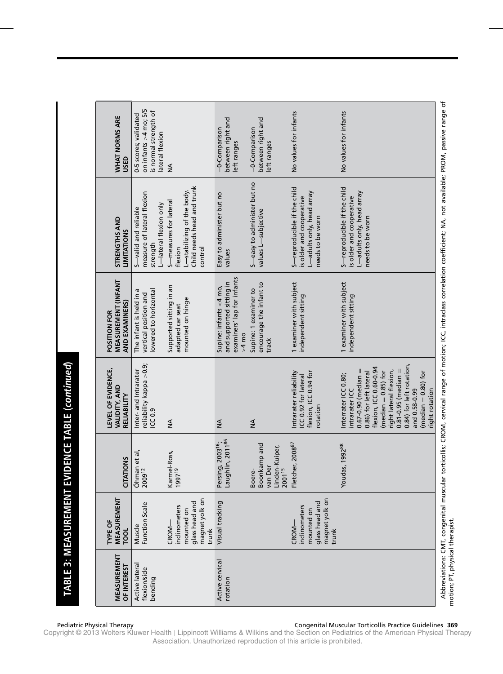| on infants $>4$ mo; 5/5<br>is normal strength of<br>No values for infants<br>No values for infants<br>0-5 scores; validated<br>WHAT NORMS ARE<br>between right and<br>between right and<br>-0-Comparison<br>-0-Comparison<br>lateral flexion<br>left ranges<br>left ranges<br>USED<br>$\frac{4}{2}$<br>S-easy to administer but no<br>Child needs head and trunk<br>S-reproducible if the child<br>S-reproducible if the child<br>L-stabilizing of the body.<br>L—adults only, head array<br>L—adults only, head array<br>measure of lateral flexion<br>Easy to administer but no<br>is older and cooperative<br>is older and cooperative<br>S-measures for lateral<br>L—lateral flexion only<br>S-valid and reliable<br>values L-subjective<br>needs to be worn<br>needs to be worn<br><b>STRENGTHS AND</b><br>LIMITATIONS<br>strength<br>flexion<br>control<br>values<br>examiners' lap for infants<br><b>MEASUREMENT (INFANT</b><br>and supported sitting in<br>1 examiner with subject<br>1 examiner with subject<br>encourage the infant to<br>Supported sitting in an<br>Supine: infants <4 mo,<br>Supine: 1 examiner to<br>G<br>lowered to horizontal<br>vertical position and<br>The infant is held in<br>independent sitting<br>independent sitting<br>mounted on hinge<br>AND EXAMINERS)<br>adapted car seat<br>POSITION FOR<br>$>4$ mo<br>track<br>reliability kappa > 0.9;<br>0.84) for left rotation,<br>flexion, ICC 0.60-0.94<br>LEVEL OF EVIDENCE,<br>Inter-and Intrarater<br>$0.67 - 0.90$ (median $=$<br>right lateral flexion,<br>$0.81 - 0.95$ (median $=$<br>(median $= 0.85$ ) for<br>0.86) for left lateral<br>(median $= 0.80$ ) for<br>Intrarater reliability<br>flexion, ICC 0.94 for<br>Interrater ICC 0.80;<br>ICC 0.92 for lateral<br>VALIDITY, AND<br>intrarater ICC<br>and 0.58-0.99<br>right rotation<br>RELIABILITY<br>CC <sub>0.9</sub> |               |
|---------------------------------------------------------------------------------------------------------------------------------------------------------------------------------------------------------------------------------------------------------------------------------------------------------------------------------------------------------------------------------------------------------------------------------------------------------------------------------------------------------------------------------------------------------------------------------------------------------------------------------------------------------------------------------------------------------------------------------------------------------------------------------------------------------------------------------------------------------------------------------------------------------------------------------------------------------------------------------------------------------------------------------------------------------------------------------------------------------------------------------------------------------------------------------------------------------------------------------------------------------------------------------------------------------------------------------------------------------------------------------------------------------------------------------------------------------------------------------------------------------------------------------------------------------------------------------------------------------------------------------------------------------------------------------------------------------------------------------------------------------------------------------------------------------------------------------------------------------------------------|---------------|
|                                                                                                                                                                                                                                                                                                                                                                                                                                                                                                                                                                                                                                                                                                                                                                                                                                                                                                                                                                                                                                                                                                                                                                                                                                                                                                                                                                                                                                                                                                                                                                                                                                                                                                                                                                                                                                                                           |               |
|                                                                                                                                                                                                                                                                                                                                                                                                                                                                                                                                                                                                                                                                                                                                                                                                                                                                                                                                                                                                                                                                                                                                                                                                                                                                                                                                                                                                                                                                                                                                                                                                                                                                                                                                                                                                                                                                           |               |
|                                                                                                                                                                                                                                                                                                                                                                                                                                                                                                                                                                                                                                                                                                                                                                                                                                                                                                                                                                                                                                                                                                                                                                                                                                                                                                                                                                                                                                                                                                                                                                                                                                                                                                                                                                                                                                                                           | $\frac{4}{2}$ |
|                                                                                                                                                                                                                                                                                                                                                                                                                                                                                                                                                                                                                                                                                                                                                                                                                                                                                                                                                                                                                                                                                                                                                                                                                                                                                                                                                                                                                                                                                                                                                                                                                                                                                                                                                                                                                                                                           | $\frac{4}{2}$ |
|                                                                                                                                                                                                                                                                                                                                                                                                                                                                                                                                                                                                                                                                                                                                                                                                                                                                                                                                                                                                                                                                                                                                                                                                                                                                                                                                                                                                                                                                                                                                                                                                                                                                                                                                                                                                                                                                           | $\frac{4}{2}$ |
|                                                                                                                                                                                                                                                                                                                                                                                                                                                                                                                                                                                                                                                                                                                                                                                                                                                                                                                                                                                                                                                                                                                                                                                                                                                                                                                                                                                                                                                                                                                                                                                                                                                                                                                                                                                                                                                                           | rotation      |
|                                                                                                                                                                                                                                                                                                                                                                                                                                                                                                                                                                                                                                                                                                                                                                                                                                                                                                                                                                                                                                                                                                                                                                                                                                                                                                                                                                                                                                                                                                                                                                                                                                                                                                                                                                                                                                                                           |               |

motion; PT, physical therapist. motion; PT, physical therapist.

# Pediatric Physical Therapy Congenital Muscular Torticollis Practice Guidelines **369**

Copyright © 2013 Wolters Kluwer Health | Lippincott Williams & Wilkins and the Section on Pediatrics of the American Physical Therapy Association. Unauthorized reproduction of this article is prohibited.

TABLE 3: MEASUREMENT EVIDENCE TABLE (continued) **TABLE 3: MEASUREMENT EVIDENCE TABLE (continued)**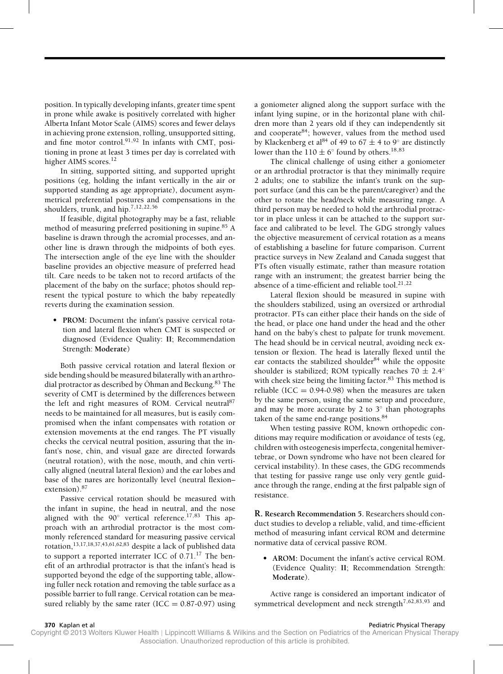position. In typically developing infants, greater time spent in prone while awake is positively correlated with higher Alberta Infant Motor Scale (AIMS) scores and fewer delays in achieving prone extension, rolling, unsupported sitting, and fine motor control.<sup>91,92</sup> In infants with CMT, positioning in prone at least 3 times per day is correlated with higher AIMS scores.<sup>12</sup>

In sitting, supported sitting, and supported upright positions (eg, holding the infant vertically in the air or supported standing as age appropriate), document asymmetrical preferential postures and compensations in the shoulders, trunk, and hip.7,12,22,56

If feasible, digital photography may be a fast, reliable method of measuring preferred positioning in supine.<sup>85</sup> A baseline is drawn through the acromial processes, and another line is drawn through the midpoints of both eyes. The intersection angle of the eye line with the shoulder baseline provides an objective measure of preferred head tilt. Care needs to be taken not to record artifacts of the placement of the baby on the surface; photos should represent the typical posture to which the baby repeatedly reverts during the examination session.

- **PROM:** Document the infant's passive cervical rotation and lateral flexion when CMT is suspected or diagnosed (Evidence Quality: **II**; Recommendation Strength: **Moderate**)

Both passive cervical rotation and lateral flexion or side bending should be measured bilaterally with an arthrodial protractor as described by Öhman and Beckung.<sup>83</sup> The severity of CMT is determined by the differences between the left and right measures of ROM. Cervical neutral<sup>87</sup> needs to be maintained for all measures, but is easily compromised when the infant compensates with rotation or extension movements at the end ranges. The PT visually checks the cervical neutral position, assuring that the infant's nose, chin, and visual gaze are directed forwards (neutral rotation), with the nose, mouth, and chin vertically aligned (neutral lateral flexion) and the ear lobes and base of the nares are horizontally level (neutral flexion– extension).87

Passive cervical rotation should be measured with the infant in supine, the head in neutral, and the nose aligned with the 90◦ vertical reference.17,83 This approach with an arthrodial protractor is the most commonly referenced standard for measuring passive cervical rotation,13,17,18,37,43,61,62,83 despite a lack of published data to support a reported interrater ICC of  $0.71$ .<sup>17</sup> The benefit of an arthrodial protractor is that the infant's head is supported beyond the edge of the supporting table, allowing fuller neck rotation and removing the table surface as a possible barrier to full range. Cervical rotation can be measured reliably by the same rater (ICC  $= 0.87 - 0.97$ ) using a goniometer aligned along the support surface with the infant lying supine, or in the horizontal plane with children more than 2 years old if they can independently sit and cooperate<sup>84</sup>; however, values from the method used by Klackenberg et al<sup>84</sup> of 49 to 67  $\pm$  4 to 9° are distinctly lower than the  $110 \pm 6^{\circ}$  found by others.<sup>18,83</sup>

The clinical challenge of using either a goniometer or an arthrodial protractor is that they minimally require 2 adults; one to stabilize the infant's trunk on the support surface (and this can be the parent/caregiver) and the other to rotate the head/neck while measuring range. A third person may be needed to hold the arthrodial protractor in place unless it can be attached to the support surface and calibrated to be level. The GDG strongly values the objective measurement of cervical rotation as a means of establishing a baseline for future comparison. Current practice surveys in New Zealand and Canada suggest that PTs often visually estimate, rather than measure rotation range with an instrument; the greatest barrier being the absence of a time-efficient and reliable tool. $21,22$ 

Lateral flexion should be measured in supine with the shoulders stabilized, using an oversized or arthrodial protractor. PTs can either place their hands on the side of the head, or place one hand under the head and the other hand on the baby's chest to palpate for trunk movement. The head should be in cervical neutral, avoiding neck extension or flexion. The head is laterally flexed until the ear contacts the stabilized shoulder $84$  while the opposite shoulder is stabilized; ROM typically reaches 70  $\pm$  2.4 $\degree$ with cheek size being the limiting factor.<sup>83</sup> This method is reliable (ICC =  $0.94-0.98$ ) when the measures are taken by the same person, using the same setup and procedure, and may be more accurate by 2 to  $3°$  than photographs taken of the same end-range positions.<sup>84</sup>

When testing passive ROM, known orthopedic conditions may require modification or avoidance of tests (eg, children with osteogenesis imperfecta, congenital hemivertebrae, or Down syndrome who have not been cleared for cervical instability). In these cases, the GDG recommends that testing for passive range use only very gentle guidance through the range, ending at the first palpable sign of resistance.

**R. Research Recommendation 5.** Researchers should conduct studies to develop a reliable, valid, and time-efficient method of measuring infant cervical ROM and determine normative data of cervical passive ROM.

- **AROM:** Document the infant's active cervical ROM. (Evidence Quality: **II**; Recommendation Strength: **Moderate**).

Active range is considered an important indicator of symmetrical development and neck strength<sup>7,62,83,93</sup> and

Copyright © 2013 Wolters Kluwer Health | Lippincott Williams & Wilkins and the Section on Pediatrics of the American Physical Therapy Association. Unauthorized reproduction of this article is prohibited.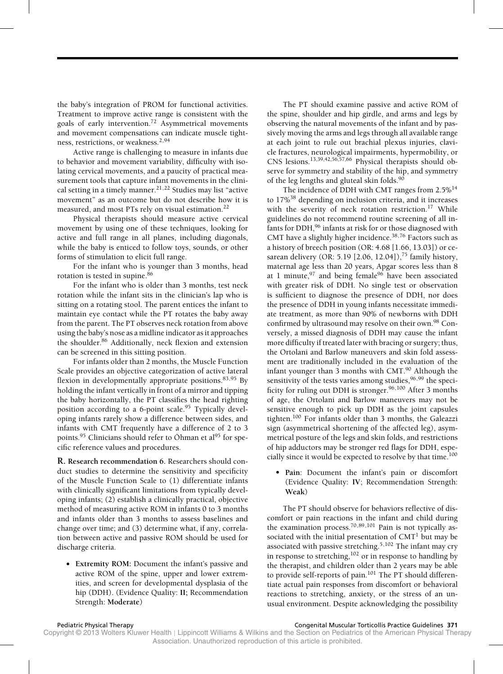the baby's integration of PROM for functional activities. Treatment to improve active range is consistent with the goals of early intervention.<sup>72</sup> Asymmetrical movements and movement compensations can indicate muscle tightness, restrictions, or weakness. $2,94$ 

Active range is challenging to measure in infants due to behavior and movement variability, difficulty with isolating cervical movements, and a paucity of practical measurement tools that capture infant movements in the clinical setting in a timely manner.<sup>21,22</sup> Studies may list "active" movement" as an outcome but do not describe how it is measured, and most PTs rely on visual estimation.<sup>22</sup>

Physical therapists should measure active cervical movement by using one of these techniques, looking for active and full range in all planes, including diagonals, while the baby is enticed to follow toys, sounds, or other forms of stimulation to elicit full range.

For the infant who is younger than 3 months, head rotation is tested in supine.<sup>86</sup>

For the infant who is older than 3 months, test neck rotation while the infant sits in the clinician's lap who is sitting on a rotating stool. The parent entices the infant to maintain eye contact while the PT rotates the baby away from the parent. The PT observes neck rotation from above using the baby's nose as a midline indicator as it approaches the shoulder.<sup>86</sup> Additionally, neck flexion and extension can be screened in this sitting position.

For infants older than 2 months, the Muscle Function Scale provides an objective categorization of active lateral flexion in developmentally appropriate positions.<sup>83,95</sup> By holding the infant vertically in front of a mirror and tipping the baby horizontally, the PT classifies the head righting position according to a 6-point scale.<sup>95</sup> Typically developing infants rarely show a difference between sides, and infants with CMT frequently have a difference of 2 to 3 points.<sup>95</sup> Clinicians should refer to Öhman et al<sup>95</sup> for specific reference values and procedures.

**R. Research recommendation 6.** Researchers should conduct studies to determine the sensitivity and specificity of the Muscle Function Scale to (1) differentiate infants with clinically significant limitations from typically developing infants; (2) establish a clinically practical, objective method of measuring active ROM in infants 0 to 3 months and infants older than 3 months to assess baselines and change over time; and (3) determine what, if any, correlation between active and passive ROM should be used for discharge criteria.

- **Extremity ROM:** Document the infant's passive and active ROM of the spine, upper and lower extremities, and screen for developmental dysplasia of the hip (DDH). (Evidence Quality: **II;** Recommendation Strength: **Moderate**)

The PT should examine passive and active ROM of the spine, shoulder and hip girdle, and arms and legs by observing the natural movements of the infant and by passively moving the arms and legs through all available range at each joint to rule out brachial plexus injuries, clavicle fractures, neurological impairments, hypermobility, or CNS lesions.13,39,42,56,57,66 Physical therapists should observe for symmetry and stability of the hip, and symmetry of the leg lengths and gluteal skin folds.<sup>90</sup>

The incidence of DDH with CMT ranges from  $2.5\%$ <sup>14</sup> to 17%<sup>38</sup> depending on inclusion criteria, and it increases with the severity of neck rotation restriction.<sup>17</sup> While guidelines do not recommend routine screening of all infants for DDH, $96$  infants at risk for or those diagnosed with CMT have a slightly higher incidence.<sup>38,76</sup> Factors such as a history of breech position (OR: 4.68 [1.66, 13.03]) or cesarean delivery (OR: 5.19 [2.06, 12.04]),<sup>75</sup> family history, maternal age less than 20 years, Apgar scores less than 8 at 1 minute,  $97$  and being female  $96$  have been associated with greater risk of DDH. No single test or observation is sufficient to diagnose the presence of DDH, nor does the presence of DDH in young infants necessitate immediate treatment, as more than 90% of newborns with DDH confirmed by ultrasound may resolve on their own.<sup>98</sup> Conversely, a missed diagnosis of DDH may cause the infant more difficulty if treated later with bracing or surgery; thus, the Ortolani and Barlow maneuvers and skin fold assessment are traditionally included in the evaluation of the infant younger than 3 months with  $CMT$ .<sup>90</sup> Although the sensitivity of the tests varies among studies,  $96,99$  the specificity for ruling out DDH is stronger.<sup>96,100</sup> After 3 months of age, the Ortolani and Barlow maneuvers may not be sensitive enough to pick up DDH as the joint capsules tighten.<sup>100</sup> For infants older than 3 months, the Galeazzi sign (asymmetrical shortening of the affected leg), asymmetrical posture of the legs and skin folds, and restrictions of hip adductors may be stronger red flags for DDH, especially since it would be expected to resolve by that time.<sup>100</sup>

- **Pain**: Document the infant's pain or discomfort (Evidence Quality: **IV**; Recommendation Strength: **Weak**)

The PT should observe for behaviors reflective of discomfort or pain reactions in the infant and child during the examination process.<sup>70,89,101</sup> Pain is not typically associated with the initial presentation of  $CMT<sup>1</sup>$  but may be associated with passive stretching.<sup>5,102</sup> The infant may cry in response to stretching, $102$  or in response to handling by the therapist, and children older than 2 years may be able to provide self-reports of pain.<sup>101</sup> The PT should differentiate actual pain responses from discomfort or behavioral reactions to stretching, anxiety, or the stress of an unusual environment. Despite acknowledging the possibility

#### Pediatric Physical Therapy Congenital Muscular Torticollis Practice Guidelines **371**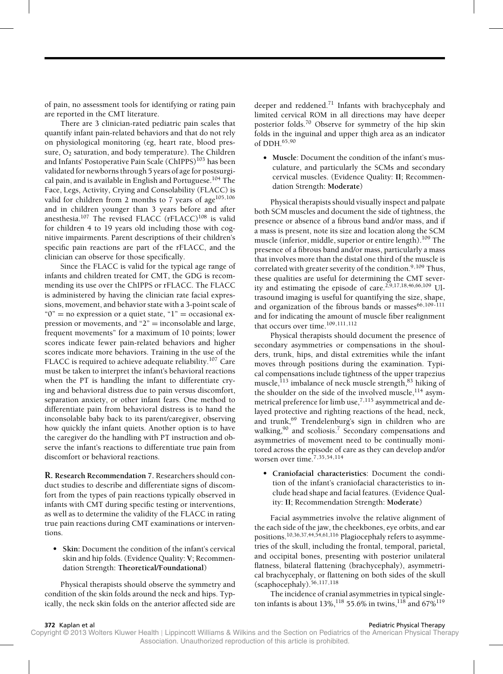of pain, no assessment tools for identifying or rating pain are reported in the CMT literature.

There are 3 clinician-rated pediatric pain scales that quantify infant pain-related behaviors and that do not rely on physiological monitoring (eg, heart rate, blood pressure,  $O_2$  saturation, and body temperature). The Children and Infants' Postoperative Pain Scale (ChIPPS)<sup>103</sup> has been validated for newborns through 5 years of age for postsurgical pain, and is available in English and Portuguese.<sup>104</sup> The Face, Legs, Activity, Crying and Consolability (FLACC) is valid for children from 2 months to 7 years of age $105,106$ and in children younger than 3 years before and after anesthesia.<sup>107</sup> The revised FLACC (rFLACC)<sup>108</sup> is valid for children 4 to 19 years old including those with cognitive impairments. Parent descriptions of their children's specific pain reactions are part of the rFLACC, and the clinician can observe for those specifically.

Since the FLACC is valid for the typical age range of infants and children treated for CMT, the GDG is recommending its use over the ChIPPS or rFLACC. The FLACC is administered by having the clinician rate facial expressions, movement, and behavior state with a 3-point scale of " $0$ " = no expression or a quiet state, " $1$ " = occasional expression or movements, and "2" = inconsolable and large, frequent movements" for a maximum of 10 points; lower scores indicate fewer pain-related behaviors and higher scores indicate more behaviors. Training in the use of the FLACC is required to achieve adequate reliability.<sup>107</sup> Care must be taken to interpret the infant's behavioral reactions when the PT is handling the infant to differentiate crying and behavioral distress due to pain versus discomfort, separation anxiety, or other infant fears. One method to differentiate pain from behavioral distress is to hand the inconsolable baby back to its parent/caregiver, observing how quickly the infant quiets. Another option is to have the caregiver do the handling with PT instruction and observe the infant's reactions to differentiate true pain from discomfort or behavioral reactions.

**R. Research Recommendation 7.** Researchers should conduct studies to describe and differentiate signs of discomfort from the types of pain reactions typically observed in infants with CMT during specific testing or interventions, as well as to determine the validity of the FLACC in rating true pain reactions during CMT examinations or interventions.

- **Skin:** Document the condition of the infant's cervical skin and hip folds. (Evidence Quality: **V**; Recommendation Strength: **Theoretical/Foundational**)

Physical therapists should observe the symmetry and condition of the skin folds around the neck and hips. Typically, the neck skin folds on the anterior affected side are deeper and reddened.<sup>71</sup> Infants with brachycephaly and limited cervical ROM in all directions may have deeper posterior folds.70 Observe for symmetry of the hip skin folds in the inguinal and upper thigh area as an indicator of DDH.65,90

- **Muscle**: Document the condition of the infant's musculature, and particularly the SCMs and secondary cervical muscles. (Evidence Quality: **II**; Recommendation Strength: **Moderate**)

Physical therapists should visually inspect and palpate both SCM muscles and document the side of tightness, the presence or absence of a fibrous band and/or mass, and if a mass is present, note its size and location along the SCM muscle (inferior, middle, superior or entire length).<sup>109</sup> The presence of a fibrous band and/or mass, particularly a mass that involves more than the distal one third of the muscle is correlated with greater severity of the condition. $9,109$  Thus, these qualities are useful for determining the CMT severity and estimating the episode of care.<sup>2,9,17,18,46,66,109</sup> Ultrasound imaging is useful for quantifying the size, shape, and organization of the fibrous bands or masses $66,109-111$ and for indicating the amount of muscle fiber realignment that occurs over time.<sup>109,111,112</sup>

Physical therapists should document the presence of secondary asymmetries or compensations in the shoulders, trunk, hips, and distal extremities while the infant moves through positions during the examination. Typical compensations include tightness of the upper trapezius muscle, $^{113}$  imbalance of neck muscle strength, $^{83}$  hiking of the shoulder on the side of the involved muscle,  $^{114}$  asymmetrical preference for limb use,<sup> $7,115$ </sup> asymmetrical and delayed protective and righting reactions of the head, neck, and trunk,<sup>69</sup> Trendelenburg's sign in children who are walking,<sup>90</sup> and scoliosis.<sup>7</sup> Secondary compensations and asymmetries of movement need to be continually monitored across the episode of care as they can develop and/or worsen over time.7,35,54,114

- **Craniofacial characteristics**: Document the condition of the infant's craniofacial characteristics to include head shape and facial features. (Evidence Quality: **II**; Recommendation Strength: **Moderate**)

Facial asymmetries involve the relative alignment of the each side of the jaw, the cheekbones, eye orbits, and ear positions.10,36,37,44,54,61,116 Plagiocephaly refers to asymmetries of the skull, including the frontal, temporal, parietal, and occipital bones, presenting with posterior unilateral flatness, bilateral flattening (brachycephaly), asymmetrical brachycephaly, or flattening on both sides of the skull (scaphocephaly).56,117,118

The incidence of cranial asymmetries in typical singleton infants is about 13%,<sup>118</sup> 55.6% in twins,<sup>118</sup> and 67%<sup>119</sup>

Copyright © 2013 Wolters Kluwer Health | Lippincott Williams & Wilkins and the Section on Pediatrics of the American Physical Therapy Association. Unauthorized reproduction of this article is prohibited.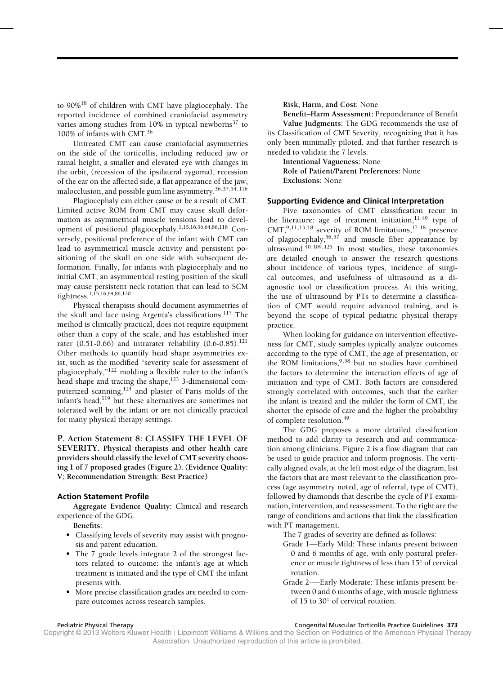to 90%18 of children with CMT have plagiocephaly. The reported incidence of combined craniofacial asymmetry varies among studies from  $10\%$  in typical newborns<sup>37</sup> to 100% of infants with CMT.<sup>36</sup>

Untreated CMT can cause craniofacial asymmetries on the side of the torticollis, including reduced jaw or ramal height, a smaller and elevated eye with changes in the orbit, (recession of the ipsilateral zygoma), recession of the ear on the affected side, a flat appearance of the jaw, malocclusion, and possible gum line asymmetry.36,37,54,116

Plagiocephaly can either cause or be a result of CMT. Limited active ROM from CMT may cause skull deformation as asymmetrical muscle tensions lead to development of positional plagiocephaly.1,15,16,36,64,86,118 Conversely, positional preference of the infant with CMT can lead to asymmetrical muscle activity and persistent positioning of the skull on one side with subsequent deformation. Finally, for infants with plagiocephaly and no initial CMT, an asymmetrical resting position of the skull may cause persistent neck rotation that can lead to SCM tightness.1,15,16,64,86,120

Physical therapists should document asymmetries of the skull and face using Argenta's classifications.<sup>117</sup> The method is clinically practical, does not require equipment other than a copy of the scale, and has established inter rater (0.51-0.66) and intrarater reliability (0.6-0.85).<sup>121</sup> Other methods to quantify head shape asymmetries exist, such as the modified "severity scale for assessment of plagiocephaly,"<sup>122</sup> molding a flexible ruler to the infant's head shape and tracing the shape,<sup>123</sup> 3-dimensional computerized scanning,<sup>124</sup> and plaster of Paris molds of the infant's head,<sup>119</sup> but these alternatives are sometimes not tolerated well by the infant or are not clinically practical for many physical therapy settings.

**P. Action Statement 8: CLASSIFY THE LEVEL OF SEVERITY. Physical therapists and other health care providers should classify the level of CMT severity choosing 1 of 7 proposed grades (Figure 2). (Evidence Quality: V; Recommendation Strength: Best Practice)**

#### **Action Statement Profile**

**Aggregate Evidence Quality:** Clinical and research experience of the GDG.

**Benefits**:

- Classifying levels of severity may assist with prognosis and parent education.
- - The 7 grade levels integrate 2 of the strongest factors related to outcome: the infant's age at which treatment is initiated and the type of CMT the infant presents with.
- More precise classification grades are needed to compare outcomes across research samples.

**Risk, Harm, and Cost:** None

**Benefit–Harm Assessment:** Preponderance of Benefit **Value Judgments:** The GDG recommends the use of its Classification of CMT Severity, recognizing that it has only been minimally piloted, and that further research is needed to validate the 7 levels.

**Intentional Vagueness:** None **Role of Patient/Parent Preferences:** None **Exclusions:** None

### **Supporting Evidence and Clinical Interpretation**

Five taxonomies of CMT classification recur in the literature: age of treatment initiation, $11,49$  type of  $CMT$ ,<sup>9,11,13,18</sup> severity of ROM limitations,<sup>17,18</sup> presence of plagiocephaly,<sup>56,57</sup> and muscle fiber appearance by ultrasound.<sup>40,109,125</sup> In most studies, these taxonomies are detailed enough to answer the research questions about incidence of various types, incidence of surgical outcomes, and usefulness of ultrasound as a diagnostic tool or classification process. At this writing, the use of ultrasound by PTs to determine a classification of CMT would require advanced training, and is beyond the scope of typical pediatric physical therapy practice.

When looking for guidance on intervention effectiveness for CMT, study samples typically analyze outcomes according to the type of CMT, the age of presentation, or the ROM limitations,  $9,58$  but no studies have combined the factors to determine the interaction effects of age of initiation and type of CMT. Both factors are considered strongly correlated with outcomes, such that the earlier the infant is treated and the milder the form of CMT, the shorter the episode of care and the higher the probability of complete resolution.49

The GDG proposes a more detailed classification method to add clarity to research and aid communication among clinicians. Figure 2 is a flow diagram that can be used to guide practice and inform prognosis. The vertically aligned ovals, at the left most edge of the diagram, list the factors that are most relevant to the classification process (age asymmetry noted, age of referral, type of CMT), followed by diamonds that describe the cycle of PT examination, intervention, and reassessment. To the right are the range of conditions and actions that link the classification with PT management.

The 7 grades of severity are defined as follows:

- Grade 1—Early Mild: These infants present between 0 and 6 months of age, with only postural preference or muscle tightness of less than 15◦ of cervical rotation.
- Grade 2-—Early Moderate: These infants present between 0 and 6 months of age, with muscle tightness of 15 to 30◦ of cervical rotation.

### Pediatric Physical Therapy Congenital Muscular Torticollis Practice Guidelines **373**

Copyright © 2013 Wolters Kluwer Health | Lippincott Williams & Wilkins and the Section on Pediatrics of the American Physical Therapy Association. Unauthorized reproduction of this article is prohibited.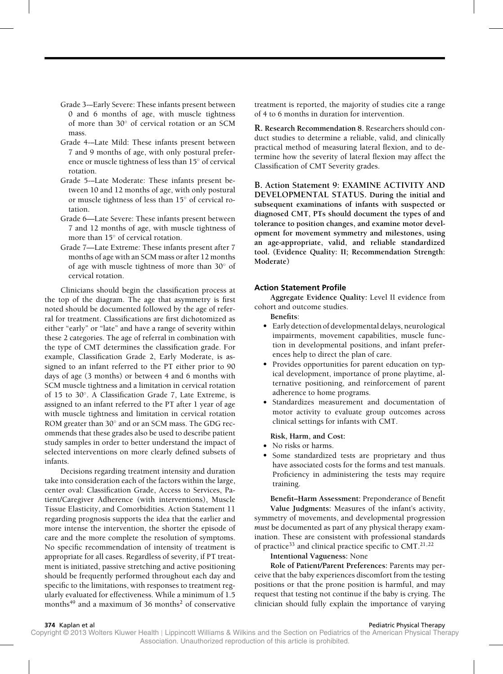- Grade 3-–Early Severe: These infants present between 0 and 6 months of age, with muscle tightness of more than 30◦ of cervical rotation or an SCM mass.
- Grade 4-–Late Mild: These infants present between 7 and 9 months of age, with only postural preference or muscle tightness of less than 15◦ of cervical rotation.
- Grade 5-–Late Moderate: These infants present between 10 and 12 months of age, with only postural or muscle tightness of less than 15◦ of cervical rotation.
- Grade 6—Late Severe: These infants present between 7 and 12 months of age, with muscle tightness of more than 15◦ of cervical rotation.
- Grade 7—Late Extreme: These infants present after 7 months of age with an SCM mass or after 12 months of age with muscle tightness of more than 30◦ of cervical rotation.

Clinicians should begin the classification process at the top of the diagram. The age that asymmetry is first noted should be documented followed by the age of referral for treatment. Classifications are first dichotomized as either "early" or "late" and have a range of severity within these 2 categories. The age of referral in combination with the type of CMT determines the classification grade. For example, Classification Grade 2, Early Moderate, is assigned to an infant referred to the PT either prior to 90 days of age (3 months) or between 4 and 6 months with SCM muscle tightness and a limitation in cervical rotation of 15 to 30◦. A Classification Grade 7, Late Extreme, is assigned to an infant referred to the PT after 1 year of age with muscle tightness and limitation in cervical rotation ROM greater than 30◦ and or an SCM mass. The GDG recommends that these grades also be used to describe patient study samples in order to better understand the impact of selected interventions on more clearly defined subsets of infants.

Decisions regarding treatment intensity and duration take into consideration each of the factors within the large, center oval: Classification Grade, Access to Services, Patient/Caregiver Adherence (with interventions), Muscle Tissue Elasticity, and Comorbidities. Action Statement 11 regarding prognosis supports the idea that the earlier and more intense the intervention, the shorter the episode of care and the more complete the resolution of symptoms. No specific recommendation of intensity of treatment is appropriate for all cases. Regardless of severity, if PT treatment is initiated, passive stretching and active positioning should be frequently performed throughout each day and specific to the limitations, with responses to treatment regularly evaluated for effectiveness. While a minimum of 1.5 months<sup>49</sup> and a maximum of 36 months<sup>2</sup> of conservative treatment is reported, the majority of studies cite a range of 4 to 6 months in duration for intervention.

**R. Research Recommendation 8.** Researchers should conduct studies to determine a reliable, valid, and clinically practical method of measuring lateral flexion, and to determine how the severity of lateral flexion may affect the Classification of CMT Severity grades.

**B. Action Statement 9: EXAMINE ACTIVITY AND DEVELOPMENTAL STATUS. During the initial and subsequent examinations of infants with suspected or diagnosed CMT, PTs should document the types of and tolerance to position changes, and examine motor development for movement symmetry and milestones, using an age-appropriate, valid, and reliable standardized tool. (Evidence Quality: II; Recommendation Strength: Moderate)**

#### **Action Statement Profile**

**Aggregate Evidence Quality:** Level II evidence from cohort and outcome studies.

**Benefits**:

- Early detection of developmental delays, neurological impairments, movement capabilities, muscle function in developmental positions, and infant preferences help to direct the plan of care.
- Provides opportunities for parent education on typical development, importance of prone playtime, alternative positioning, and reinforcement of parent adherence to home programs.
- Standardizes measurement and documentation of motor activity to evaluate group outcomes across clinical settings for infants with CMT.

#### **Risk, Harm, and Cost:**

- No risks or harms.
- Some standardized tests are proprietary and thus have associated costs for the forms and test manuals. Proficiency in administering the tests may require training.

**Benefit–Harm Assessment:** Preponderance of Benefit

**Value Judgments:** Measures of the infant's activity, symmetry of movements, and developmental progression *must* be documented as part of any physical therapy examination. These are consistent with professional standards of practice<sup>33</sup> and clinical practice specific to  $CMT$ <sup>21,22</sup>

### **Intentional Vagueness:** None

**Role of Patient/Parent Preferences:** Parents may perceive that the baby experiences discomfort from the testing positions or that the prone position is harmful, and may request that testing not continue if the baby is crying. The clinician should fully explain the importance of varying

Copyright © 2013 Wolters Kluwer Health | Lippincott Williams & Wilkins and the Section on Pediatrics of the American Physical Therapy Association. Unauthorized reproduction of this article is prohibited.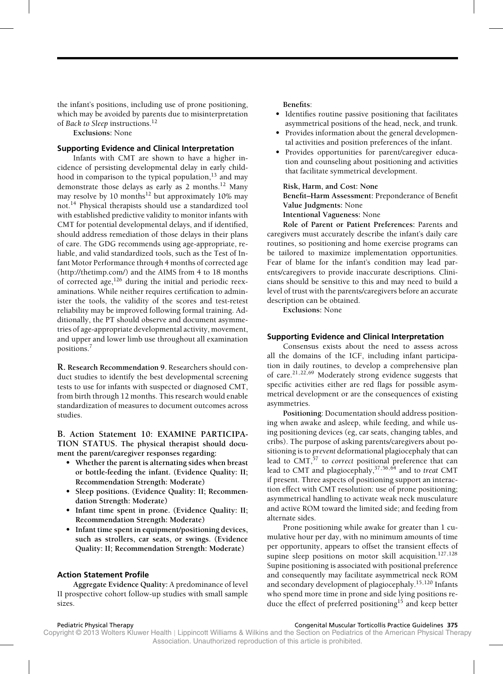the infant's positions, including use of prone positioning, which may be avoided by parents due to misinterpretation of *Back to Sleep* instructions.12

**Exclusions:** None

#### **Supporting Evidence and Clinical Interpretation**

Infants with CMT are shown to have a higher incidence of persisting developmental delay in early childhood in comparison to the typical population,<sup>13</sup> and may demonstrate those delays as early as 2 months.<sup>12</sup> Many may resolve by 10 months $12$  but approximately 10% may not.14 Physical therapists should use a standardized tool with established predictive validity to monitor infants with CMT for potential developmental delays, and if identified, should address remediation of those delays in their plans of care. The GDG recommends using age-appropriate, reliable, and valid standardized tools, such as the Test of Infant Motor Performance through 4 months of corrected age [\(http://thetimp.com/\)](http://thetimp.com/) and the AIMS from 4 to 18 months of corrected age, $126$  during the initial and periodic reexaminations. While neither requires certification to administer the tools, the validity of the scores and test-retest reliability may be improved following formal training. Additionally, the PT should observe and document asymmetries of age-appropriate developmental activity, movement, and upper and lower limb use throughout all examination positions.<sup>7</sup>

**R. Research Recommendation 9.** Researchers should conduct studies to identify the best developmental screening tests to use for infants with suspected or diagnosed CMT, from birth through 12 months. This research would enable standardization of measures to document outcomes across studies.

**B. Action Statement 10: EXAMINE PARTICIPA-TION STATUS. The physical therapist should document the parent/caregiver responses regarding:**

- **Whether the parent is alternating sides when breast or bottle-feeding the infant. (Evidence Quality: II; Recommendation Strength: Moderate)**
- **Sleep positions. (Evidence Quality: II; Recommendation Strength: Moderate)**
- **Infant time spent in prone. (Evidence Quality: II; Recommendation Strength: Moderate)**
- - **Infant time spent in equipment/positioning devices, such as strollers, car seats, or swings. (Evidence Quality: II; Recommendation Strength: Moderate)**

### **Action Statement Profile**

**Aggregate Evidence Quality:** A predominance of level II prospective cohort follow-up studies with small sample sizes.

**Benefits**:

- Identifies routine passive positioning that facilitates asymmetrical positions of the head, neck, and trunk.
- Provides information about the general developmental activities and position preferences of the infant.
- - Provides opportunities for parent/caregiver education and counseling about positioning and activities that facilitate symmetrical development.

**Risk, Harm, and Cost: None**

**Benefit–Harm Assessment:** Preponderance of Benefit **Value Judgments:** None

**Intentional Vagueness:** None

**Role of Parent or Patient Preferences:** Parents and caregivers must accurately describe the infant's daily care routines, so positioning and home exercise programs can be tailored to maximize implementation opportunities. Fear of blame for the infant's condition may lead parents/caregivers to provide inaccurate descriptions. Clinicians should be sensitive to this and may need to build a level of trust with the parents/caregivers before an accurate description can be obtained.

**Exclusions:** None

### **Supporting Evidence and Clinical Interpretation**

Consensus exists about the need to assess across all the domains of the ICF, including infant participation in daily routines, to develop a comprehensive plan of care.<sup>21,22,69</sup> Moderately strong evidence suggests that specific activities either are red flags for possible asymmetrical development or are the consequences of existing asymmetries.

**Positioning**: Documentation should address positioning when awake and asleep, while feeding, and while using positioning devices (eg, car seats, changing tables, and cribs). The purpose of asking parents/caregivers about positioning is to *prevent* deformational plagiocephaly that can lead to CMT,<sup>57</sup> to *correct* positional preference that can lead to CMT and plagiocephaly,37,56,64 and to *treat* CMT if present. Three aspects of positioning support an interaction effect with CMT resolution: use of prone positioning; asymmetrical handling to activate weak neck musculature and active ROM toward the limited side; and feeding from alternate sides.

Prone positioning while awake for greater than 1 cumulative hour per day, with no minimum amounts of time per opportunity, appears to offset the transient effects of supine sleep positions on motor skill acquisition.<sup>127,128</sup> Supine positioning is associated with positional preference and consequently may facilitate asymmetrical neck ROM and secondary development of plagiocephaly.15,120 Infants who spend more time in prone and side lying positions reduce the effect of preferred positioning<sup>15</sup> and keep better

### Pediatric Physical Therapy Congenital Muscular Torticollis Practice Guidelines **375**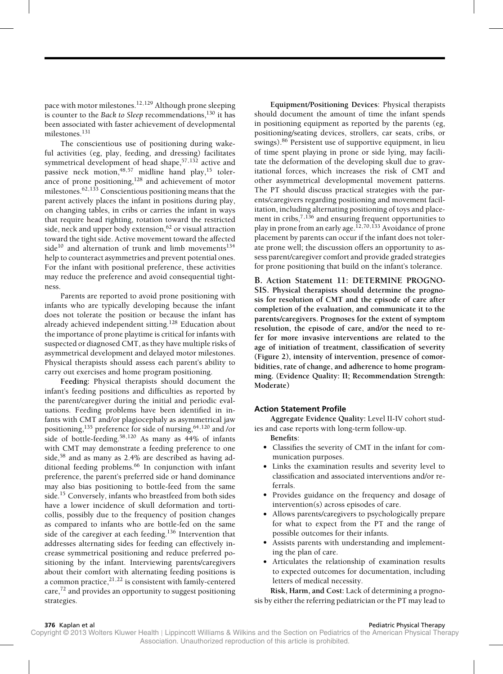pace with motor milestones.<sup>12,129</sup> Although prone sleeping is counter to the *Back to Sleep* recommendations,<sup>130</sup> it has been associated with faster achievement of developmental milestones.<sup>131</sup>

The conscientious use of positioning during wakeful activities (eg, play, feeding, and dressing) facilitates symmetrical development of head shape,<sup>57,132</sup> active and passive neck motion,  $48,57$  midline hand play,  $15$  tolerance of prone positioning, $128$  and achievement of motor milestones.62,133 Conscientious positioning means that the parent actively places the infant in positions during play, on changing tables, in cribs or carries the infant in ways that require head righting, rotation toward the restricted side, neck and upper body extension,<sup>62</sup> or visual attraction toward the tight side. Active movement toward the affected side<sup>10</sup> and alternation of trunk and limb movements<sup>134</sup> help to counteract asymmetries and prevent potential ones. For the infant with positional preference, these activities may reduce the preference and avoid consequential tightness.

Parents are reported to avoid prone positioning with infants who are typically developing because the infant does not tolerate the position or because the infant has already achieved independent sitting.<sup>128</sup> Education about the importance of prone playtime is critical for infants with suspected or diagnosed CMT, as they have multiple risks of asymmetrical development and delayed motor milestones. Physical therapists should assess each parent's ability to carry out exercises and home program positioning.

**Feeding:** Physical therapists should document the infant's feeding positions and difficulties as reported by the parent/caregiver during the initial and periodic evaluations. Feeding problems have been identified in infants with CMT and/or plagiocephaly as asymmetrical jaw positioning,<sup>135</sup> preference for side of nursing,<sup>64,120</sup> and /or side of bottle-feeding.58,120 As many as 44% of infants with CMT may demonstrate a feeding preference to one side, $58$  and as many as 2.4% are described as having additional feeding problems.<sup>66</sup> In conjunction with infant preference, the parent's preferred side or hand dominance may also bias positioning to bottle-feed from the same side.<sup>15</sup> Conversely, infants who breastfeed from both sides have a lower incidence of skull deformation and torticollis, possibly due to the frequency of position changes as compared to infants who are bottle-fed on the same side of the caregiver at each feeding.<sup>136</sup> Intervention that addresses alternating sides for feeding can effectively increase symmetrical positioning and reduce preferred positioning by the infant. Interviewing parents/caregivers about their comfort with alternating feeding positions is a common practice, $2^{1,22}$  is consistent with family-centered care,<sup>72</sup> and provides an opportunity to suggest positioning strategies.

**Equipment/Positioning Devices**: Physical therapists should document the amount of time the infant spends in positioning equipment as reported by the parents (eg, positioning/seating devices, strollers, car seats, cribs, or swings).<sup>86</sup> Persistent use of supportive equipment, in lieu of time spent playing in prone or side lying, may facilitate the deformation of the developing skull due to gravitational forces, which increases the risk of CMT and other asymmetrical developmental movement patterns. The PT should discuss practical strategies with the parents/caregivers regarding positioning and movement facilitation, including alternating positioning of toys and placement in cribs, $7,136$  and ensuring frequent opportunities to play in prone from an early age.<sup>12,70,133</sup> Avoidance of prone placement by parents can occur if the infant does not tolerate prone well; the discussion offers an opportunity to assess parent/caregiver comfort and provide graded strategies for prone positioning that build on the infant's tolerance.

**B. Action Statement 11: DETERMINE PROGNO-SIS. Physical therapists should determine the prognosis for resolution of CMT and the episode of care after completion of the evaluation, and communicate it to the parents/caregivers. Prognoses for the extent of symptom resolution, the episode of care, and/or the need to refer for more invasive interventions are related to the age of initiation of treatment, classification of severity (Figure 2), intensity of intervention, presence of comorbidities, rate of change, and adherence to home programming. (Evidence Quality: II; Recommendation Strength: Moderate)**

#### **Action Statement Profile**

**Aggregate Evidence Quality:** Level II-IV cohort studies and case reports with long-term follow-up.

- **Benefits**:
- Classifies the severity of CMT in the infant for communication purposes.
- Links the examination results and severity level to classification and associated interventions and/or referrals.
- Provides guidance on the frequency and dosage of intervention(s) across episodes of care.
- - Allows parents/caregivers to psychologically prepare for what to expect from the PT and the range of possible outcomes for their infants.
- - Assists parents with understanding and implementing the plan of care.
- - Articulates the relationship of examination results to expected outcomes for documentation, including letters of medical necessity.

**Risk, Harm, and Cost:** Lack of determining a prognosis by either the referring pediatrician or the PT may lead to

Copyright © 2013 Wolters Kluwer Health | Lippincott Williams & Wilkins and the Section on Pediatrics of the American Physical Therapy Association. Unauthorized reproduction of this article is prohibited.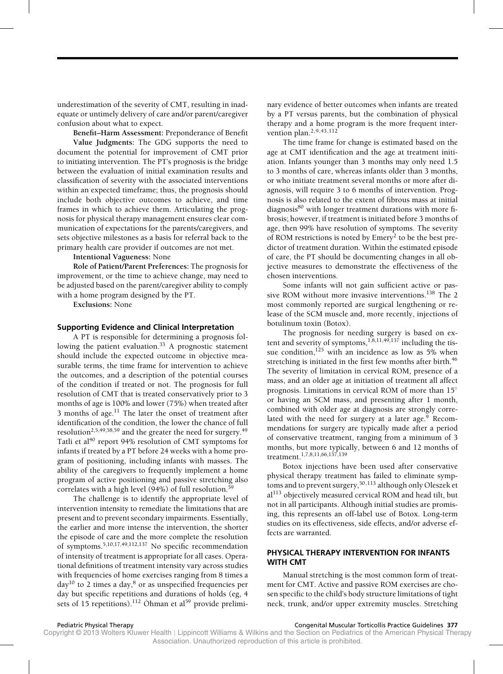<span id="page-29-0"></span>underestimation of the severity of CMT, resulting in inadequate or untimely delivery of care and/or parent/caregiver confusion about what to expect.

**Benefit–Harm Assessment:** Preponderance of Benefit

**Value Judgments:** The GDG supports the need to document the potential for improvement of CMT prior to initiating intervention. The PT's prognosis is the bridge between the evaluation of initial examination results and classification of severity with the associated interventions within an expected timeframe; thus, the prognosis should include both objective outcomes to achieve, and time frames in which to achieve them. Articulating the prognosis for physical therapy management ensures clear communication of expectations for the parents/caregivers, and sets objective milestones as a basis for referral back to the primary health care provider if outcomes are not met.

**Intentional Vagueness:** None

**Role of Patient/Parent Preferences:** The prognosis for improvement, or the time to achieve change, may need to be adjusted based on the parent/caregiver ability to comply with a home program designed by the PT.

**Exclusions:** None

#### **Supporting Evidence and Clinical Interpretation**

A PT is responsible for determining a prognosis following the patient evaluation.<sup>33</sup> A prognostic statement should include the expected outcome in objective measurable terms, the time frame for intervention to achieve the outcomes, and a description of the potential courses of the condition if treated or not. The prognosis for full resolution of CMT that is treated conservatively prior to 3 months of age is 100% and lower (75%) when treated after 3 months of age. $^{11}$  The later the onset of treatment after identification of the condition, the lower the chance of full resolution<sup>2,5,49,58,59</sup> and the greater the need for surgery.<sup>49</sup> Tatli et al<sup>40</sup> report 94% resolution of CMT symptoms for infants if treated by a PT before 24 weeks with a home program of positioning, including infants with masses. The ability of the caregivers to frequently implement a home program of active positioning and passive stretching also correlates with a high level (94%) of full resolution.<sup>59</sup>

The challenge is to identify the appropriate level of intervention intensity to remediate the limitations that are present and to prevent secondary impairments. Essentially, the earlier and more intense the intervention, the shorter the episode of care and the more complete the resolution of symptoms.5,10,17,49,112,137 No specific recommendation of intensity of treatment is appropriate for all cases. Operational definitions of treatment intensity vary across studies with frequencies of home exercises ranging from 8 times a day<sup>10</sup> to 2 times a day,<sup>8</sup> or as unspecified frequencies per day but specific repetitions and durations of holds (eg, 4 sets of 15 repetitions).<sup>112</sup> Öhman et al<sup>59</sup> provide prelimi-

nary evidence of better outcomes when infants are treated by a PT versus parents, but the combination of physical therapy and a home program is the more frequent intervention plan.<sup>2,9,43,112</sup>

The time frame for change is estimated based on the age at CMT identification and the age at treatment initiation. Infants younger than 3 months may only need 1.5 to 3 months of care, whereas infants older than 3 months, or who initiate treatment several months or more after diagnosis, will require 3 to 6 months of intervention. Prognosis is also related to the extent of fibrous mass at initial diagnosis<sup>80</sup> with longer treatment durations with more fibrosis; however, if treatment is initiated before 3 months of age, then 99% have resolution of symptoms. The severity of ROM restrictions is noted by  $Emery^2$  to be the best predictor of treatment duration. Within the estimated episode of care, the PT should be documenting changes in all objective measures to demonstrate the effectiveness of the chosen interventions.

Some infants will not gain sufficient active or passive ROM without more invasive interventions.<sup>138</sup> The 2 most commonly reported are surgical lengthening or release of the SCM muscle and, more recently, injections of botulinum toxin (Botox).

The prognosis for needing surgery is based on extent and severity of symptoms,  $1,8,11,49,137$  including the tissue condition, $125$  with an incidence as low as 5% when stretching is initiated in the first few months after birth.<sup>46</sup> The severity of limitation in cervical ROM, presence of a mass, and an older age at initiation of treatment all affect prognosis. Limitations in cervical ROM of more than 15◦ or having an SCM mass, and presenting after 1 month, combined with older age at diagnosis are strongly correlated with the need for surgery at a later age.<sup>9</sup> Recommendations for surgery are typically made after a period of conservative treatment, ranging from a minimum of 3 months, but more typically, between 6 and 12 months of treatment.1,7,8,11,66,137,139

Botox injections have been used after conservative physical therapy treatment has failed to eliminate symptoms and to prevent surgery,<sup>50,113</sup> although only Oleszek et  $al<sup>113</sup>$  objectively measured cervical ROM and head tilt, but not in all participants. Although initial studies are promising, this represents an off-label use of Botox. Long-term studies on its effectiveness, side effects, and/or adverse effects are warranted.

### **PHYSICAL THERAPY INTERVENTION FOR INFANTS WITH CMT**

Manual stretching is the most common form of treatment for CMT. Active and passive ROM exercises are chosen specific to the child's body structure limitations of tight neck, trunk, and/or upper extremity muscles. Stretching

Copyright © 2013 Wolters Kluwer Health | Lippincott Williams & Wilkins and the Section on Pediatrics of the American Physical Therapy Association. Unauthorized reproduction of this article is prohibited.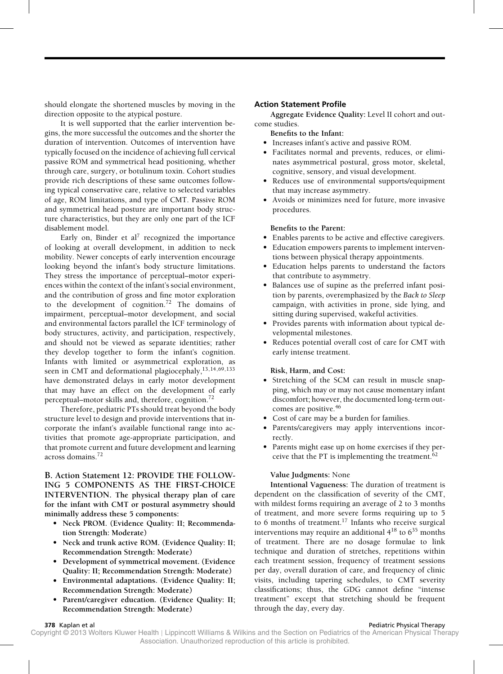should elongate the shortened muscles by moving in the direction opposite to the atypical posture.

It is well supported that the earlier intervention begins, the more successful the outcomes and the shorter the duration of intervention. Outcomes of intervention have typically focused on the incidence of achieving full cervical passive ROM and symmetrical head positioning, whether through care, surgery, or botulinum toxin. Cohort studies provide rich descriptions of these same outcomes following typical conservative care, relative to selected variables of age, ROM limitations, and type of CMT. Passive ROM and symmetrical head posture are important body structure characteristics, but they are only one part of the ICF disablement model.

Early on, Binder et al<sup>7</sup> recognized the importance of looking at overall development, in addition to neck mobility. Newer concepts of early intervention encourage looking beyond the infant's body structure limitations. They stress the importance of perceptual–motor experiences within the context of the infant's social environment, and the contribution of gross and fine motor exploration to the development of cognition.<sup>72</sup> The domains of impairment, perceptual–motor development, and social and environmental factors parallel the ICF terminology of body structures, activity, and participation, respectively, and should not be viewed as separate identities; rather they develop together to form the infant's cognition. Infants with limited or asymmetrical exploration, as seen in CMT and deformational plagiocephaly,  $^{13,14,69,133}$ have demonstrated delays in early motor development that may have an effect on the development of early perceptual–motor skills and, therefore, cognition.72

Therefore, pediatric PTs should treat beyond the body structure level to design and provide interventions that incorporate the infant's available functional range into activities that promote age-appropriate participation, and that promote current and future development and learning across domains.72

**B. Action Statement 12: PROVIDE THE FOLLOW-ING 5 COMPONENTS AS THE FIRST-CHOICE INTERVENTION. The physical therapy plan of care for the infant with CMT or postural asymmetry should minimally address these 5 components:**

- **Neck PROM. (Evidence Quality: II; Recommendation Strength: Moderate)**
- **Neck and trunk active ROM. (Evidence Quality: II; Recommendation Strength: Moderate)**
- **Development of symmetrical movement. (Evidence Quality: II; Recommendation Strength: Moderate)**
- **Environmental adaptations. (Evidence Quality: II; Recommendation Strength: Moderate)**
- **Parent/caregiver education. (Evidence Quality: II; Recommendation Strength: Moderate)**

### **Action Statement Profile**

**Aggregate Evidence Quality:** Level II cohort and outcome studies.

#### **Benefits to the Infant:**

- Increases infant's active and passive ROM.
- Facilitates normal and prevents, reduces, or eliminates asymmetrical postural, gross motor, skeletal, cognitive, sensory, and visual development.
- Reduces use of environmental supports/equipment that may increase asymmetry.
- - Avoids or minimizes need for future, more invasive procedures.

#### **Benefits to the Parent:**

- Enables parents to be active and effective caregivers.
- - Education empowers parents to implement interventions between physical therapy appointments.
- $\bullet$  Education helps parents to understand the factors that contribute to asymmetry.
- Balances use of supine as the preferred infant position by parents, overemphasized by the *Back to Sleep* campaign, with activities in prone, side lying, and sitting during supervised, wakeful activities.
- Provides parents with information about typical developmental milestones.
- Reduces potential overall cost of care for CMT with early intense treatment.

#### **Risk, Harm, and Cost:**

- - Stretching of the SCM can result in muscle snapping, which may or may not cause momentary infant discomfort; however, the documented long-term outcomes are positive.<sup>46</sup>
- Cost of care may be a burden for families.
- Parents/caregivers may apply interventions incorrectly.
- Parents might ease up on home exercises if they perceive that the PT is implementing the treatment. $62$

#### **Value Judgments:** None

**Intentional Vagueness:** The duration of treatment is dependent on the classification of severity of the CMT, with mildest forms requiring an average of 2 to 3 months of treatment, and more severe forms requiring up to 5 to 6 months of treatment.<sup>17</sup> Infants who receive surgical interventions may require an additional  $4^{18}$  to  $6^{35}$  months of treatment. There are no dosage formulae to link technique and duration of stretches, repetitions within each treatment session, frequency of treatment sessions per day, overall duration of care, and frequency of clinic visits, including tapering schedules, to CMT severity classifications; thus, the GDG cannot define "intense treatment" except that stretching should be frequent through the day, every day.

#### **378** Kaplan et al Pediatric Physical Therapy **Contract Contract Contract Contract Physical Therapy <b>Pediatric Physical Therapy**

Copyright © 2013 Wolters Kluwer Health | Lippincott Williams & Wilkins and the Section on Pediatrics of the American Physical Therapy Association. Unauthorized reproduction of this article is prohibited.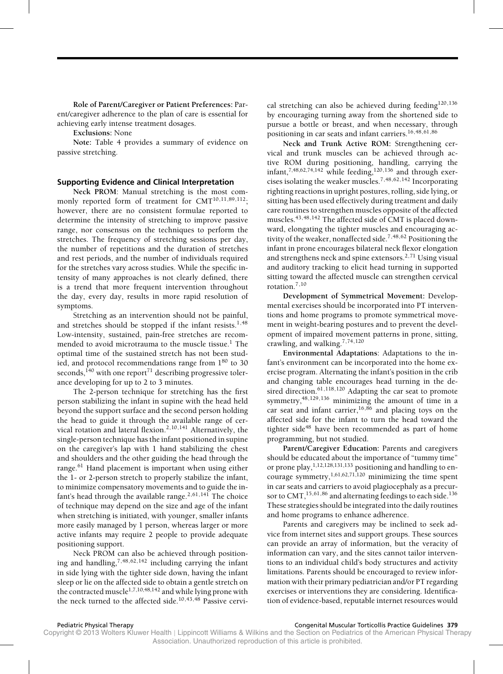**Role of Parent/Caregiver or Patient Preferences:** Parent/caregiver adherence to the plan of care is essential for achieving early intense treatment dosages.

**Exclusions:** None

**Note:** Table 4 provides a summary of evidence on passive stretching.

#### **Supporting Evidence and Clinical Interpretation**

**Neck PROM**: Manual stretching is the most commonly reported form of treatment for CMT<sup>10,11,89,112</sup>; however, there are no consistent formulae reported to determine the intensity of stretching to improve passive range, nor consensus on the techniques to perform the stretches. The frequency of stretching sessions per day, the number of repetitions and the duration of stretches and rest periods, and the number of individuals required for the stretches vary across studies. While the specific intensity of many approaches is not clearly defined, there is a trend that more frequent intervention throughout the day, every day, results in more rapid resolution of symptoms.

Stretching as an intervention should not be painful, and stretches should be stopped if the infant resists.<sup>1,48</sup> Low-intensity, sustained, pain-free stretches are recommended to avoid microtrauma to the muscle tissue.<sup>1</sup> The optimal time of the sustained stretch has not been studied, and protocol recommendations range from  $1^{80}$  to 30 seconds,<sup>140</sup> with one report<sup>71</sup> describing progressive tolerance developing for up to 2 to 3 minutes.

The 2-person technique for stretching has the first person stabilizing the infant in supine with the head held beyond the support surface and the second person holding the head to guide it through the available range of cervical rotation and lateral flexion.<sup>2,10,141</sup> Alternatively, the single-person technique has the infant positioned in supine on the caregiver's lap with 1 hand stabilizing the chest and shoulders and the other guiding the head through the range. $61$  Hand placement is important when using either the 1- or 2-person stretch to properly stabilize the infant, to minimize compensatory movements and to guide the infant's head through the available range.<sup>2,61,141</sup> The choice of technique may depend on the size and age of the infant when stretching is initiated, with younger, smaller infants more easily managed by 1 person, whereas larger or more active infants may require 2 people to provide adequate positioning support.

Neck PROM can also be achieved through positioning and handling,  $7,48,62,142$  including carrying the infant in side lying with the tighter side down, having the infant sleep or lie on the affected side to obtain a gentle stretch on the contracted muscle<sup>1,7,10,48,142</sup> and while lying prone with the neck turned to the affected side.<sup>10,43,48</sup> Passive cervi-

cal stretching can also be achieved during feeding<sup>120,136</sup> by encouraging turning away from the shortened side to pursue a bottle or breast, and when necessary, through positioning in car seats and infant carriers.<sup>16,48,61,86</sup>

**Neck and Trunk Active ROM:** Strengthening cervical and trunk muscles can be achieved through active ROM during positioning, handling, carrying the infant,<sup>7,48,62,74,142</sup> while feeding,<sup>120,136</sup> and through exercises isolating the weaker muscles.7,48,62,142 Incorporating righting reactions in upright postures, rolling, side lying, or sitting has been used effectively during treatment and daily care routines to strengthen muscles opposite of the affected muscles.<sup>43,48,142</sup> The affected side of CMT is placed downward, elongating the tighter muscles and encouraging activity of the weaker, nonaffected side.<sup>7,48,62</sup> Positioning the infant in prone encourages bilateral neck flexor elongation and strengthens neck and spine extensors.<sup>2,71</sup> Using visual and auditory tracking to elicit head turning in supported sitting toward the affected muscle can strengthen cervical rotation.7,10

**Development of Symmetrical Movement:** Developmental exercises should be incorporated into PT interventions and home programs to promote symmetrical movement in weight-bearing postures and to prevent the development of impaired movement patterns in prone, sitting, crawling, and walking.7,74,120

**Environmental Adaptations**: Adaptations to the infant's environment can be incorporated into the home exercise program. Alternating the infant's position in the crib and changing table encourages head turning in the desired direction.<sup>61,118,120</sup> Adapting the car seat to promote symmetry,48,129,136 minimizing the amount of time in a car seat and infant carrier,  $16,86$  and placing toys on the affected side for the infant to turn the head toward the tighter side<sup>48</sup> have been recommended as part of home programming, but not studied.

**Parent/Caregiver Education:** Parents and caregivers should be educated about the importance of "tummy time" or prone play,  $^{1,12,128,131,133}$  positioning and handling to encourage symmetry,<sup>1,61,62,71,120</sup> minimizing the time spent in car seats and carriers to avoid plagiocephaly as a precursor to CMT, <sup>15,61,86</sup> and alternating feedings to each side.<sup>136</sup> These strategies should be integrated into the daily routines and home programs to enhance adherence.

Parents and caregivers may be inclined to seek advice from internet sites and support groups. These sources can provide an array of information, but the veracity of information can vary, and the sites cannot tailor interventions to an individual child's body structures and activity limitations. Parents should be encouraged to review information with their primary pediatrician and/or PT regarding exercises or interventions they are considering. Identification of evidence-based, reputable internet resources would

Copyright © 2013 Wolters Kluwer Health | Lippincott Williams & Wilkins and the Section on Pediatrics of the American Physical Therapy Association. Unauthorized reproduction of this article is prohibited.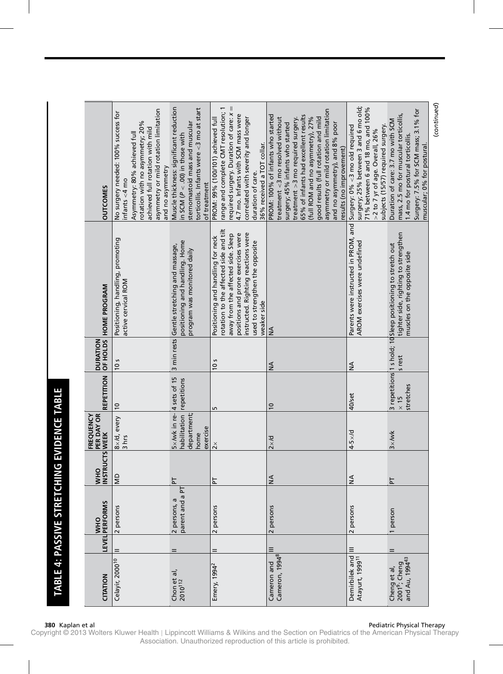TABLE 4: PASSIVE STRETCHING EVIDENCE TABLE **TABLE 4: PASSIVE STRETCHING EVIDENCE TABLE**

<span id="page-32-0"></span>

|                                           |     | <b>OHM</b>            | <b>OH/M</b>          | PER DAY OR<br>FREQUENCY      |                   | <b>DURATION</b> |                                                                     |                                                                                                     |
|-------------------------------------------|-----|-----------------------|----------------------|------------------------------|-------------------|-----------------|---------------------------------------------------------------------|-----------------------------------------------------------------------------------------------------|
| CITATION                                  |     | <b>LEVEL</b> PERFORMS | <b>NSTRUCTS WEEK</b> |                              | <b>REPETITION</b> |                 | OF HOLDS HOME PROGRAM                                               | <b>OUTCOMES</b>                                                                                     |
| Celayir, 2000 <sup>10</sup>               |     | 2 persons             | S                    | $8\times$ /d, every<br>3 hrs | $\frac{1}{2}$     | 10 <sub>5</sub> | Positioning, handling, promoting<br>active cervical ROM             | No surgery needed: 100% success for<br>infants <4 mo                                                |
|                                           |     |                       |                      |                              |                   |                 |                                                                     | rotation with no asymmetry; 20%<br>achieved full rotation with mild<br>Asymmetry: 80% achieved full |
|                                           |     |                       |                      |                              |                   |                 |                                                                     | asymmetry or mild rotation limitation<br>and no asymmetry                                           |
| Chon et al,<br>2010 <sup>112</sup>        | $=$ | 2 persons, a          | 눈                    | $5 \times$ /wk in re-        | 4 sets of 15      |                 | 3 min rests Gentle stretching and massage,                          | Muscle thickness: significant reduction                                                             |
|                                           |     | parent and a PT       |                      | habilitation<br>department;  | repetitions       |                 | positioning and handling. Home<br>program was monitored daily       | sternomastoid mass and muscular<br>in SCM ( $P < .00$ ) in those with                               |
|                                           |     |                       |                      | exercise<br>home             |                   |                 |                                                                     | torticollis. Infants were <3 mo at start<br>of treatment                                            |
| Emery, $1994^2$                           | $=$ | 2 persons             | 눈                    | $\mathsf{2}\times$           | LN                | 10 <sub>5</sub> | Positioning and handling for neck                                   | PROM: 99% (100/101) achieved full                                                                   |
|                                           |     |                       |                      |                              |                   |                 | rotation to the affected side and tilt                              | range and complete CMT resolution; 1                                                                |
|                                           |     |                       |                      |                              |                   |                 | away from the affected side. Sleep                                  | $\mid \mid$<br>required surgery. Duration of care: x                                                |
|                                           |     |                       |                      |                              |                   |                 | positions and prone exercises were                                  | 4.7 mo. Infants with SCM mass were                                                                  |
|                                           |     |                       |                      |                              |                   |                 | instructed. Righting reactions were                                 | correlated with severity and longer                                                                 |
|                                           |     |                       |                      |                              |                   |                 | used to strengthen the opposite<br>weaker side                      | 36% received a TOT collar.<br>duration of care.                                                     |
| Cameron and                               | Ξ   | 2 persons             | $\lessgtr$           | $2 \times$ /d                | $\overline{10}$   | $\frac{4}{2}$   | $\frac{4}{2}$                                                       | PROM: 100% of infants who started                                                                   |
| Cameron, 19948                            |     |                       |                      |                              |                   |                 |                                                                     | treatment <3 mo resolved without                                                                    |
|                                           |     |                       |                      |                              |                   |                 |                                                                     | surgery; 45% infants who started                                                                    |
|                                           |     |                       |                      |                              |                   |                 |                                                                     |                                                                                                     |
|                                           |     |                       |                      |                              |                   |                 |                                                                     | treatment > 3 mo required surgery.                                                                  |
|                                           |     |                       |                      |                              |                   |                 |                                                                     | 65% of infants had excellent results                                                                |
|                                           |     |                       |                      |                              |                   |                 |                                                                     | (full ROM and no asymmetry), 27%                                                                    |
|                                           |     |                       |                      |                              |                   |                 |                                                                     | good results (full rotation and mild                                                                |
|                                           |     |                       |                      |                              |                   |                 |                                                                     | asymmetry or mild rotation limitation                                                               |
|                                           |     |                       |                      |                              |                   |                 |                                                                     | and no asymmetry), and 8% poor<br>results (no improvement)                                          |
| Demirbilek and  III                       |     | 2 persons             | $\frac{4}{2}$        | $4-5 \times d$               | 40/set            | ≸               | Parents were instructed in PROM, and Surgery: 0% <3 mo old required |                                                                                                     |
| Atayurt, 1999 <sup>11</sup>               |     |                       |                      |                              |                   |                 | AROM exercises were undefined                                       | surgery; 25% between 3 and 6 mo old;                                                                |
|                                           |     |                       |                      |                              |                   |                 |                                                                     | 71% between 6 and 18 mo, and 100%                                                                   |
|                                           |     |                       |                      |                              |                   |                 |                                                                     | >2 to 7 yr of age. Overall, 26%                                                                     |
|                                           |     |                       |                      |                              |                   |                 |                                                                     | subjects (15/57) required surgery.                                                                  |
| Cheng et al,<br>2001 <sup>9</sup> ; Cheng | $=$ | 1 person              | 눈                    | $3 \times$ /wk               |                   |                 | 3 repetitions 1 s hold; 10 Sleep positioning to stretch out         | Duration of care: 3.7 mo with SCM                                                                   |
|                                           |     |                       |                      |                              | $\times$ 15       | Is rest         | tighter side, righting to strengthen                                | mass, 2.5 mo for muscular torticollis,                                                              |
| and Au, 1994 <sup>43</sup>                |     |                       |                      |                              | stretches         |                 | muscles on the opposite side                                        | 1.4 mo for postural torticollis.                                                                    |
|                                           |     |                       |                      |                              |                   |                 |                                                                     | Surgery: 7.5% for SCM mass; 3.1% for<br>muscular; 0% for postural                                   |
|                                           |     |                       |                      |                              |                   |                 |                                                                     | (continued)                                                                                         |
|                                           |     |                       |                      |                              |                   |                 |                                                                     |                                                                                                     |

#### **380** Kaplan et al Pediatric Physical Therapy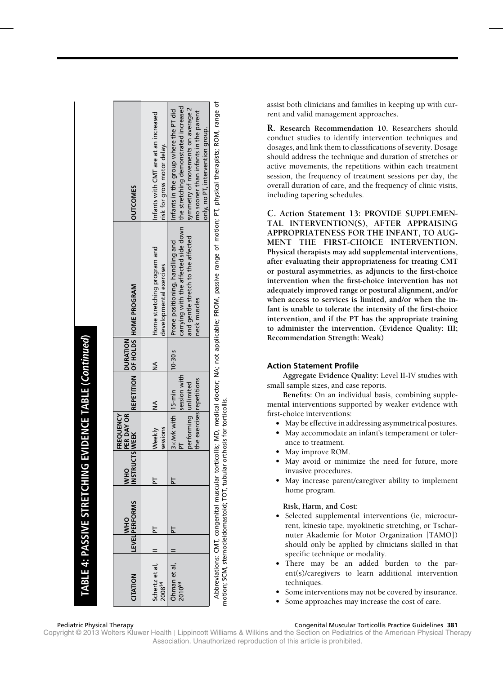|                                    |                                                                          |                                      | <b>FREOUENCY</b>                                                                   |              |                 |                                                                                                                                                                      |                                                                                                                                                                    |
|------------------------------------|--------------------------------------------------------------------------|--------------------------------------|------------------------------------------------------------------------------------|--------------|-----------------|----------------------------------------------------------------------------------------------------------------------------------------------------------------------|--------------------------------------------------------------------------------------------------------------------------------------------------------------------|
| CITATION                           | <b>LEVEL PERFORMS</b><br><b>OHM</b>                                      | <b>INSTRUCTS WEEK</b><br><b>OHNO</b> | PER DAY OR                                                                         |              | <b>DURATION</b> | REPETITION OF HOLDS HOME PROGRAM                                                                                                                                     | <b>OUTCOMES</b>                                                                                                                                                    |
| Schertz et al,<br>200814           | Ь                                                                        | 눕                                    | sessions<br>Weekly                                                                 | ≸            | ≸               | Home stretching program and<br>developmental exercises                                                                                                               | Infants with CMT are at an increased<br>risk for gross motor delay.                                                                                                |
| Öhman et al,<br>2010 <sup>59</sup> | Ь                                                                        | 눕                                    | the exercises repetitions<br>performing unlimited<br>$3 \times$ /wk with $15$ -min | session with | $10 - 30s$      | carrying with the affected side down lthe stretching demonstrated increased<br>and gentle stretch to the affected<br>Prone positioning, handling and<br>neck muscles | symmetry of movements on average 2<br>Infants in the group where the PT did<br>mo sooner than infants in the parent<br>only, no PT, intervention group.            |
|                                    | motion; SCM, sternocleidomastoid; TOT, tubular orthosis for torticollis. |                                      |                                                                                    |              |                 |                                                                                                                                                                      | Abbreviations: CMT, congenital muscular torticollis; MD, medical doctor; NA; not applicable; PROM, passive range of motion; PT, physical therapists; ROM, range of |

assist both clinicians and families in keeping up with current and valid management approaches.

**R. Research Recommendation 10.** Researchers should conduct studies to identify intervention techniques and dosages, and link them to classifications of severity. Dosage should address the technique and duration of stretches or active movements, the repetitions within each treatment session, the frequency of treatment sessions per day, the overall duration of care, and the frequency of clinic visits, including tapering schedules.

**C. Action Statement 13: PROVIDE SUPPLEMEN-TAL INTERVENTION(S), AFTER APPRAISING APPROPRIATENESS FOR THE INFANT, TO AUG-MENT THE FIRST-CHOICE INTERVENTION. Physical therapists may add supplemental interventions, after evaluating their appropriateness for treating CMT or postural asymmetries, as adjuncts to the first-choice intervention when the first-choice intervention has not adequately improved range or postural alignment, and/or when access to services is limited, and/or when the infant is unable to tolerate the intensity of the first-choice intervention, and if the PT has the appropriate training to administer the intervention. (Evidence Quality: III; Recommendation Strength: Weak)**

#### **Action Statement Profile**

**Aggregate Evidence Quality:** Level II-IV studies with small sample sizes, and case reports.

**Benefits:** On an individual basis, combining supplemental interventions supported by weaker evidence with first-choice interventions:

- May be effective in addressing asymmetrical postures.
- $\bullet$  May accommodate an infant's temperament or tolerance to treatment.
- -May improve ROM.
- - May avoid or minimize the need for future, more invasive procedures.
- - May increase parent/caregiver ability to implement home program.

#### **Risk, Harm, and Cost:**

- Selected supplemental interventions (ie, microcurrent, kinesio tape, myokinetic stretching, or Tscharnuter Akademie for Motor Organization [TAMO]) should only be applied by clinicians skilled in that specific technique or modality.
- - There may be an added burden to the parent(s)/caregivers to learn additional intervention techniques.
- -Some interventions may not be covered by insurance.
- -Some approaches may increase the cost of care.

**TABLE 4: PASSIVE STRETCHING EVIDENCE TABLE (Continued)**

TABLE 4: PASSIVE STRETCHING EVIDENCE TABLE (Continued)

### Pediatric Physical Therapy Congenital Muscular Torticollis Practice Guidelines **381**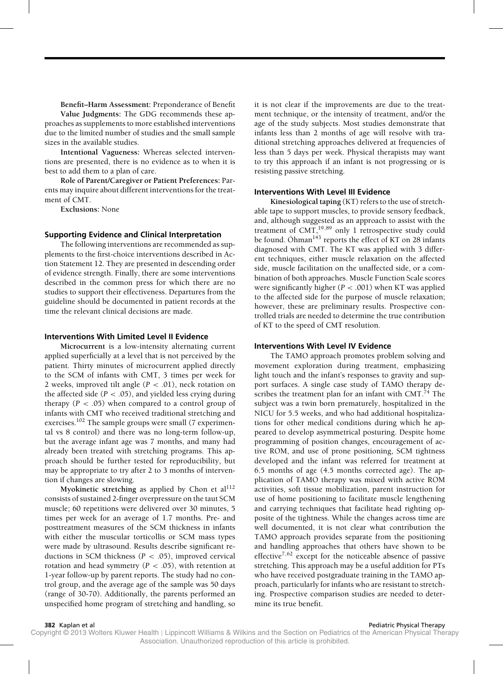**Benefit–Harm Assessment:** Preponderance of Benefit

**Value Judgments:** The GDG recommends these approaches as supplements to more established interventions due to the limited number of studies and the small sample sizes in the available studies.

**Intentional Vagueness:** Whereas selected interventions are presented, there is no evidence as to when it is best to add them to a plan of care.

**Role of Parent/Caregiver or Patient Preferences:** Parents may inquire about different interventions for the treatment of CMT.

**Exclusions:** None

### **Supporting Evidence and Clinical Interpretation**

The following interventions are recommended as supplements to the first-choice interventions described in Action Statement 12. They are presented in descending order of evidence strength. Finally, there are some interventions described in the common press for which there are no studies to support their effectiveness. Departures from the guideline should be documented in patient records at the time the relevant clinical decisions are made.

#### **Interventions With Limited Level II Evidence**

**Microcurrent** is a low-intensity alternating current applied superficially at a level that is not perceived by the patient. Thirty minutes of microcurrent applied directly to the SCM of infants with CMT, 3 times per week for 2 weeks, improved tilt angle (*P* < .01), neck rotation on the affected side  $(P < .05)$ , and yielded less crying during therapy  $(P < .05)$  when compared to a control group of infants with CMT who received traditional stretching and exercises.102 The sample groups were small (7 experimental vs 8 control) and there was no long-term follow-up, but the average infant age was 7 months, and many had already been treated with stretching programs. This approach should be further tested for reproducibility, but may be appropriate to try after 2 to 3 months of intervention if changes are slowing.

**Myokinetic stretching** as applied by Chon et  $al<sup>112</sup>$ consists of sustained 2-finger overpressure on the taut SCM muscle; 60 repetitions were delivered over 30 minutes, 5 times per week for an average of 1.7 months. Pre- and posttreatment measures of the SCM thickness in infants with either the muscular torticollis or SCM mass types were made by ultrasound. Results describe significant reductions in SCM thickness (*P* < .05), improved cervical rotation and head symmetry ( $P < .05$ ), with retention at 1-year follow-up by parent reports. The study had no control group, and the average age of the sample was 50 days (range of 30-70). Additionally, the parents performed an unspecified home program of stretching and handling, so it is not clear if the improvements are due to the treatment technique, or the intensity of treatment, and/or the age of the study subjects. Most studies demonstrate that infants less than 2 months of age will resolve with traditional stretching approaches delivered at frequencies of less than 5 days per week. Physical therapists may want to try this approach if an infant is not progressing or is resisting passive stretching.

#### **Interventions With Level III Evidence**

**Kinesiological taping** (KT) refers to the use of stretchable tape to support muscles, to provide sensory feedback, and, although suggested as an approach to assist with the treatment of CMT,<sup>19,89</sup> only 1 retrospective study could be found. Öhman<sup>143</sup> reports the effect of KT on 28 infants diagnosed with CMT. The KT was applied with 3 different techniques, either muscle relaxation on the affected side, muscle facilitation on the unaffected side, or a combination of both approaches. Muscle Function Scale scores were significantly higher (*P* < .001) when KT was applied to the affected side for the purpose of muscle relaxation; however, these are preliminary results. Prospective controlled trials are needed to determine the true contribution of KT to the speed of CMT resolution.

#### **Interventions With Level IV Evidence**

The TAMO approach promotes problem solving and movement exploration during treatment, emphasizing light touch and the infant's responses to gravity and support surfaces. A single case study of TAMO therapy describes the treatment plan for an infant with  $CMT$ .<sup>74</sup> The subject was a twin born prematurely, hospitalized in the NICU for 5.5 weeks, and who had additional hospitalizations for other medical conditions during which he appeared to develop asymmetrical posturing. Despite home programming of position changes, encouragement of active ROM, and use of prone positioning, SCM tightness developed and the infant was referred for treatment at 6.5 months of age (4.5 months corrected age). The application of TAMO therapy was mixed with active ROM activities, soft tissue mobilization, parent instruction for use of home positioning to facilitate muscle lengthening and carrying techniques that facilitate head righting opposite of the tightness. While the changes across time are well documented, it is not clear what contribution the TAMO approach provides separate from the positioning and handling approaches that others have shown to be effective<sup>7,62</sup> except for the noticeable absence of passive stretching. This approach may be a useful addition for PTs who have received postgraduate training in the TAMO approach, particularly for infants who are resistant to stretching. Prospective comparison studies are needed to determine its true benefit.

**382** Kaplan et al Pediatric Physical Therapy **Apple 2014 Pediatric Physical Therapy Pediatric Physical Therapy** 

Copyright © 2013 Wolters Kluwer Health | Lippincott Williams & Wilkins and the Section on Pediatrics of the American Physical Therapy Association. Unauthorized reproduction of this article is prohibited.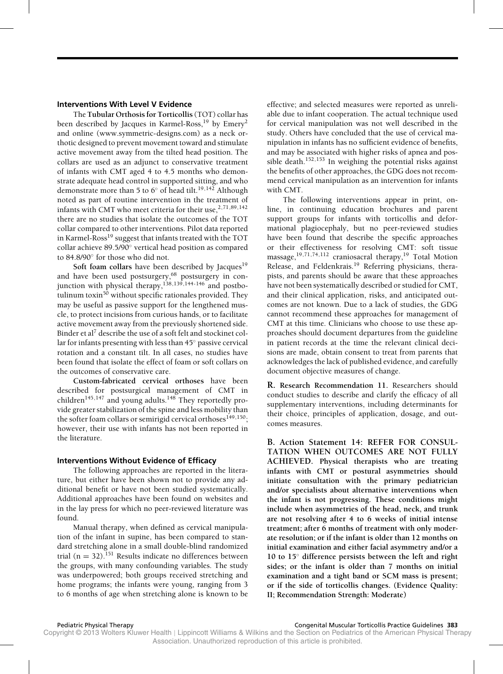#### **Interventions With Level V Evidence**

The **Tubular Orthosis for Torticollis** (TOT) collar has been described by Jacques in Karmel-Ross,<sup>19</sup> by Emery<sup>2</sup> and online [\(www.symmetric-designs.com\)](http://www.symmetric-designs.com) as a neck orthotic designed to prevent movement toward and stimulate active movement away from the tilted head position. The collars are used as an adjunct to conservative treatment of infants with CMT aged 4 to 4.5 months who demonstrate adequate head control in supported sitting, and who demonstrate more than 5 to  $6°$  of head tilt.<sup>19,142</sup> Although noted as part of routine intervention in the treatment of infants with CMT who meet criteria for their use,  $2,71,89,142$ there are no studies that isolate the outcomes of the TOT collar compared to other interventions. Pilot data reported in Karmel-Ross<sup>19</sup> suggest that infants treated with the TOT collar achieve 89.5/90◦ vertical head position as compared to 84.8/90◦ for those who did not.

Soft foam collars have been described by Jacques<sup>19</sup> and have been used postsurgery,<sup>68</sup> postsurgery in conjunction with physical therapy,138,139,144-146 and postbotulinum toxin<sup>50</sup> without specific rationales provided. They may be useful as passive support for the lengthened muscle, to protect incisions from curious hands, or to facilitate active movement away from the previously shortened side. Binder et al<sup>7</sup> describe the use of a soft felt and stockinet collar for infants presenting with less than 45◦ passive cervical rotation and a constant tilt. In all cases, no studies have been found that isolate the effect of foam or soft collars on the outcomes of conservative care.

**Custom-fabricated cervical orthoses** have been described for postsurgical management of CMT in children<sup>145,147</sup> and young adults.<sup>148</sup> They reportedly provide greater stabilization of the spine and less mobility than the softer foam collars or semirigid cervical orthoses<sup>149,150</sup>; however, their use with infants has not been reported in the literature.

#### **Interventions Without Evidence of Efficacy**

The following approaches are reported in the literature, but either have been shown not to provide any additional benefit or have not been studied systematically. Additional approaches have been found on websites and in the lay press for which no peer-reviewed literature was found.

Manual therapy, when defined as cervical manipulation of the infant in supine, has been compared to standard stretching alone in a small double-blind randomized trial ( $n = 32$ ).<sup>151</sup> Results indicate no differences between the groups, with many confounding variables. The study was underpowered; both groups received stretching and home programs; the infants were young, ranging from 3 to 6 months of age when stretching alone is known to be

effective; and selected measures were reported as unreliable due to infant cooperation. The actual technique used for cervical manipulation was not well described in the study. Others have concluded that the use of cervical manipulation in infants has no sufficient evidence of benefits, and may be associated with higher risks of apnea and possible death.<sup>152,153</sup> In weighing the potential risks against the benefits of other approaches, the GDG does not recommend cervical manipulation as an intervention for infants with CMT.

The following interventions appear in print, online, in continuing education brochures and parent support groups for infants with torticollis and deformational plagiocephaly, but no peer-reviewed studies have been found that describe the specific approaches or their effectiveness for resolving CMT: soft tissue massage,<sup>19,71,74,112</sup> craniosacral therapy,<sup>19</sup> Total Motion Release, and Feldenkrais.<sup>19</sup> Referring physicians, therapists, and parents should be aware that these approaches have not been systematically described or studied for CMT, and their clinical application, risks, and anticipated outcomes are not known. Due to a lack of studies, the GDG cannot recommend these approaches for management of CMT at this time. Clinicians who choose to use these approaches should document departures from the guideline in patient records at the time the relevant clinical decisions are made, obtain consent to treat from parents that acknowledges the lack of published evidence, and carefully document objective measures of change.

**R. Research Recommendation 11.** Researchers should conduct studies to describe and clarify the efficacy of all supplementary interventions, including determinants for their choice, principles of application, dosage, and outcomes measures.

**B. Action Statement 14: REFER FOR CONSUL-TATION WHEN OUTCOMES ARE NOT FULLY ACHIEVED. Physical therapists who are treating infants with CMT or postural asymmetries should initiate consultation with the primary pediatrician and/or specialists about alternative interventions when the infant is not progressing. These conditions might include when asymmetries of the head, neck, and trunk are not resolving after 4 to 6 weeks of initial intense treatment; after 6 months of treatment with only moderate resolution; or if the infant is older than 12 months on initial examination and either facial asymmetry and/or a 10 to 15**◦ **difference persists between the left and right sides; or the infant is older than 7 months on initial examination and a tight band or SCM mass is present; or if the side of torticollis changes. (Evidence Quality: II; Recommendation Strength: Moderate)**

Pediatric Physical Therapy Congenital Muscular Torticollis Practice Guidelines **383**

Copyright © 2013 Wolters Kluwer Health | Lippincott Williams & Wilkins and the Section on Pediatrics of the American Physical Therapy Association. Unauthorized reproduction of this article is prohibited.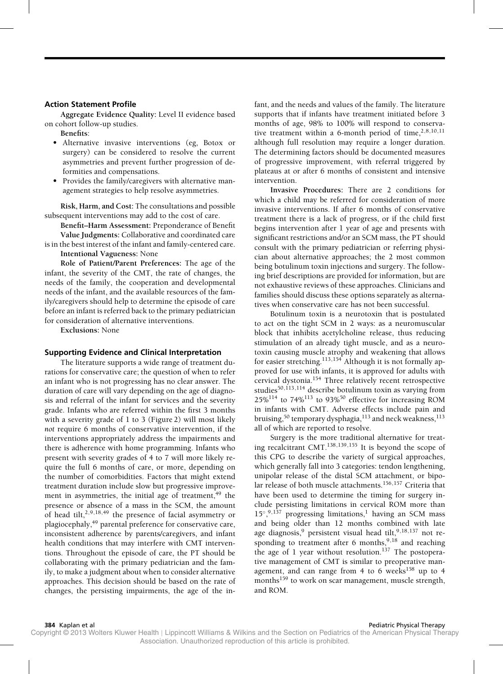#### **Action Statement Profile**

**Aggregate Evidence Quality:** Level II evidence based on cohort follow-up studies.

- **Benefits**:
- Alternative invasive interventions (eg, Botox or surgery) can be considered to resolve the current asymmetries and prevent further progression of deformities and compensations.
- Provides the family/caregivers with alternative management strategies to help resolve asymmetries.

**Risk, Harm, and Cost:** The consultations and possible subsequent interventions may add to the cost of care.

**Benefit–Harm Assessment:** Preponderance of Benefit **Value Judgments:** Collaborative and coordinated care

is in the best interest of the infant and family-centered care. **Intentional Vagueness:** None

**Role of Patient/Parent Preferences:** The age of the infant, the severity of the CMT, the rate of changes, the needs of the family, the cooperation and developmental needs of the infant, and the available resources of the family/caregivers should help to determine the episode of care before an infant is referred back to the primary pediatrician for consideration of alternative interventions.

**Exclusions:** None

#### **Supporting Evidence and Clinical Interpretation**

The literature supports a wide range of treatment durations for conservative care; the question of when to refer an infant who is not progressing has no clear answer. The duration of care will vary depending on the age of diagnosis and referral of the infant for services and the severity grade. Infants who are referred within the first 3 months with a severity grade of 1 to 3 (Figure 2) will most likely *not* require 6 months of conservative intervention, if the interventions appropriately address the impairments and there is adherence with home programming. Infants who present with severity grades of 4 to 7 will more likely require the full 6 months of care, or more, depending on the number of comorbidities. Factors that might extend treatment duration include slow but progressive improvement in asymmetries, the initial age of treatment, $49$  the presence or absence of a mass in the SCM, the amount of head tilt,<sup>2,9,18,49</sup> the presence of facial asymmetry or plagiocephaly,<sup>49</sup> parental preference for conservative care, inconsistent adherence by parents/caregivers, and infant health conditions that may interfere with CMT interventions. Throughout the episode of care, the PT should be collaborating with the primary pediatrician and the family, to make a judgment about when to consider alternative approaches. This decision should be based on the rate of changes, the persisting impairments, the age of the infant, and the needs and values of the family. The literature supports that if infants have treatment initiated before 3 months of age, 98% to 100% will respond to conservative treatment within a 6-month period of time,  $2,8,10,11$ although full resolution may require a longer duration. The determining factors should be documented measures of progressive improvement, with referral triggered by plateaus at or after 6 months of consistent and intensive intervention.

**Invasive Procedures:** There are 2 conditions for which a child may be referred for consideration of more invasive interventions. If after 6 months of conservative treatment there is a lack of progress, or if the child first begins intervention after 1 year of age and presents with significant restrictions and/or an SCM mass, the PT should consult with the primary pediatrician or referring physician about alternative approaches; the 2 most common being botulinum toxin injections and surgery. The following brief descriptions are provided for information, but are not exhaustive reviews of these approaches. Clinicians and families should discuss these options separately as alternatives when conservative care has not been successful.

Botulinum toxin is a neurotoxin that is postulated to act on the tight SCM in 2 ways: as a neuromuscular block that inhibits acetylcholine release, thus reducing stimulation of an already tight muscle, and as a neurotoxin causing muscle atrophy and weakening that allows for easier stretching.<sup>113,154</sup> Although it is not formally approved for use with infants, it is approved for adults with cervical dystonia.154 Three relatively recent retrospective studies<sup>50,113,114</sup> describe botulinum toxin as varying from  $25\%$ <sup>114</sup> to 74%<sup>113</sup> to 93%<sup>50</sup> effective for increasing ROM in infants with CMT. Adverse effects include pain and bruising,<sup>50</sup> temporary dysphagia,<sup>113</sup> and neck weakness,<sup>113</sup> all of which are reported to resolve.

Surgery is the more traditional alternative for treating recalcitrant CMT.138,139,155 It is beyond the scope of this CPG to describe the variety of surgical approaches, which generally fall into 3 categories: tendon lengthening, unipolar release of the distal SCM attachment, or bipolar release of both muscle attachments.<sup>156,157</sup> Criteria that have been used to determine the timing for surgery include persisting limitations in cervical ROM more than 15°,9,137 progressing limitations,<sup>1</sup> having an SCM mass and being older than 12 months combined with late age diagnosis,<sup>9</sup> persistent visual head tilt,<sup>9,18,137</sup> not responding to treatment after 6 months,  $9,18$  and reaching the age of 1 year without resolution.<sup>137</sup> The postoperative management of CMT is similar to preoperative management, and can range from 4 to 6 weeks<sup>158</sup> up to 4 months<sup>159</sup> to work on scar management, muscle strength, and ROM.

#### **384** Kaplan et al Pediatric Physical Therapy **Algebra 2012 Pediatric Physical Therapy Pediatric Physical Therapy**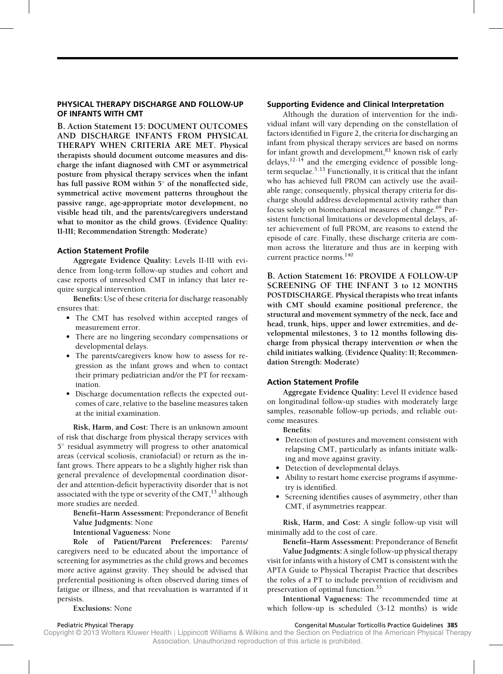#### <span id="page-37-0"></span>**PHYSICAL THERAPY DISCHARGE AND FOLLOW-UP OF INFANTS WITH CMT**

**B. Action Statement 15: DOCUMENT OUTCOMES AND DISCHARGE INFANTS FROM PHYSICAL THERAPY WHEN CRITERIA ARE MET. Physical therapists should document outcome measures and discharge the infant diagnosed with CMT or asymmetrical posture from physical therapy services when the infant has full passive ROM within 5**◦ **of the nonaffected side, symmetrical active movement patterns throughout the passive range, age-appropriate motor development, no visible head tilt, and the parents/caregivers understand what to monitor as the child grows. (Evidence Quality: II-III; Recommendation Strength: Moderate)**

#### **Action Statement Profile**

**Aggregate Evidence Quality:** Levels II-III with evidence from long-term follow-up studies and cohort and case reports of unresolved CMT in infancy that later require surgical intervention.

**Benefits:** Use of these criteria for discharge reasonably ensures that:

- The CMT has resolved within accepted ranges of measurement error.
- There are no lingering secondary compensations or developmental delays.
- The parents/caregivers know how to assess for regression as the infant grows and when to contact their primary pediatrician and/or the PT for reexamination.
- Discharge documentation reflects the expected outcomes of care, relative to the baseline measures taken at the initial examination.

**Risk, Harm, and Cost:** There is an unknown amount of risk that discharge from physical therapy services with 5◦ residual asymmetry will progress to other anatomical areas (cervical scoliosis, craniofacial) or return as the infant grows. There appears to be a slightly higher risk than general prevalence of developmental coordination disorder and attention-deficit hyperactivity disorder that is not associated with the type or severity of the CMT, $^{13}$  although more studies are needed.

**Benefit–Harm Assessment:** Preponderance of Benefit **Value Judgments:** None

#### **Intentional Vagueness:** None

**Role of Patient/Parent Preferences:** Parents/ caregivers need to be educated about the importance of screening for asymmetries as the child grows and becomes more active against gravity. They should be advised that preferential positioning is often observed during times of fatigue or illness, and that reevaluation is warranted if it persists.

**Exclusions:** None

#### **Supporting Evidence and Clinical Interpretation**

Although the duration of intervention for the individual infant will vary depending on the constellation of factors identified in Figure 2, the criteria for discharging an infant from physical therapy services are based on norms for infant growth and development,<sup>83</sup> known risk of early delays,  $12-14$  and the emerging evidence of possible longterm sequelae.<sup>5,13</sup> Functionally, it is critical that the infant who has achieved full PROM can actively use the available range; consequently, physical therapy criteria for discharge should address developmental activity rather than focus solely on biomechanical measures of change.<sup>69</sup> Persistent functional limitations or developmental delays, after achievement of full PROM, are reasons to extend the episode of care. Finally, these discharge criteria are common across the literature and thus are in keeping with current practice norms.<sup>140</sup>

**B. Action Statement 16: PROVIDE A FOLLOW-UP SCREENING OF THE INFANT 3 to 12 MONTHS POSTDISCHARGE. Physical therapists who treat infants with CMT should examine positional preference, the structural and movement symmetry of the neck, face and head, trunk, hips, upper and lower extremities, and developmental milestones, 3 to 12 months following discharge from physical therapy intervention** *or* **when the child initiates walking. (Evidence Quality: II; Recommendation Strength: Moderate)**

#### **Action Statement Profile**

**Aggregate Evidence Quality:** Level II evidence based on longitudinal follow-up studies with moderately large samples, reasonable follow-up periods, and reliable outcome measures.

**Benefits**:

- Detection of postures and movement consistent with relapsing CMT, particularly as infants initiate walking and move against gravity.
- Detection of developmental delays.
- Ability to restart home exercise programs if asymmetry is identified.
- Screening identifies causes of asymmetry, other than CMT, if asymmetries reappear.

**Risk, Harm, and Cost:** A single follow-up visit will minimally add to the cost of care.

**Benefit–Harm Assessment:** Preponderance of Benefit

**Value Judgments:** A single follow-up physical therapy visit for infants with a history of CMT is consistent with the APTA Guide to Physical Therapist Practice that describes the roles of a PT to include prevention of recidivism and preservation of optimal function.<sup>33</sup>

**Intentional Vagueness:** The recommended time at which follow-up is scheduled (3-12 months) is wide

Pediatric Physical Therapy Congenital Muscular Torticollis Practice Guidelines **385**

Copyright © 2013 Wolters Kluwer Health | Lippincott Williams & Wilkins and the Section on Pediatrics of the American Physical Therapy Association. Unauthorized reproduction of this article is prohibited.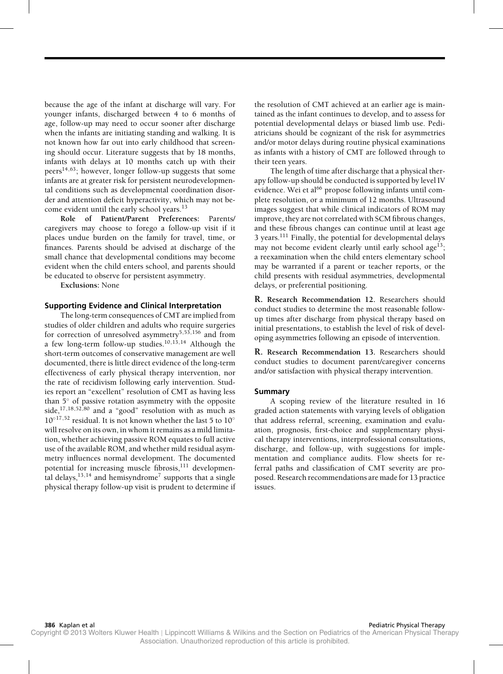because the age of the infant at discharge will vary. For younger infants, discharged between 4 to 6 months of age, follow-up may need to occur sooner after discharge when the infants are initiating standing and walking. It is not known how far out into early childhood that screening should occur. Literature suggests that by 18 months, infants with delays at 10 months catch up with their peers<sup>14,63</sup>; however, longer follow-up suggests that some infants are at greater risk for persistent neurodevelopmental conditions such as developmental coordination disorder and attention deficit hyperactivity, which may not become evident until the early school years.<sup>13</sup>

**Role of Patient/Parent Preferences:** Parents/ caregivers may choose to forego a follow-up visit if it places undue burden on the family for travel, time, or finances. Parents should be advised at discharge of the small chance that developmental conditions may become evident when the child enters school, and parents should be educated to observe for persistent asymmetry.

**Exclusions:** None

#### **Supporting Evidence and Clinical Interpretation**

The long-term consequences of CMT are implied from studies of older children and adults who require surgeries for correction of unresolved asymmetry<sup>5,53,156</sup> and from a few long-term follow-up studies.<sup>10,13,14</sup> Although the short-term outcomes of conservative management are well documented, there is little direct evidence of the long-term effectiveness of early physical therapy intervention, nor the rate of recidivism following early intervention. Studies report an "excellent" resolution of CMT as having less than 5◦ of passive rotation asymmetry with the opposite side, $17,18,52,80$  and a "good" resolution with as much as 10<sup>○17,52</sup> residual. It is not known whether the last 5 to 10° will resolve on its own, in whom it remains as a mild limitation, whether achieving passive ROM equates to full active use of the available ROM, and whether mild residual asymmetry influences normal development. The documented potential for increasing muscle fibrosis,<sup>111</sup> developmental delays,  $13,14$  and hemisyndrome<sup>7</sup> supports that a single physical therapy follow-up visit is prudent to determine if the resolution of CMT achieved at an earlier age is maintained as the infant continues to develop, and to assess for potential developmental delays or biased limb use. Pediatricians should be cognizant of the risk for asymmetries and/or motor delays during routine physical examinations as infants with a history of CMT are followed through to their teen years.

The length of time after discharge that a physical therapy follow-up should be conducted is supported by level IV evidence. Wei et al<sup>66</sup> propose following infants until complete resolution, or a minimum of 12 months. Ultrasound images suggest that while clinical indicators of ROM may improve, they are not correlated with SCM fibrous changes, and these fibrous changes can continue until at least age 3 years.<sup>111</sup> Finally, the potential for developmental delays may not become evident clearly until early school age<sup>13</sup>; a reexamination when the child enters elementary school may be warranted if a parent or teacher reports, or the child presents with residual asymmetries, developmental delays, or preferential positioning.

**R. Research Recommendation 12.** Researchers should conduct studies to determine the most reasonable followup times after discharge from physical therapy based on initial presentations, to establish the level of risk of developing asymmetries following an episode of intervention.

**R. Research Recommendation 13.** Researchers should conduct studies to document parent/caregiver concerns and/or satisfaction with physical therapy intervention.

#### **Summary**

A scoping review of the literature resulted in 16 graded action statements with varying levels of obligation that address referral, screening, examination and evaluation, prognosis, first-choice and supplementary physical therapy interventions, interprofessional consultations, discharge, and follow-up, with suggestions for implementation and compliance audits. Flow sheets for referral paths and classification of CMT severity are proposed. Research recommendations are made for 13 practice issues.

**386** Kaplan et al Pediatric Physical Therapy **Algebra 2012 Pediatric Physical Therapy Pediatric Physical Therapy**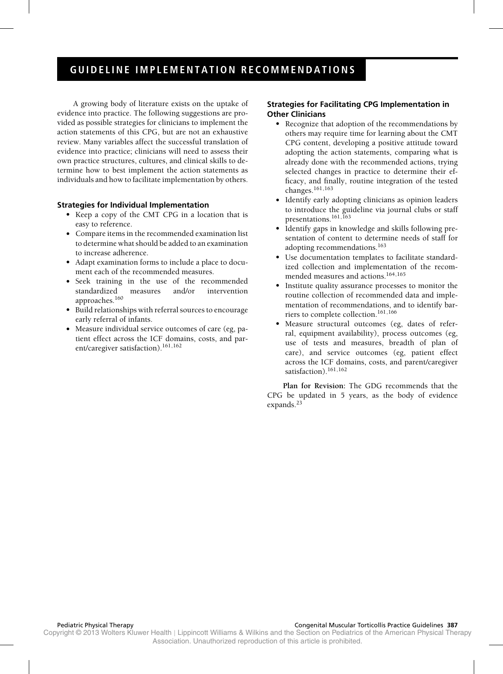# <span id="page-39-0"></span>**GUIDELINE IMPLEMENTATION RECOMMENDATIONS**

A growing body of literature exists on the uptake of evidence into practice. The following suggestions are provided as possible strategies for clinicians to implement the action statements of this CPG, but are not an exhaustive review. Many variables affect the successful translation of evidence into practice; clinicians will need to assess their own practice structures, cultures, and clinical skills to determine how to best implement the action statements as individuals and how to facilitate implementation by others.

#### **Strategies for Individual Implementation**

- Keep a copy of the CMT CPG in a location that is easy to reference.
- Compare items in the recommended examination list to determine what should be added to an examination to increase adherence.
- Adapt examination forms to include a place to document each of the recommended measures.
- Seek training in the use of the recommended standardized measures and/or intervention approaches.<sup>160</sup>
- Build relationships with referral sources to encourage early referral of infants.
- Measure individual service outcomes of care (eg, patient effect across the ICF domains, costs, and parent/caregiver satisfaction).<sup>161,162</sup>

#### **Strategies for Facilitating CPG Implementation in Other Clinicians**

- Recognize that adoption of the recommendations by others may require time for learning about the CMT CPG content, developing a positive attitude toward adopting the action statements, comparing what is already done with the recommended actions, trying selected changes in practice to determine their efficacy, and finally, routine integration of the tested changes.<sup>161,163</sup>
- Identify early adopting clinicians as opinion leaders to introduce the guideline via journal clubs or staff presentations.<sup>161,163</sup>
- $\bullet$  Identify gaps in knowledge and skills following presentation of content to determine needs of staff for adopting recommendations.<sup>163</sup>
- - Use documentation templates to facilitate standardized collection and implementation of the recommended measures and actions.164,165
- $\bullet$  Institute quality assurance processes to monitor the routine collection of recommended data and implementation of recommendations, and to identify barriers to complete collection.<sup>161,166</sup>
- - Measure structural outcomes (eg, dates of referral, equipment availability), process outcomes (eg, use of tests and measures, breadth of plan of care), and service outcomes (eg, patient effect across the ICF domains, costs, and parent/caregiver satisfaction).<sup>161,162</sup>

**Plan for Revision:** The GDG recommends that the CPG be updated in 5 years, as the body of evidence expands.<sup>23</sup>

#### Pediatric Physical Therapy Congenital Muscular Torticollis Practice Guidelines **387**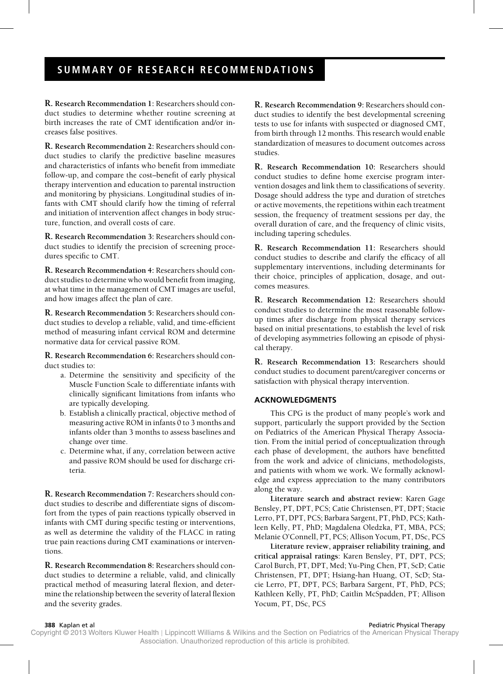# <span id="page-40-0"></span>**SUMMARY OF RESEARCH RECOMMENDATIONS**

**R. Research Recommendation 1:** Researchers should conduct studies to determine whether routine screening at birth increases the rate of CMT identification and/or increases false positives.

**R. Research Recommendation 2:** Researchers should conduct studies to clarify the predictive baseline measures and characteristics of infants who benefit from immediate follow-up, and compare the cost–benefit of early physical therapy intervention and education to parental instruction and monitoring by physicians. Longitudinal studies of infants with CMT should clarify how the timing of referral and initiation of intervention affect changes in body structure, function, and overall costs of care.

**R. Research Recommendation 3:** Researchers should conduct studies to identify the precision of screening procedures specific to CMT.

**R. Research Recommendation 4:** Researchers should conduct studies to determine who would benefit from imaging, at what time in the management of CMT images are useful, and how images affect the plan of care.

**R. Research Recommendation 5:** Researchers should conduct studies to develop a reliable, valid, and time-efficient method of measuring infant cervical ROM and determine normative data for cervical passive ROM.

**R. Research Recommendation 6:** Researchers should conduct studies to:

- a. Determine the sensitivity and specificity of the Muscle Function Scale to differentiate infants with clinically significant limitations from infants who are typically developing.
- b. Establish a clinically practical, objective method of measuring active ROM in infants 0 to 3 months and infants older than 3 months to assess baselines and change over time.
- c. Determine what, if any, correlation between active and passive ROM should be used for discharge criteria.

**R. Research Recommendation 7:** Researchers should conduct studies to describe and differentiate signs of discomfort from the types of pain reactions typically observed in infants with CMT during specific testing or interventions, as well as determine the validity of the FLACC in rating true pain reactions during CMT examinations or interventions.

**R. Research Recommendation 8:** Researchers should conduct studies to determine a reliable, valid, and clinically practical method of measuring lateral flexion, and determine the relationship between the severity of lateral flexion and the severity grades.

**R. Research Recommendation 9:** Researchers should conduct studies to identify the best developmental screening tests to use for infants with suspected or diagnosed CMT, from birth through 12 months. This research would enable standardization of measures to document outcomes across studies.

**R. Research Recommendation 10:** Researchers should conduct studies to define home exercise program intervention dosages and link them to classifications of severity. Dosage should address the type and duration of stretches or active movements, the repetitions within each treatment session, the frequency of treatment sessions per day, the overall duration of care, and the frequency of clinic visits, including tapering schedules.

**R. Research Recommendation 11:** Researchers should conduct studies to describe and clarify the efficacy of all supplementary interventions, including determinants for their choice, principles of application, dosage, and outcomes measures.

**R. Research Recommendation 12:** Researchers should conduct studies to determine the most reasonable followup times after discharge from physical therapy services based on initial presentations, to establish the level of risk of developing asymmetries following an episode of physical therapy.

**R. Research Recommendation 13:** Researchers should conduct studies to document parent/caregiver concerns or satisfaction with physical therapy intervention.

#### **ACKNOWLEDGMENTS**

This CPG is the product of many people's work and support, particularly the support provided by the Section on Pediatrics of the American Physical Therapy Association. From the initial period of conceptualization through each phase of development, the authors have benefitted from the work and advice of clinicians, methodologists, and patients with whom we work. We formally acknowledge and express appreciation to the many contributors along the way.

**Literature search and abstract review:** Karen Gage Bensley, PT, DPT, PCS; Catie Christensen, PT, DPT; Stacie Lerro, PT, DPT, PCS; Barbara Sargent, PT, PhD, PCS; Kathleen Kelly, PT, PhD; Magdalena Oledzka, PT, MBA, PCS; Melanie O'Connell, PT, PCS; Allison Yocum, PT, DSc, PCS

**Literature review, appraiser reliability training, and critical appraisal ratings**: Karen Bensley, PT, DPT, PCS; Carol Burch, PT, DPT, Med; Yu-Ping Chen, PT, ScD; Catie Christensen, PT, DPT; Hsiang-han Huang, OT, ScD; Stacie Lerro, PT, DPT, PCS; Barbara Sargent, PT, PhD, PCS; Kathleen Kelly, PT, PhD; Caitlin McSpadden, PT; Allison Yocum, PT, DSc, PCS

Copyright © 2013 Wolters Kluwer Health | Lippincott Williams & Wilkins and the Section on Pediatrics of the American Physical Therapy Association. Unauthorized reproduction of this article is prohibited.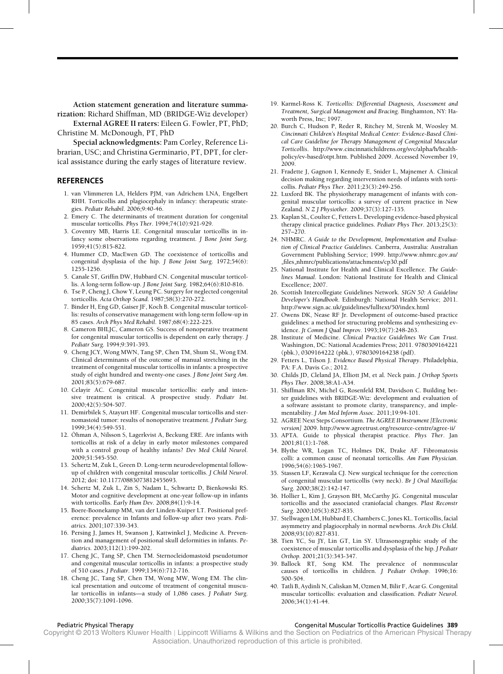<span id="page-41-0"></span>**Action statement generation and literature summarization:** Richard Shiffman, MD (BRIDGE-Wiz developer)

**External AGREE II raters:** Eileen G. Fowler, PT, PhD; Christine M. McDonough, PT, PhD

**Special acknowledgments:** Pam Corley, Reference Librarian, USC; and Christina Germinario, PT, DPT, for clerical assistance during the early stages of literature review.

#### **REFERENCES**

- 1. van Vlimmeren LA, Helders PJM, van Adrichem LNA, Engelbert RHH. Torticollis and plagiocephaly in infancy: therapeutic strategies. *Pediatr Rehabil*. 2006;9:40-46.
- 2. Emery C. The determinants of treatment duration for congenital muscular torticollis. *Phys Ther*. 1994;74(10):921-929.
- 3. Coventry MB, Harris LE. Congenital muscular torticollis in infancy some observations regarding treatment. *J Bone Joint Surg.* 1959;41(5):815-822.
- 4. Hummer CD, MacEwen GD. The coexistence of torticollis and congenital dysplasia of the hip. *J Bone Joint Surg*. 1972;54(6): 1255-1256.
- 5. Canale ST, Griffin DW, Hubbard CN. Congenital muscular torticollis. A long-term follow-up. *J Bone Joint Surg*. 1982;64(6):810-816.
- 6. Tse P, Cheng J, Chow Y, Leung PC. Surgery for neglected congenital torticollis. *Acta Orthop Scand.* 1987;58(3):270-272.
- 7. Binder H, Eng GD, Gaiser JF, Koch B. Congenital muscular torticollis: results of conservative management with long-term follow-up in 85 cases. *Arch Phys Med Rehabil*. 1987;68(4):222-225.
- 8. Cameron BHLJC, Cameron GS. Success of nonoperative treatment for congenital muscular torticollis is dependent on early therapy. *J Pediatr Surg.* 1994;9:391-393.
- 9. Cheng JCY, Wong MWN, Tang SP, Chen TM, Shum SL, Wong EM. Clinical determinants of the outcome of manual stretching in the treatment of congenital muscular torticollis in infants: a prospective study of eight hundred and twenty-one cases. *J Bone Joint Surg Am.* 2001;83(5):679-687.
- 10. Celayir AC. Congenital muscular torticollis: early and intensive treatment is critical. A prospective study. *Pediatr Int.* 2000;42(5):504-507.
- 11. Demirbilek S, Atayurt HF. Congenital muscular torticollis and sternomastoid tumor: results of nonoperative treatment. *J Pediatr Surg.* 1999;34(4):549-551.
- 12. Öhman A, Nilsson S, Lagerkvist A, Beckung ERE. Are infants with torticollis at risk of a delay in early motor milestones compared with a control group of healthy infants? *Dev Med Child Neurol.* 2009;51:545-550.
- 13. Schertz M, Zuk L, Green D. Long-term neurodevelopmental followup of children with congenital muscular torticollis. *J Child Neurol*. 2012; doi: 10.1177/0883073812455693.
- 14. Schertz M, Zuk L, Zin S, Nadam L, Schwartz D, Bienkowski RS. Motor and cognitive development at one-year follow-up in infants with torticollis. *Early Hum Dev.* 2008;84(1):9-14.
- 15. Boere-Boonekamp MM, van der Linden-Kuiper LT. Positional preference: prevalence in Infants and follow-up after two years. *Pediatrics.* 2001;107:339-343.
- 16. Persing J, James H, Swanson J, Kattwinkel J, Medicine A. Prevention and management of positional skull deformities in infants. *Pediatrics.* 2003;112(1):199-202.
- 17. Cheng JC, Tang SP, Chen TM. Sternocleidomastoid pseudotumor and congenital muscular torticollis in infants: a prospective study of 510 cases. *J Pediatr.* 1999;134(6):712-716.
- 18. Cheng JC, Tang SP, Chen TM, Wong MW, Wong EM. The clinical presentation and outcome of treatment of congenital muscular torticollis in infants—a study of 1,086 cases. *J Pediatr Surg.* 2000;35(7):1091-1096.
- 19. Karmel-Ross K. *Torticollis: Differential Diagnosis, Assessment and Treatment, Surgical Management and Bracing.* Binghamton, NY: Haworth Press, Inc; 1997.
- 20. Burch C, Hudson P, Reder R, Ritchey M, Strenk M, Woosley M. *Cincinnati Children's Hospital Medical Center: Evidence-Based Clinical Care Guideline for Therapy Management of Congenital Muscular Torticollis*. [http://www.cincinnatichildrens.org/svc/alpha/h/health](http://www.cincinnatichildrens.org/svc/alpha/h/health-policy/ev-based/otpt.htm)[policy/ev-based/otpt.htm.](http://www.cincinnatichildrens.org/svc/alpha/h/health-policy/ev-based/otpt.htm) Published 2009. Accessed November 19, 2009.
- 21. Fradette J, Gagnon I, Kennedy E, Snider L, Majnemer A. Clinical decision making regarding intervention needs of infants with torticollis. *Pediatr Phys Ther.* 2011;23(3):249-256.
- 22. Luxford BK. The physiotherapy management of infants with congenital muscular torticollis: a survey of current practice in New Zealand. *N Z J Physiother.* 2009;37(3):127-135.
- 23. Kaplan SL, Coulter C, Fetters L. Developing evidence-based physical therapy clinical practice guidelines. *Pediatr Phys Ther.* 2013;25(3): 257–270.
- 24. NHMRC. *A Guide to the Development, Implementation and Evaluation of Clinical Practice Guidelines*. Canberra, Australia: Australian Government Publishing Service; 1999. [http://www.nhmrc.gov.au/](http://www.nhmrc.gov.au/_files_nhmrc/publications/attachments/cp30.pdf) files [nhmrc/publications/attachments/cp30.pdf](http://www.nhmrc.gov.au/_files_nhmrc/publications/attachments/cp30.pdf)
- 25. National Institute for Health and Clinical Excellence. *The Guidelines Manual*. London: National Institute for Health and Clinical Excellence; 2007.
- 26. Scottish Intercollegiate Guidelines Network. *SIGN 50: A Guideline Developer's Handbook*. Edinburgh: National Health Service; 2011. <http://www.sign.ac.uk/guidelines/fulltext/50/index.html>
- 27. Owens DK, Nease RF Jr. Development of outcome-based practice guidelines: a method for structuring problems and synthesizing evidence. *Jt Comm J Qual Improv.* 1993;19(7):248-263.
- 28. Institute of Medicine. *Clinical Practice Guidelines We Can Trust.* Washington, DC: National Academies Press; 2011. 9780309164221 (pbk.), 0309164222 (pbk.), 9780309164238 (pdf).
- 29. Fetters L, Tilson J. *Evidence Based Physical Therapy*. Philadelphia, PA: F.A. Davis Co.; 2012.
- 30. Childs JD, Cleland JA, Elliott JM, et al. Neck pain. *J Orthop Sports Phys Ther*. 2008;38:A1-A34.
- 31. Shiffman RN, Michel G, Rosenfeld RM, Davidson C. Building better guidelines with BRIDGE-Wiz: development and evaluation of a software assistant to promote clarity, transparency, and implementability. *J Am Med Inform Assoc.* 2011;19:94-101.
- 32. AGREE Next Steps Consortium. *The AGREE II Instrument [Electronic version]* 2009. <http://www.agreetrust.org/resource-centre/agree-ii/>
- 33. APTA. Guide to physical therapist practice. *Phys Ther*. Jan 2001;81(1):1-768.
- 34. Blythe WR, Logan TC, Holmes DK, Drake AF. Fibromatosis colli: a common cause of neonatal torticollis. *Am Fam Physician.* 1996;54(6):1965-1967.
- 35. Stassen LF, Kerawala CJ. New surgical technique for the correction of congenital muscular torticollis (wry neck). *Br J Oral Maxillofac Surg.* 2000;38(2):142-147.
- 36. Hollier L, Kim J, Grayson BH, McCarthy JG. Congenital muscular torticollis and the associated craniofacial changes. *Plast Reconstr Surg.* 2000;105(3):827-835.
- 37. Stellwagen LM, Hubbard E, Chambers C, Jones KL. Torticollis, facial asymmetry and plagiocephaly in normal newborns. *Arch Dis Child.* 2008;93(10):827-831.
- 38. Tien YC, Su JY, Lin GT, Lin SY. Ultrasonographic study of the coexistence of muscular torticollis and dysplasia of the hip. *J Pediatr Orthop.* 2001;21(3):343-347.
- 39. Ballock RT, Song KM. The prevalence of nonmuscular causes of torticollis in children. *J Pediatr Orthop.* 1996;16: 500-504.
- 40. Tatli B, Aydinli N, Caliskan M, Ozmen M, Bilir F, Acar G. Congenital muscular torticollis: evaluation and classification. *Pediatr Neurol.* 2006;34(1):41-44.

#### Pediatric Physical Therapy Congenital Muscular Torticollis Practice Guidelines **389**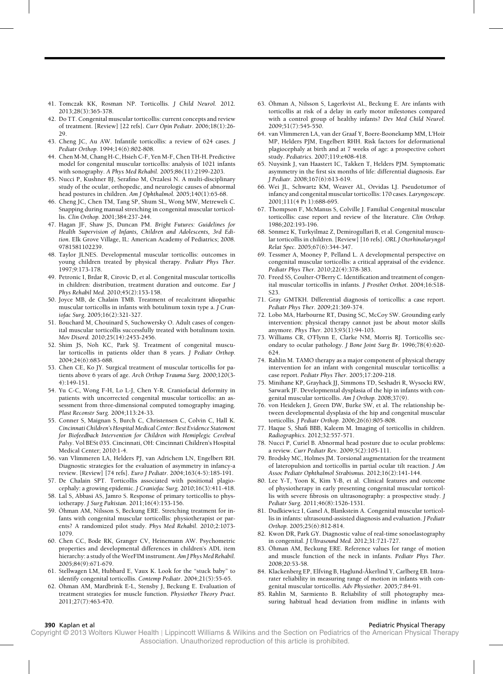- 41. Tomczak KK, Rosman NP. Torticollis. *J Child Neurol.* 2012. 2013;28(3):365-378.
- 42. Do TT. Congenital muscular torticollis: current concepts and review of treatment. [Review] [22 refs]. *Curr Opin Pediatr.* 2006;18(1):26- 29.
- 43. Cheng JC, Au AW. Infantile torticollis: a review of 624 cases. *J Pediatr Orthop.* 1994;14(6):802-808.
- 44. Chen M-M, Chang H-C, Hsieh C-F, Yen M-F, Chen TH-H. Predictive model for congenital muscular torticollis: analysis of 1021 infants with sonography. *A Phys Med Rehabil.* 2005;86(11):2199-2203.
- 45. Nucci P, Kushner BJ, Serafino M, Orzalesi N. A multi-disciplinary study of the ocular, orthopedic, and neurologic causes of abnormal head postures in children. *Am J Ophthalmol.* 2005;140(1):65-68.
- 46. Cheng JC, Chen TM, Tang SP, Shum SL, Wong MW, Metreweli C. Snapping during manual stretching in congenital muscular torticollis. *Clin Orthop.* 2001;384:237-244.
- 47. Hagan JF, Shaw JS, Duncan PM. *Bright Futures: Guidelines for Health Supervision of Infants, Children and Adolescents, 3rd Edition*. Elk Grove Village, IL: American Academy of Pediatrics; 2008. 9781581102239.
- 48. Taylor JLNES. Developmental muscular torticollis: outcomes in young children treated by physical therapy. *Pediatr Phys Ther.* 1997;9:173-178.
- 49. Petronic I, Brdar R, Cirovic D, et al. Congenital muscular torticollis in children: distribution, treatment duration and outcome. *Eur J Phys Rehabil Med.* 2010;45(2):153-158.
- 50. Joyce MB, de Chalain TMB. Treatment of recalcitrant idiopathic muscular torticollis in infants with botulinum toxin type a. *J Craniofac Surg.* 2005;16(2):321-327.
- 51. Bouchard M, Chouinard S, Suchowersky O. Adult cases of congenital muscular torticollis successfully treated with botulinum toxin. *Mov Disord.* 2010;25(14):2453-2456.
- 52. Shim JS, Noh KC, Park SJ. Treatment of congenital muscular torticollis in patients older than 8 years. *J Pediatr Orthop.* 2004;24(6):683-688.
- 53. Chen CE, Ko JY. Surgical treatment of muscular torticollis for patients above 6 years of age. *Arch Orthop Trauma Surg.* 2000;120(3-  $4)$  $-149$  $-151$
- 54. Yu C-C, Wong F-H, Lo L-J, Chen Y-R. Craniofacial deformity in patients with uncorrected congenital muscular torticollis: an assessment from three-dimensional computed tomography imaging. *Plast Reconstr Surg.* 2004;113:24-33.
- 55. Conner S, Maignan S, Burch C, Christensen C, Colvin C, Hall K. *Cincinnati Children's Hospital Medical Center: Best Evidence Statement for Biofeedback Intervention for Children with Hemiplegic Cerebral Palsy*. Vol BESt 035. Cincinnati, OH: Cincinnati Children's Hospital Medical Center; 2010:1-4.
- 56. van Vlimmeren LA, Helders PJ, van Adrichem LN, Engelbert RH. Diagnostic strategies for the evaluation of asymmetry in infancy-a review. [Review] [74 refs]. *Euro J Pediatr.* 2004;163(4-5):185-191.
- 57. De Chalain SPT. Torticollis associated with positional plagiocephaly: a growing epidemic. *J Craniofac Surg.* 2010;16(3):411-418.
- 58. Lal S, Abbasi AS, Jamro S. Response of primary torticollis to physiotherapy. *J Surg Pakistan.* 2011;16(4):153-156.
- 59. Öhman AM, Nilsson S, Beckung ERE. Stretching treatment for infants with congenital muscular torticollis: physiotherapist or parents? A randomized pilot study. *Phys Med Rehabil.* 2010;2:1073- 1079.
- 60. Chen CC, Bode RK, Granger CV, Heinemann AW. Psychometric properties and developmental differences in children's ADL item hierarchy: a study of the WeeFIM instrument. *Am J Phys Med Rehabil.* 2005;84(9):671-679.
- 61. Stellwagen LM, Hubbard E, Vaux K. Look for the "stuck baby" to identify congenital torticollis. *Contemp Pediatr*. 2004;21(5):55-65.
- 62. Ohman AM, Mardbrink E-L, Stensby J, Beckung E. Evaluation of ¨ treatment strategies for muscle function. *Physiother Theory Pract*. 2011;27(7):463-470.
- 63. Öhman A, Nilsson S, Lagerkvist AL, Beckung E. Are infants with torticollis at risk of a delay in early motor milestones compared with a control group of healthy infants? *Dev Med Child Neurol.* 2009;51(7):545-550.
- 64. van Vlimmeren LA, van der Graaf Y, Boere-Boonekamp MM, L'Hoir MP, Helders PJM, Engelbert RHH. Risk factors for deformational plagiocephaly at birth and at 7 weeks of age: a prospective cohort study. *Pediatrics.* 2007;119:e408-418.
- 65. Nuysink J, van Haastert IC, Takken T, Helders PJM. Symptomatic asymmetry in the first six months of life: differential diagnosis. *Eur J Pediatr.* 2008;167(6):613-619.
- 66. Wei JL, Schwartz KM, Weaver AL, Orvidas LJ. Pseudotumor of infancy and congenital muscular torticollis: 170 cases. *Laryngoscope.* 2001;111(4 Pt 1):688-695.
- 67. Thompson F, McManus S, Colville J. Familial Congenital muscular torticollis: case report and review of the literature. *Clin Orthop.* 1986;202:193-196.
- 68. Sonmez K, Turkyilmaz Z, Demirogullari B, et al. Congenital muscu- ¨ lar torticollis in children. [Review] [16 refs]. *ORL J Otorhinolaryngol Relat Spec.* 2005;67(6):344-347.
- 69. Tessmer A, Mooney P, Pelland L. A developmental perspective on congenital muscular torticollis: a critical appraisal of the evidence. *Pediatr Phys Ther.* 2010;22(4):378-383.
- 70. Freed SS, Coulter-O'Berry C. Identification and treatment of congenital muscular torticollis in infants. *J Prosthet Orthot.* 2004;16:S18- S23.
- 71. Gray GMTKH. Differential diagnosis of torticollis: a case report. *Pediatr Phys Ther.* 2009;21:369-374.
- 72. Lobo MA, Harbourne RT, Dusing SC, McCoy SW. Grounding early intervention: physical therapy cannot just be about motor skills anymore. *Phys Ther.* 2013;93(1):94-103.
- 73. Williams CR, O'Flynn E, Clarke NM, Morris RJ. Torticollis secondary to ocular pathology. *J Bone Joint Surg Br.* 1996;78(4):620- 624.
- 74. Rahlin M. TAMO therapy as a major component of physical therapy intervention for an infant with congenital muscular torticollis: a case report. *Pediatr Phys Ther.* 2005;17:209-218.
- 75. Minihane KP, Grayhack JJ, Simmons TD, Seshadri R, Wysocki RW, Sarwark JF. Developmental dysplasia of the hip in infants with congenital muscular torticollis. *Am J Orthop.* 2008;37(9).
- 76. von Heideken J, Green DW, Burke SW, et al. The relationship between developmental dysplasia of the hip and congenital muscular torticollis. *J Pediatr Orthop.* 2006;26(6):805-808.
- 77. Haque S, Shafi BBB, Kaleem M. Imaging of torticollis in children. *Radiographics.* 2012;32:557-571.
- 78. Nucci P, Curiel B. Abnormal head posture due to ocular problems: a review. *Curr Pediatr Rev.* 2009;5(2):105-111.
- 79. Brodsky MC, Holmes JM. Torsional augmentation for the treatment of lateropulsion and torticollis in partial ocular tilt reaction. *J Am Assoc Pediatr Ophthalmol Strabismus.* 2012;16(2):141-144.
- 80. Lee Y-T, Yoon K, Kim Y-B, et al. Clinical features and outcome of physiotherapy in early presenting congenital muscular torticollis with severe fibrosis on ultrasonography: a prospective study. *J Pediatr Surg.* 2011;46(8):1526-1531.
- 81. Dudkiewicz I, Ganel A, Blankstein A. Congenital muscular torticollis in infants: ultrasound-assisted diagnosis and evaluation. *J Pediatr Orthop.* 2005;25(6):812-814.
- 82. Kwon DR, Park GY. Diagnostic value of real-time sonoelastography in congenital. *J Ultrasound Med.* 2012;31:721-727.
- 83. Öhman AM, Beckung ERE. Reference values for range of motion and muscle function of the neck in infants. *Pediatr Phys Ther.* 2008;20:53-58.
- 84. Klackenberg EP, Elfving B, Haglund-Åkerlind Y, Carlberg EB. Intrarater reliability in measuring range of motion in infants with congenital muscular torticollis. *Adv Physiother.* 2005;7:84-91.
- 85. Rahlin M, Sarmiento B. Reliability of still photography measuring habitual head deviation from midline in infants with

#### **390** Kaplan et al Pediatric Physical Therapy **Contract Contract Contract Contract Physical Therapy <b>Pediatric Physical Therapy**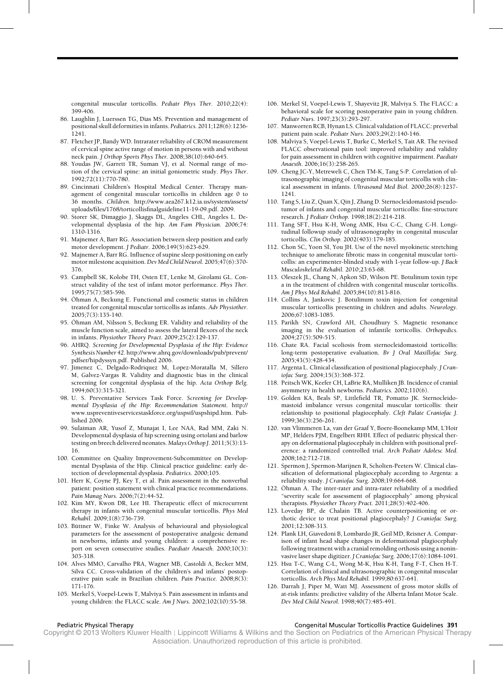congenital muscular torticollis. *Pediatr Phys Ther.* 2010;22(4): 399-406.

- 86. Laughlin J, Luerssen TG, Dias MS. Prevention and management of positional skull deformities in infants. *Pediatrics.* 2011;128(6):1236- 1241.
- 87. Fletcher JP, Bandy WD. Intrarater reliability of CROM measurement of cervical spine active range of motion in persons with and without neck pain. *J Orthop Sports Phys Ther.* 2008;38(10):640-645.
- 88. Youdas JW, Garrett TR, Suman VJ, et al. Normal range of motion of the cervical spine: an initial goniometric study. *Phys Ther*. 1992;72(11):770-780.
- 89. Cincinnati Children's Hospital Medical Center. Therapy management of congenital muscular torticollis in children age 0 to 36 months. *Children.* [http://www.aea267.k12.ia.us/system/assets/]( http://www.aea267.k12.ia.us/system/assets/uploads/files/1768/torticollisfinalguideline11-19-09.pdf) [uploads/files/1768/torticollisfinalguideline11-19-09.pdf.]( http://www.aea267.k12.ia.us/system/assets/uploads/files/1768/torticollisfinalguideline11-19-09.pdf) 2009.
- 90. Storer SK, Dimaggio J, Skaggs DL, Angeles CHL, Angeles L. Developmental dysplasia of the hip. *Am Fam Physician.* 2006;74: 1310-1316.
- 91. Majnemer A, Barr RG. Association between sleep position and early motor development. *J Pediatr.* 2006;149(5):623-629.
- 92. Majnemer A, Barr RG. Influence of supine sleep positioning on early motor milestone acquisition.*Dev Med Child Neurol.* 2005;47(6):370- 376.
- 93. Campbell SK, Kolobe TH, Osten ET, Lenke M, Girolami GL. Construct validity of the test of infant motor performance. *Phys Ther.* 1995;75(7):585-596.
- 94. Öhman A, Beckung E. Functional and cosmetic status in children treated for congenital muscular torticollis as infants. *Adv Physiother.* 2005;7(3):135-140.
- 95. Öhman AM, Nilsson S, Beckung ER. Validity and reliability of the muscle function scale, aimed to assess the lateral flexors of the neck in infants. *Physiother Theory Pract.* 2009;25(2):129-137.
- 96. AHRQ. *Screening for Developmental Dysplasia of the Hip: Evidence Synthesis Number 42*. [http://www.ahrq.gov/downloads/pub/prevent/](http://www.ahrq.gov/downloads/pub/prevent/pdfser/hipdyssyn.pdf) [pdfser/hipdyssyn.pdf.](http://www.ahrq.gov/downloads/pub/prevent/pdfser/hipdyssyn.pdf) Published 2006.
- 97. Jimenez C, Delgado-Rodriquez M, Lopez-Moratalla M, Sillero M, Galvez-Vargas R. Validity and diagnostic bias in the clinical screening for congenital dysplasia of the hip. *Acta Orthop Belg.* 1994;60(3):315-321.
- 98. U. S. Preventative Services Task Force. *Screening for Developmental Dysplasia of the Hip: Recommendation Statement*. [http://](http://www.uspreventiveservicestaskforce.org/uspstf/uspshipd.htm) [www.uspreventiveservicestaskforce.org/uspstf/uspshipd.htm.](http://www.uspreventiveservicestaskforce.org/uspstf/uspshipd.htm) Published 2006.
- 99. Sulaiman AR, Yusof Z, Munajat I, Lee NAA, Rad MM, Zaki N. Developmental dysplasia of hip screening using ortolani and barlow testing on breech delivered neonates. *Malays Orthop J.* 2011;5(3):13- 16.
- 100. Committee on Quality Improvement-Subcommittee on Developmental Dysplasia of the Hip. Clinical practice guideline: early detection of developmental dysplasia. *Pediatrics*. 2000;105.
- 101. Herr K, Coyne PJ, Key T, et al. Pain assessment in the nonverbal patient: position statement with clinical practice recommendations. *Pain Manag Nurs.* 2006;7(2):44-52.
- 102. Kim MY, Kwon DR, Lee HI. Therapeutic effect of microcurrent therapy in infants with congenital muscular torticollis. *Phys Med Rehabil.* 2009;1(8):736-739.
- 103. Büttner W, Finke W. Analysis of behavioural and physiological parameters for the assessment of postoperative analgesic demand in newborns, infants and young children: a comprehensive report on seven consecutive studies. *Paediatr Anaesth.* 2000;10(3): 303-318.
- 104. Alves MMO, Carvalho PRA, Wagner MB, Castoldi A, Becker MM, Silva CC. Cross-validation of the children's and infants' postoperative pain scale in Brazilian children. *Pain Practice.* 2008;8(3): 171-176.
- 105. Merkel S, Voepel-Lewis T, Malviya S. Pain assessment in infants and young children: the FLACC scale. *Am J Nurs.* 2002;102(10):55-58.
- 106. Merkel SI, Voepel-Lewis T, Shayevitz JR, Malviya S. The FLACC: a behavioral scale for scoring postoperative pain in young children. *Pediatr Nurs.* 1997;23(3):293-297.
- 107. Manworren RCB, Hynan LS. Clinical validation of FLACC: preverbal patient pain scale. *Pediatr Nurs.* 2003;29(2):140-146.
- 108. Malviya S, Voepel-Lewis T, Burke C, Merkel S, Tait AR. The revised FLACC observational pain tool: improved reliability and validity for pain assessment in children with cognitive impairment. *Paediatr Anaesth.* 2006;16(3):258-265.
- 109. Cheng JC-Y, Metreweli C, Chen TM-K, Tang S-P. Correlation of ultrasonographic imaging of congenital muscular torticollis with clinical assessment in infants. *Ultrasound Med Biol.* 2000;26(8):1237- 1241.
- 110. Tang S, Liu Z, Quan X, Qin J, Zhang D. Sternocleidomastoid pseudotumor of infants and congenital muscular torticollis: fine-structure research. *J Pediatr Orthop.* 1998;18(2):214-218.
- 111. Tang SFT, Hsu K-H, Wong AMK, Hsu C-C, Chang C-H. Longitudinal followup study of ultrasonography in congenital muscular torticollis. *Clin Orthop.* 2002(403):179-185.
- 112. Chon SC, Yoon SI, You JH. Use of the novel myokinetic stretching technique to ameliorate fibrotic mass in congenital muscular torticollis: an experimenter-blinded study with 1-year follow-up. *J Back Musculoskeletal Rehabil.* 2010;23:63-68.
- 113. Oleszek JL, Chang N, Apkon SD, Wilson PE. Botulinum toxin type a in the treatment of children with congenital muscular torticollis. *Am J Phys Med Rehabil.* 2005;84(10):813-816.
- 114. Collins A, Jankovic J. Botulinum toxin injection for congenital muscular torticollis presenting in children and adults. *Neurology.* 2006;67:1083-1085.
- 115. Parikh SN, Crawford AH, Choudhury S. Magnetic resonance imaging in the evaluation of infantile torticollis. *Orthopedics.* 2004;27(5):509-515.
- 116. Chate RA. Facial scoliosis from sternocleidomastoid torticollis: long-term postoperative evaluation. *Br J Oral Maxillofac Surg.* 2005;43(5):428-434.
- 117. Argenta L. Clinical classification of positional plagiocephaly. *J Craniofac Surg.* 2004;15(3):368-372.
- 118. Peitsch WK, Keefer CH, LaBrie RA, Mulliken JB. Incidence of cranial asymmetry in health newborns. *Pediatrics.* 2002;110(6).
- 119. Golden KA, Beals SP, Littlefield TR, Pomatto JK. Sternocleidomastoid imbalance versus congenital muscular torticollis: their relationship to positional plagiocephaly. *Cleft Palate Craniofac J.* 1999;36(3):256-261.
- 120. van Vlimmeren La, van der Graaf Y, Boere-Boonekamp MM, L'Hoir MP, Helders PJM, Engelbert RHH. Effect of pediatric physical therapy on deformational plagiocephaly in children with positional preference: a randomized controlled trial. *Arch Pediatr Adolesc Med.* 2008;162:712-718.
- 121. Spermon J, Spermon-Marijnen R, Scholten-Peeters W. Clinical classification of deformational plagiocephaly according to Argenta: a reliability study. *J Craniofac Surg.* 2008;19:664-668.
- 122. Öhman A. The inter-rater and intra-rater reliability of a modified "severity scale for assessment of plagiocephaly" among physical therapists. *Physiother Theory Pract.* 2011;28(5):402-406.
- 123. Loveday BP, de Chalain TB. Active counterpositioning or orthotic device to treat positional plagiocephaly? *J Craniofac Surg.* 2001;12:308-313.
- 124. Plank LH, Giavedoni B, Lombardo JR, Geil MD, Reisner A. Comparison of infant head shape changes in deformational plagiocephaly following treatment with a cranial remolding orthosis using a noninvasive laser shape digitizer. *J Craniofac Surg.* 2006;17(6):1084-1091.
- 125. Hsu T-C, Wang C-L, Wong M-K, Hsu K-H, Tang F-T, Chen H-T. Correlation of clinical and ultrasonographic in congenital muscular torticollis. *Arch Phys Med Rehabil.* 1999;80:637-641.
- 126. Darrah J, Piper M, Watt MJ. Assessment of gross motor skills of at-risk infants: predictive validity of the Alberta Infant Motor Scale. *Dev Med Child Neurol.* 1998;40(7):485-491.

#### Pediatric Physical Therapy Congenital Muscular Torticollis Practice Guidelines **391**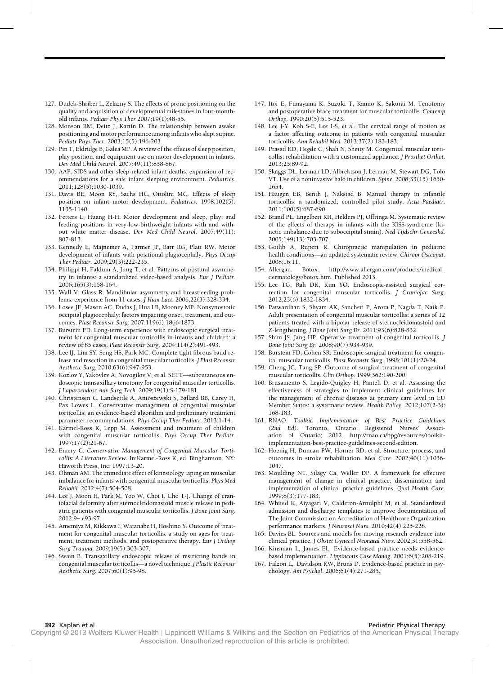- 127. Dudek-Shriber L, Zelazny S. The effects of prone positioning on the quality and acquisition of developmental milestones in four-monthold infants. *Pediatr Phys Ther* 2007;19(1):48-55.
- 128. Monson RM, Deitz J, Kartin D. The relationship between awake positioning and motor performance among infants who slept supine. *Pediatr Phys Ther.* 2003;15(5):196-203.
- 129. Pin T, Eldridge B, Galea MP. A review of the effects of sleep position, play position, and equipment use on motor development in infants. *Dev Med Child Neurol.* 2007;49(11):858-867.
- 130. AAP. SIDS and other sleep-related infant deaths: expansion of recommendations for a safe infant sleeping environment. *Pediatrics.* 2011;128(5):1030-1039.
- 131. Davis BE, Moon RY, Sachs HC, Ottolini MC. Effects of sleep position on infant motor development. *Pediatrics.* 1998;102(5): 1135-1140.
- 132. Fetters L, Huang H-H. Motor development and sleep, play, and feeding positions in very-low-birthweight infants with and without white matter disease. *Dev Med Child Neurol.* 2007;49(11): 807-813.
- 133. Kennedy E, Majnemer A, Farmer JP, Barr RG, Platt RW. Motor development of infants with positional plagiocephaly. *Phys Occup Ther Pediatr.* 2009;29(3):222-235.
- 134. Philippi H, Faldum A, Jung T, et al. Patterns of postural asymmetry in infants: a standardized video-based analysis. *Eur J Pediatr.* 2006;165(3):158-164.
- 135. Wall V, Glass R. Mandibular asymmetry and breastfeeding problems: experience from 11 cases. *J Hum Lact.* 2006;22(3):328-334.
- 136. Losee JE, Mason AC, Dudas J, Hua LB, Mooney MP. Nonsynostotic occipital plagiocephaly: factors impacting onset, treatment, and outcomes. *Plast Reconstr Surg.* 2007;119(6):1866-1873.
- 137. Burstein FD. Long-term experience with endoscopic surgical treatment for congenital muscular torticollis in infants and children: a review of 85 cases. *Plast Reconstr Surg.* 2004;114(2):491-493.
- 138. Lee IJ, Lim SY, Song HS, Park MC. Complete tight fibrous band release and resection in congenital muscular torticollis. *J Plast Reconstr Aesthetic Surg.* 2010;63(6):947-953.
- 139. Kozlov Y, Yakovlev A, Novogilov V, et al. SETT—subcutaneous endoscopic transaxillary tenotomy for congenital muscular torticollis. *J Laparoendosc Adv Surg Tech.* 2009;19(1):S-179-181.
- 140. Christensen C, Landsettle A, Antoszewski S, Ballard BB, Carey H, Pax Lowes L. Conservative management of congenital muscular torticollis: an evidence-based algorithm and preliminary treatment parameter recommendations. *Phys Occup Ther Pediatr.* 2013:1-14.
- 141. Karmel-Ross K, Lepp M. Assessment and treatment of children with congenital muscular torticollis. *Phys Occup Ther Pediatr.* 1997;17(2):21-67.
- 142. Emery C. *Conservative Management of Congenital Muscular Torticollis: A Literature Review*. In:Karmel-Ross K, ed. Binghamton, NY: Haworth Press, Inc; 1997:13-20.
- 143. Öhman AM. The immediate effect of kinesiology taping on muscular imbalance for infants with congenital muscular torticollis. *Phys Med Rehabil.* 2012;4(7):504-508.
- 144. Lee J, Moon H, Park M, Yoo W, Choi I, Cho T-J. Change of craniofacial deformity after sternocleidomastoid muscle release in pediatric patients with congenital muscular torticollis. *J Bone Joint Surg.* 2012;94:e93-97.
- 145. Amemiya M, Kikkawa I, Watanabe H, Hoshino Y. Outcome of treatment for congenital muscular torticollis: a study on ages for treatment, treatment methods, and postoperative therapy. *Eur J Orthop Surg Trauma.* 2009;19(5):303-307.
- 146. Swain B. Transaxillary endoscopic release of restricting bands in congenital muscular torticollis—a novel technique. *J Plastic Reconstr Aesthetic Surg.* 2007;60(1):95-98.
- 147. Itoi E, Funayama K, Suzuki T, Kamio K, Sakurai M. Tenotomy and postoperative brace treatment for muscular torticollis. *Contemp Orthop.* 1990;20(5):515-523.
- 148. Lee J-Y, Koh S-E, Lee I-S, et al. The cervical range of motion as a factor affecting outcome in patients with congenital muscular torticollis. *Ann Rehabil Med.* 2013;37(2):183-183.
- 149. Prasad KD, Hegde C, Shah N, Shetty M. Congenital muscular torticollis: rehabilitation with a customized appliance. *J Prosthet Orthot.* 2013;25:89-92.
- 150. Skaggs DL, Lerman LD, Albrektson J, Lerman M, Stewart DG, Tolo VT. Use of a noninvasive halo in children. *Spine.* 2008;33(15):1650- 1654.
- 151. Haugen EB, Benth J, Nakstad B. Manual therapy in infantile torticollis: a randomized, controlled pilot study. *Acta Paediatr.* 2011;100(5):687-690.
- 152. Brand PL, Engelbert RH, Helders PJ, Offringa M. Systematic review of the effects of therapy in infants with the KISS-syndrome (kinetic imbalance due to suboccipital strain). *Ned Tijdschr Geneeskd.* 2005;149(13):703-707.
- 153. Gotlib A, Rupert R. Chiropractic manipulation in pediatric health conditions—an updated systematic review. *Chiropr Osteopat.* 2008;16:11.
- 154. Allergan. Botox. [http://www.allergan.com/products/medical\\_](http://www.allergan.com/products/medical_dermatology/botox.htm) [dermatology/botox.htm.](http://www.allergan.com/products/medical_dermatology/botox.htm) Published 2013.
- 155. Lee TG, Rah DK, Kim YO. Endoscopic-assisted surgical correction for congenital muscular torticollis. *J Craniofac Surg.* 2012;23(6):1832-1834.
- 156. Patwardhan S, Shyam AK, Sancheti P, Arora P, Nagda T, Naik P. Adult presentation of congenital muscular torticollis: a series of 12 patients treated with a bipolar release of sternocleidomastoid and Z-lengthening. *J Bone Joint Surg Br.* 2011;93(6):828-832.
- 157. Shim JS, Jang HP. Operative treatment of congenital torticollis. *J Bone Joint Surg Br.* 2008;90(7):934-939.
- 158. Burstein FD, Cohen SR. Endoscopic surgical treatment for congenital muscular torticollis. *Plast Reconstr Surg.* 1998;101(1):20-24.
- 159. Cheng JC, Tang SP. Outcome of surgical treatment of congenital muscular torticollis. *Clin Orthop.* 1999;362:190-200.
- 160. Brusamento S, Legido-Quigley H, Panteli D, et al. Assessing the effectiveness of strategies to implement clinical guidelines for the management of chronic diseases at primary care level in EU Member States: a systematic review. *Health Policy.* 2012;107(2-3): 168-183.
- 161. RNAO. *Toolkit: Implementation of Best Practice Guidelines (2nd Ed)*. Toronto, Ontario: Registered Nurses' Association of Ontario; 2012. [http://rnao.ca/bpg/resources/toolkit](http://rnao.ca/bpg/resources/toolkit-implementation-best-practice-guidelines-second-edition)[implementation-best-practice-guidelines-second-edition.](http://rnao.ca/bpg/resources/toolkit-implementation-best-practice-guidelines-second-edition)
- 162. Hoenig H, Duncan PW, Horner RD, et al. Structure, process, and outcomes in stroke rehabilitation. *Med Care.* 2002;40(11):1036- 1047.
- 163. Moulding NT, Silagy Ca, Weller DP. A framework for effective management of change in clinical practice: dissemination and implementation of clinical practice guidelines. *Qual Health Care.* 1999;8(3):177-183.
- 164. Whited K, Aiyagari V, Calderon-Arnulphi M, et al. Standardized admission and discharge templates to improve documentation of The Joint Commission on Accreditation of Healthcare Organization performance markers. *J Neurosci Nurs.* 2010;42(4):225-228.
- 165. Davies BL. Sources and models for moving research evidence into clinical practice. *J Obstet Gynecol Neonatal Nurs.* 2002;31:558-562.
- 166. Kinsman L, James EL. Evidence-based practice needs evidencebased implementation. *Lippincotts Case Manag*. 2001;6(5):208-219.
- 167. Falzon L, Davidson KW, Bruns D. Evidence-based practice in psychology. *Am Psychol*. 2006;61(4):271-285.

#### **392** Kaplan et al Pediatric Physical Therapy **Apple 2014 Pediatric Physical Therapy Pediatric Physical Therapy**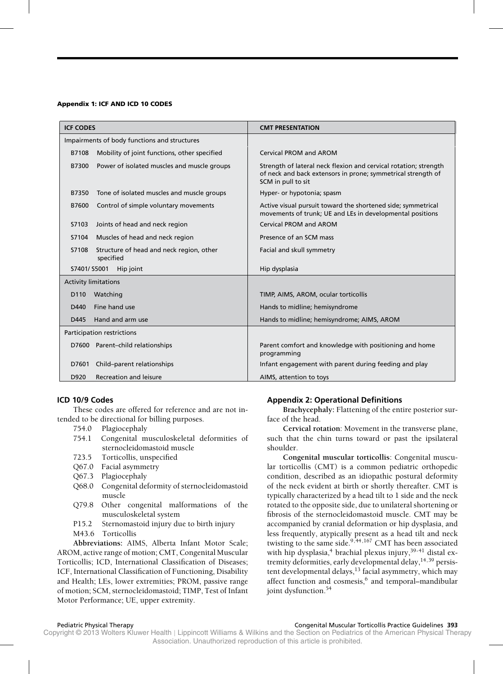#### <span id="page-45-0"></span>**Appendix 1: ICF AND ICD 10 CODES**

| <b>ICF CODES</b> |                                                       | <b>CMT PRESENTATION</b>                                                                                                                                |
|------------------|-------------------------------------------------------|--------------------------------------------------------------------------------------------------------------------------------------------------------|
|                  | Impairments of body functions and structures          |                                                                                                                                                        |
| B7108            | Mobility of joint functions, other specified          | <b>Cervical PROM and AROM</b>                                                                                                                          |
| B7300            | Power of isolated muscles and muscle groups           | Strength of lateral neck flexion and cervical rotation; strength<br>of neck and back extensors in prone; symmetrical strength of<br>SCM in pull to sit |
| B7350            | Tone of isolated muscles and muscle groups            | Hyper- or hypotonia; spasm                                                                                                                             |
| B7600            | Control of simple voluntary movements                 | Active visual pursuit toward the shortened side; symmetrical<br>movements of trunk; UE and LEs in developmental positions                              |
| S7103            | Joints of head and neck region                        | <b>Cervical PROM and AROM</b>                                                                                                                          |
| S7104            | Muscles of head and neck region                       | Presence of an SCM mass                                                                                                                                |
| S7108            | Structure of head and neck region, other<br>specified | Facial and skull symmetry                                                                                                                              |
| S7401/S5001      | Hip joint                                             | Hip dysplasia                                                                                                                                          |
|                  | <b>Activity limitations</b>                           |                                                                                                                                                        |
| D110             | Watching                                              | TIMP, AIMS, AROM, ocular torticollis                                                                                                                   |
| D440             | Fine hand use                                         | Hands to midline; hemisyndrome                                                                                                                         |
| D445             | Hand and arm use                                      | Hands to midline; hemisyndrome; AIMS, AROM                                                                                                             |
|                  | Participation restrictions                            |                                                                                                                                                        |
| D7600            | Parent-child relationships                            | Parent comfort and knowledge with positioning and home<br>programming                                                                                  |
| D7601            | Child-parent relationships                            | Infant engagement with parent during feeding and play                                                                                                  |
| D920             | <b>Recreation and leisure</b>                         | AIMS, attention to toys                                                                                                                                |

#### **ICD 10/9 Codes**

These codes are offered for reference and are not intended to be directional for billing purposes.

- 754.0 Plagiocephaly
- 754.1 Congenital musculoskeletal deformities of sternocleidomastoid muscle
- 723.5 Torticollis, unspecified
- Q67.0 Facial asymmetry
- Q67.3 Plagiocephaly
- Q68.0 Congenital deformity of sternocleidomastoid muscle
- Q79.8 Other congenital malformations of the musculoskeletal system
- P15.2 Sternomastoid injury due to birth injury
- M43.6 Torticollis

**Abbreviations:** AIMS, Alberta Infant Motor Scale; AROM, active range of motion; CMT, Congenital Muscular Torticollis; ICD, International Classification of Diseases; ICF, International Classification of Functioning, Disability and Health; LEs, lower extremities; PROM, passive range of motion; SCM, sternocleidomastoid; TIMP, Test of Infant Motor Performance; UE, upper extremity.

### **Appendix 2: Operational Definitions**

**Brachycephaly:** Flattening of the entire posterior surface of the head.

**Cervical rotation**: Movement in the transverse plane, such that the chin turns toward or past the ipsilateral shoulder.

**Congenital muscular torticollis**: Congenital muscular torticollis (CMT) is a common pediatric orthopedic condition, described as an idiopathic postural deformity of the neck evident at birth or shortly thereafter. CMT is typically characterized by a head tilt to 1 side and the neck rotated to the opposite side, due to unilateral shortening or fibrosis of the sternocleidomastoid muscle. CMT may be accompanied by cranial deformation or hip dysplasia, and less frequently, atypically present as a head tilt and neck twisting to the same side.<sup>9,44,167</sup> CMT has been associated with hip dysplasia, $4$  brachial plexus injury, $39-41$  distal extremity deformities, early developmental delay,  $14,39$  persistent developmental delays, $^{13}$  facial asymmetry, which may affect function and cosmesis,<sup>6</sup> and temporal–mandibular joint dysfunction.<sup>54</sup>

#### Pediatric Physical Therapy Congenital Muscular Torticollis Practice Guidelines **393**